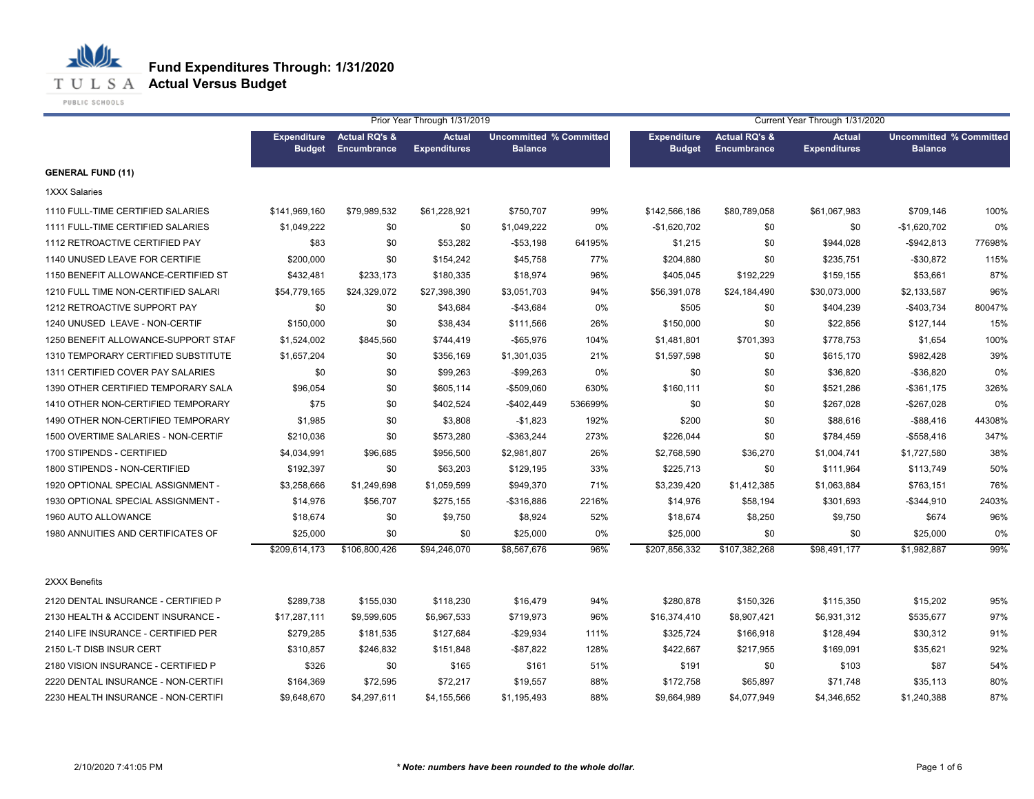

**T U L S A Actual Versus Budget** 

PUBLIC SCHOOLS

|                                     | Prior Year Through 1/31/2019        |                                                |                                      |                                                  |         | Current Year Through 1/31/2020 |                                     |                                      |                                                  |        |  |
|-------------------------------------|-------------------------------------|------------------------------------------------|--------------------------------------|--------------------------------------------------|---------|--------------------------------|-------------------------------------|--------------------------------------|--------------------------------------------------|--------|--|
|                                     | <b>Expenditure</b><br><b>Budget</b> | <b>Actual RQ's &amp;</b><br><b>Encumbrance</b> | <b>Actual</b><br><b>Expenditures</b> | <b>Uncommitted % Committed</b><br><b>Balance</b> |         | <b>Expenditure</b><br>Budget   | Actual RQ's &<br><b>Encumbrance</b> | <b>Actual</b><br><b>Expenditures</b> | <b>Uncommitted % Committed</b><br><b>Balance</b> |        |  |
| <b>GENERAL FUND (11)</b>            |                                     |                                                |                                      |                                                  |         |                                |                                     |                                      |                                                  |        |  |
| <b>1XXX Salaries</b>                |                                     |                                                |                                      |                                                  |         |                                |                                     |                                      |                                                  |        |  |
| 1110 FULL-TIME CERTIFIED SALARIES   | \$141,969,160                       | \$79,989,532                                   | \$61,228,921                         | \$750,707                                        | 99%     | \$142,566,186                  | \$80,789,058                        | \$61,067,983                         | \$709,146                                        | 100%   |  |
| 1111 FULL-TIME CERTIFIED SALARIES   | \$1,049,222                         | \$0                                            | \$0                                  | \$1,049,222                                      | 0%      | $-$1,620,702$                  | \$0                                 | \$0                                  | $-$1,620,702$                                    | 0%     |  |
| 1112 RETROACTIVE CERTIFIED PAY      | \$83                                | \$0                                            | \$53,282                             | $- $53,198$                                      | 64195%  | \$1,215                        | \$0                                 | \$944,028                            | $-$ \$942,813                                    | 77698% |  |
| 1140 UNUSED LEAVE FOR CERTIFIE      | \$200,000                           | \$0                                            | \$154,242                            | \$45,758                                         | 77%     | \$204,880                      | \$0                                 | \$235,751                            | $-$30,872$                                       | 115%   |  |
| 1150 BENEFIT ALLOWANCE-CERTIFIED ST | \$432,481                           | \$233,173                                      | \$180,335                            | \$18,974                                         | 96%     | \$405,045                      | \$192,229                           | \$159,155                            | \$53,661                                         | 87%    |  |
| 1210 FULL TIME NON-CERTIFIED SALARI | \$54,779,165                        | \$24,329,072                                   | \$27,398,390                         | \$3,051,703                                      | 94%     | \$56,391,078                   | \$24,184,490                        | \$30,073,000                         | \$2,133,587                                      | 96%    |  |
| 1212 RETROACTIVE SUPPORT PAY        | \$0                                 | \$0                                            | \$43,684                             | $-$43,684$                                       | 0%      | \$505                          | \$0                                 | \$404,239                            | $-$403,734$                                      | 80047% |  |
| 1240 UNUSED LEAVE - NON-CERTIF      | \$150,000                           | \$0                                            | \$38,434                             | \$111,566                                        | 26%     | \$150,000                      | \$0                                 | \$22,856                             | \$127,144                                        | 15%    |  |
| 1250 BENEFIT ALLOWANCE-SUPPORT STAF | \$1,524,002                         | \$845,560                                      | \$744,419                            | $-$65,976$                                       | 104%    | \$1,481,801                    | \$701,393                           | \$778,753                            | \$1,654                                          | 100%   |  |
| 1310 TEMPORARY CERTIFIED SUBSTITUTE | \$1,657,204                         | \$0                                            | \$356,169                            | \$1,301,035                                      | 21%     | \$1,597,598                    | \$0                                 | \$615,170                            | \$982,428                                        | 39%    |  |
| 1311 CERTIFIED COVER PAY SALARIES   | \$0                                 | \$0                                            | \$99,263                             | $-$99,263$                                       | 0%      | \$0                            | \$0                                 | \$36,820                             | $-$36,820$                                       | 0%     |  |
| 1390 OTHER CERTIFIED TEMPORARY SALA | \$96,054                            | \$0                                            | \$605,114                            | -\$509,060                                       | 630%    | \$160,111                      | \$0                                 | \$521,286                            | $-$ \$361,175                                    | 326%   |  |
| 1410 OTHER NON-CERTIFIED TEMPORARY  | \$75                                | \$0                                            | \$402,524                            | $-$402,449$                                      | 536699% | \$0                            | \$0                                 | \$267,028                            | $-$267,028$                                      | 0%     |  |
| 1490 OTHER NON-CERTIFIED TEMPORARY  | \$1,985                             | \$0                                            | \$3,808                              | $-$1,823$                                        | 192%    | \$200                          | \$0                                 | \$88,616                             | $-$ \$88,416                                     | 44308% |  |
| 1500 OVERTIME SALARIES - NON-CERTIF | \$210,036                           | \$0                                            | \$573,280                            | $-$363,244$                                      | 273%    | \$226,044                      | \$0                                 | \$784,459                            | $-$ \$558,416                                    | 347%   |  |
| 1700 STIPENDS - CERTIFIED           | \$4,034,991                         | \$96,685                                       | \$956,500                            | \$2,981,807                                      | 26%     | \$2,768,590                    | \$36,270                            | \$1,004,741                          | \$1,727,580                                      | 38%    |  |
| 1800 STIPENDS - NON-CERTIFIED       | \$192,397                           | \$0                                            | \$63,203                             | \$129,195                                        | 33%     | \$225,713                      | \$0                                 | \$111,964                            | \$113,749                                        | 50%    |  |
| 1920 OPTIONAL SPECIAL ASSIGNMENT -  | \$3,258,666                         | \$1,249,698                                    | \$1,059,599                          | \$949,370                                        | 71%     | \$3,239,420                    | \$1,412,385                         | \$1,063,884                          | \$763,151                                        | 76%    |  |
| 1930 OPTIONAL SPECIAL ASSIGNMENT -  | \$14,976                            | \$56,707                                       | \$275,155                            | -\$316,886                                       | 2216%   | \$14,976                       | \$58,194                            | \$301,693                            | $-$ \$344,910                                    | 2403%  |  |
| 1960 AUTO ALLOWANCE                 | \$18,674                            | \$0                                            | \$9,750                              | \$8,924                                          | 52%     | \$18,674                       | \$8,250                             | \$9,750                              | \$674                                            | 96%    |  |
| 1980 ANNUITIES AND CERTIFICATES OF  | \$25,000                            | \$0                                            | \$0                                  | \$25,000                                         | 0%      | \$25,000                       | \$0                                 | \$0                                  | \$25,000                                         | 0%     |  |
|                                     | \$209,614,173                       | \$106,800,426                                  | \$94,246,070                         | \$8,567,676                                      | 96%     | \$207,856,332                  | \$107,382,268                       | \$98,491,177                         | \$1,982,887                                      | 99%    |  |
| 2XXX Benefits                       |                                     |                                                |                                      |                                                  |         |                                |                                     |                                      |                                                  |        |  |
| 2120 DENTAL INSURANCE - CERTIFIED P | \$289,738                           | \$155,030                                      | \$118,230                            | \$16,479                                         | 94%     | \$280,878                      | \$150,326                           | \$115,350                            | \$15,202                                         | 95%    |  |
| 2130 HEALTH & ACCIDENT INSURANCE -  | \$17,287,111                        | \$9,599,605                                    | \$6,967,533                          | \$719,973                                        | 96%     | \$16,374,410                   | \$8,907,421                         | \$6,931,312                          | \$535,677                                        | 97%    |  |
| 2140 LIFE INSURANCE - CERTIFIED PER | \$279,285                           | \$181,535                                      | \$127,684                            | $-$29,934$                                       | 111%    | \$325,724                      | \$166,918                           | \$128,494                            | \$30,312                                         | 91%    |  |
| 2150 L-T DISB INSUR CERT            | \$310,857                           | \$246,832                                      | \$151,848                            | $-$ \$87,822                                     | 128%    | \$422,667                      | \$217,955                           | \$169,091                            | \$35,621                                         | 92%    |  |
| 2180 VISION INSURANCE - CERTIFIED P | \$326                               | \$0                                            | \$165                                | \$161                                            | 51%     | \$191                          | \$0                                 | \$103                                | \$87                                             | 54%    |  |
| 2220 DENTAL INSURANCE - NON-CERTIFI | \$164,369                           | \$72,595                                       | \$72,217                             | \$19,557                                         | 88%     | \$172,758                      | \$65,897                            | \$71,748                             | \$35,113                                         | 80%    |  |
| 2230 HEALTH INSURANCE - NON-CERTIFI | \$9,648,670                         | \$4,297,611                                    | \$4,155,566                          | \$1,195,493                                      | 88%     | \$9,664,989                    | \$4,077,949                         | \$4,346,652                          | \$1,240,388                                      | 87%    |  |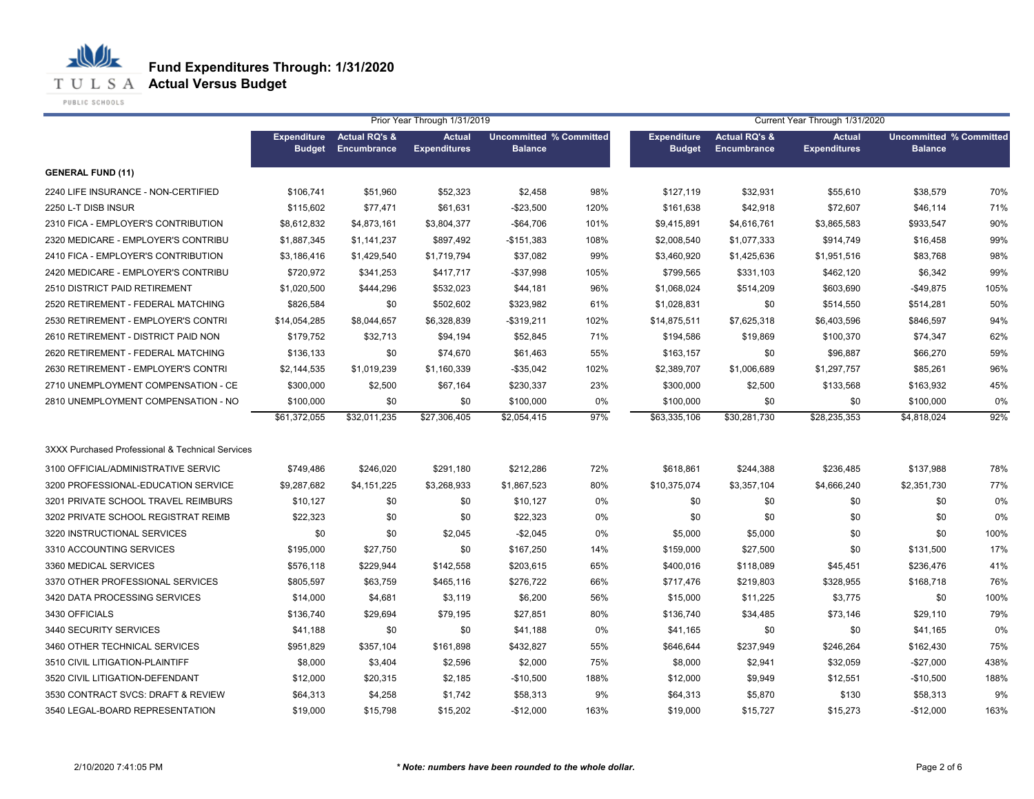**Fund Expenditures Through: 1/31/2020**

**T U L S A Actual Versus Budget** 

PUBLIC SCHOOLS

|                                                  |                                     |                                         | Prior Year Through 1/31/2019         |                                                  |       |                                     |                                         | Current Year Through 1/31/2020       |                                                  |      |
|--------------------------------------------------|-------------------------------------|-----------------------------------------|--------------------------------------|--------------------------------------------------|-------|-------------------------------------|-----------------------------------------|--------------------------------------|--------------------------------------------------|------|
|                                                  | <b>Expenditure</b><br><b>Budget</b> | <b>Actual RQ's &amp;</b><br>Encumbrance | <b>Actual</b><br><b>Expenditures</b> | <b>Uncommitted % Committed</b><br><b>Balance</b> |       | <b>Expenditure</b><br><b>Budget</b> | <b>Actual RQ's &amp;</b><br>Encumbrance | <b>Actual</b><br><b>Expenditures</b> | <b>Uncommitted % Committed</b><br><b>Balance</b> |      |
| <b>GENERAL FUND (11)</b>                         |                                     |                                         |                                      |                                                  |       |                                     |                                         |                                      |                                                  |      |
| 2240 LIFE INSURANCE - NON-CERTIFIED              | \$106,741                           | \$51,960                                | \$52,323                             | \$2,458                                          | 98%   | \$127,119                           | \$32,931                                | \$55,610                             | \$38,579                                         | 70%  |
| 2250 L-T DISB INSUR                              | \$115,602                           | \$77,471                                | \$61,631                             | $-$23,500$                                       | 120%  | \$161,638                           | \$42,918                                | \$72,607                             | \$46,114                                         | 71%  |
| 2310 FICA - EMPLOYER'S CONTRIBUTION              | \$8.612.832                         | \$4,873,161                             | \$3,804,377                          | -\$64,706                                        | 101%  | \$9,415,891                         | \$4,616,761                             | \$3,865,583                          | \$933.547                                        | 90%  |
| 2320 MEDICARE - EMPLOYER'S CONTRIBU              | \$1,887,345                         | \$1,141,237                             | \$897,492                            | $-$151,383$                                      | 108%  | \$2,008,540                         | \$1,077,333                             | \$914,749                            | \$16,458                                         | 99%  |
| 2410 FICA - EMPLOYER'S CONTRIBUTION              | \$3.186.416                         | \$1,429,540                             | \$1,719,794                          | \$37,082                                         | 99%   | \$3,460,920                         | \$1,425,636                             | \$1,951,516                          | \$83,768                                         | 98%  |
| 2420 MEDICARE - EMPLOYER'S CONTRIBU              | \$720.972                           | \$341,253                               | \$417,717                            | -\$37,998                                        | 105%  | \$799.565                           | \$331,103                               | \$462,120                            | \$6,342                                          | 99%  |
| 2510 DISTRICT PAID RETIREMENT                    | \$1,020,500                         | \$444,296                               | \$532,023                            | \$44,181                                         | 96%   | \$1,068,024                         | \$514,209                               | \$603,690                            | $-$49.875$                                       | 105% |
| 2520 RETIREMENT - FEDERAL MATCHING               | \$826.584                           | \$0                                     | \$502,602                            | \$323,982                                        | 61%   | \$1,028,831                         | \$0                                     | \$514,550                            | \$514,281                                        | 50%  |
| 2530 RETIREMENT - EMPLOYER'S CONTRI              | \$14,054,285                        | \$8,044,657                             | \$6,328,839                          | $-$319,211$                                      | 102%  | \$14,875,511                        | \$7,625,318                             | \$6,403,596                          | \$846,597                                        | 94%  |
| 2610 RETIREMENT - DISTRICT PAID NON              | \$179.752                           | \$32,713                                | \$94,194                             | \$52,845                                         | 71%   | \$194,586                           | \$19,869                                | \$100,370                            | \$74,347                                         | 62%  |
| 2620 RETIREMENT - FEDERAL MATCHING               | \$136.133                           | \$0                                     | \$74,670                             | \$61,463                                         | 55%   | \$163,157                           | \$0                                     | \$96,887                             | \$66,270                                         | 59%  |
| 2630 RETIREMENT - EMPLOYER'S CONTRI              | \$2,144,535                         | \$1,019,239                             | \$1,160,339                          | -\$35,042                                        | 102%  | \$2,389,707                         | \$1,006,689                             | \$1,297,757                          | \$85.261                                         | 96%  |
| 2710 UNEMPLOYMENT COMPENSATION - CE              | \$300,000                           | \$2,500                                 | \$67,164                             | \$230,337                                        | 23%   | \$300,000                           | \$2,500                                 | \$133,568                            | \$163.932                                        | 45%  |
| 2810 UNEMPLOYMENT COMPENSATION - NO              | \$100,000                           | \$0                                     | \$0                                  | \$100,000                                        | 0%    | \$100,000                           | \$0                                     | \$0                                  | \$100,000                                        | 0%   |
|                                                  | \$61,372,055                        | \$32,011,235                            | \$27,306,405                         | \$2,054,415                                      | 97%   | \$63,335,106                        | \$30,281,730                            | \$28,235,353                         | \$4.818.024                                      | 92%  |
| 3XXX Purchased Professional & Technical Services |                                     |                                         |                                      |                                                  |       |                                     |                                         |                                      |                                                  |      |
| 3100 OFFICIAL/ADMINISTRATIVE SERVIC              | \$749,486                           | \$246,020                               | \$291,180                            | \$212,286                                        | 72%   | \$618,861                           | \$244,388                               | \$236,485                            | \$137,988                                        | 78%  |
| 3200 PROFESSIONAL-EDUCATION SERVICE              | \$9,287,682                         | \$4,151,225                             | \$3,268,933                          | \$1,867,523                                      | 80%   | \$10,375,074                        | \$3,357,104                             | \$4,666,240                          | \$2,351,730                                      | 77%  |
| 3201 PRIVATE SCHOOL TRAVEL REIMBURS              | \$10,127                            | \$0                                     | \$0                                  | \$10,127                                         | $0\%$ | \$0                                 | \$0                                     | \$0                                  | \$0                                              | 0%   |
| 3202 PRIVATE SCHOOL REGISTRAT REIMB              | \$22,323                            | \$0                                     | \$0                                  | \$22,323                                         | $0\%$ | \$0                                 | \$0                                     | \$0                                  | \$0                                              | 0%   |
| 3220 INSTRUCTIONAL SERVICES                      | \$0                                 | \$0                                     | \$2,045                              | $-$2,045$                                        | 0%    | \$5,000                             | \$5,000                                 | \$0                                  | \$0                                              | 100% |
| 3310 ACCOUNTING SERVICES                         | \$195,000                           | \$27,750                                | \$0                                  | \$167,250                                        | 14%   | \$159,000                           | \$27,500                                | \$0                                  | \$131,500                                        | 17%  |
| 3360 MEDICAL SERVICES                            | \$576,118                           | \$229,944                               | \$142,558                            | \$203,615                                        | 65%   | \$400,016                           | \$118,089                               | \$45,451                             | \$236,476                                        | 41%  |
| 3370 OTHER PROFESSIONAL SERVICES                 | \$805,597                           | \$63,759                                | \$465,116                            | \$276,722                                        | 66%   | \$717,476                           | \$219,803                               | \$328,955                            | \$168,718                                        | 76%  |
| 3420 DATA PROCESSING SERVICES                    | \$14,000                            | \$4,681                                 | \$3,119                              | \$6,200                                          | 56%   | \$15,000                            | \$11,225                                | \$3,775                              | \$0                                              | 100% |
| 3430 OFFICIALS                                   | \$136,740                           | \$29,694                                | \$79,195                             | \$27,851                                         | 80%   | \$136,740                           | \$34,485                                | \$73,146                             | \$29,110                                         | 79%  |
| 3440 SECURITY SERVICES                           | \$41,188                            | \$0                                     | \$0                                  | \$41,188                                         | 0%    | \$41,165                            | \$0                                     | \$0                                  | \$41,165                                         | 0%   |
| 3460 OTHER TECHNICAL SERVICES                    | \$951,829                           | \$357,104                               | \$161,898                            | \$432,827                                        | 55%   | \$646,644                           | \$237,949                               | \$246,264                            | \$162,430                                        | 75%  |
| 3510 CIVIL LITIGATION-PLAINTIFF                  | \$8,000                             | \$3,404                                 | \$2,596                              | \$2,000                                          | 75%   | \$8,000                             | \$2,941                                 | \$32,059                             | $-$27,000$                                       | 438% |
| 3520 CIVIL LITIGATION-DEFENDANT                  | \$12,000                            | \$20,315                                | \$2,185                              | $-$10,500$                                       | 188%  | \$12,000                            | \$9,949                                 | \$12,551                             | $-$10,500$                                       | 188% |
| 3530 CONTRACT SVCS: DRAFT & REVIEW               | \$64,313                            | \$4,258                                 | \$1,742                              | \$58,313                                         | 9%    | \$64,313                            | \$5,870                                 | \$130                                | \$58,313                                         | 9%   |
| 3540 LEGAL-BOARD REPRESENTATION                  | \$19,000                            | \$15,798                                | \$15,202                             | $-$12,000$                                       | 163%  | \$19,000                            | \$15,727                                | \$15,273                             | $-$12,000$                                       | 163% |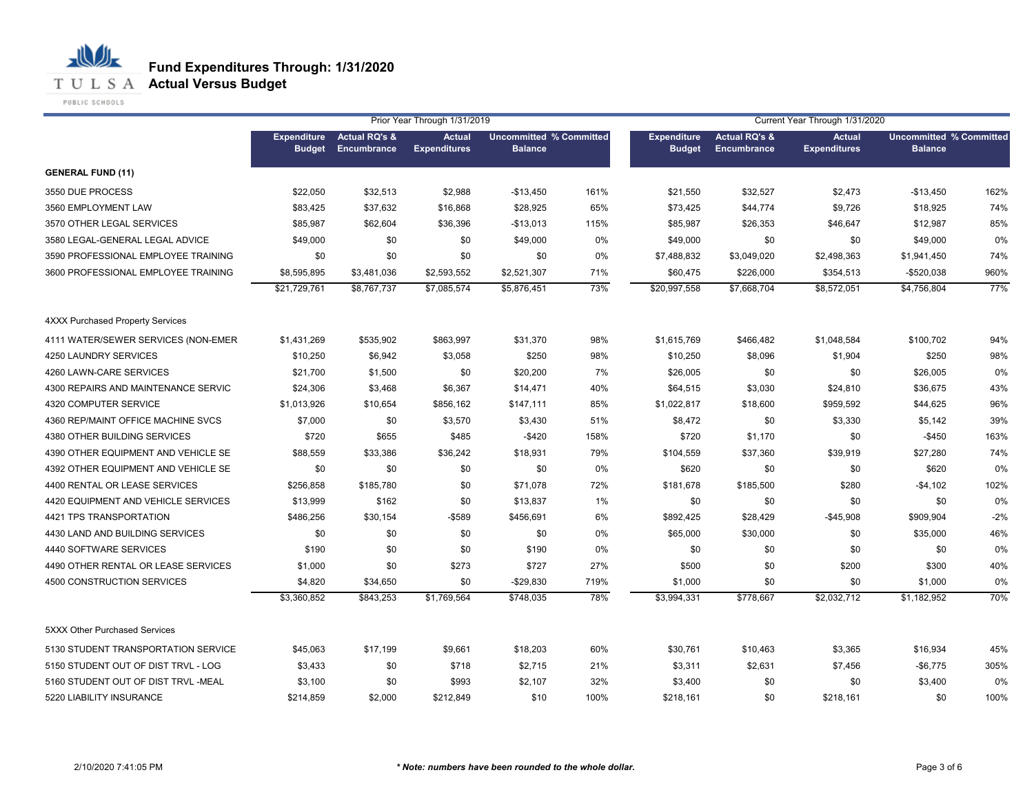

**T U L S A Actual Versus Budget** 

PUBLIC SCHOOLS

|                                         |                                     |                                         | Prior Year Through 1/31/2019         |                                                  |       |                                     |                                         | Current Year Through 1/31/2020       |                                                  |       |  |
|-----------------------------------------|-------------------------------------|-----------------------------------------|--------------------------------------|--------------------------------------------------|-------|-------------------------------------|-----------------------------------------|--------------------------------------|--------------------------------------------------|-------|--|
|                                         | <b>Expenditure</b><br><b>Budget</b> | <b>Actual RQ's &amp;</b><br>Encumbrance | <b>Actual</b><br><b>Expenditures</b> | <b>Uncommitted % Committed</b><br><b>Balance</b> |       | <b>Expenditure</b><br><b>Budget</b> | <b>Actual RQ's &amp;</b><br>Encumbrance | <b>Actual</b><br><b>Expenditures</b> | <b>Uncommitted % Committed</b><br><b>Balance</b> |       |  |
| <b>GENERAL FUND (11)</b>                |                                     |                                         |                                      |                                                  |       |                                     |                                         |                                      |                                                  |       |  |
| 3550 DUE PROCESS                        | \$22,050                            | \$32,513                                | \$2,988                              | $-$13,450$                                       | 161%  | \$21,550                            | \$32,527                                | \$2,473                              | $-$13,450$                                       | 162%  |  |
| 3560 EMPLOYMENT LAW                     | \$83,425                            | \$37,632                                | \$16,868                             | \$28,925                                         | 65%   | \$73,425                            | \$44,774                                | \$9,726                              | \$18,925                                         | 74%   |  |
| 3570 OTHER LEGAL SERVICES               | \$85,987                            | \$62,604                                | \$36,396                             | $-$13,013$                                       | 115%  | \$85,987                            | \$26,353                                | \$46,647                             | \$12,987                                         | 85%   |  |
| 3580 LEGAL-GENERAL LEGAL ADVICE         | \$49,000                            | \$0                                     | \$0                                  | \$49,000                                         | 0%    | \$49,000                            | \$0                                     | \$0                                  | \$49,000                                         | 0%    |  |
| 3590 PROFESSIONAL EMPLOYEE TRAINING     | \$0                                 | \$0                                     | \$0                                  | \$0                                              | 0%    | \$7,488,832                         | \$3,049,020                             | \$2,498,363                          | \$1,941,450                                      | 74%   |  |
| 3600 PROFESSIONAL EMPLOYEE TRAINING     | \$8,595,895                         | \$3,481,036                             | \$2,593,552                          | \$2,521,307                                      | 71%   | \$60,475                            | \$226,000                               | \$354,513                            | $-$520,038$                                      | 960%  |  |
|                                         | \$21,729,761                        | \$8,767,737                             | \$7,085,574                          | \$5,876,451                                      | 73%   | \$20,997,558                        | \$7.668.704                             | \$8,572,051                          | \$4.756.804                                      | 77%   |  |
| <b>4XXX Purchased Property Services</b> |                                     |                                         |                                      |                                                  |       |                                     |                                         |                                      |                                                  |       |  |
| 4111 WATER/SEWER SERVICES (NON-EMER     | \$1,431,269                         | \$535,902                               | \$863,997                            | \$31,370                                         | 98%   | \$1,615,769                         | \$466,482                               | \$1,048,584                          | \$100,702                                        | 94%   |  |
| 4250 LAUNDRY SERVICES                   | \$10,250                            | \$6,942                                 | \$3,058                              | \$250                                            | 98%   | \$10,250                            | \$8,096                                 | \$1,904                              | \$250                                            | 98%   |  |
| 4260 LAWN-CARE SERVICES                 | \$21,700                            | \$1,500                                 | \$0                                  | \$20,200                                         | 7%    | \$26,005                            | \$0                                     | \$0                                  | \$26,005                                         | 0%    |  |
| 4300 REPAIRS AND MAINTENANCE SERVIC     | \$24,306                            | \$3,468                                 | \$6,367                              | \$14,471                                         | 40%   | \$64,515                            | \$3,030                                 | \$24,810                             | \$36,675                                         | 43%   |  |
| 4320 COMPUTER SERVICE                   | \$1,013,926                         | \$10,654                                | \$856,162                            | \$147,111                                        | 85%   | \$1,022,817                         | \$18,600                                | \$959,592                            | \$44,625                                         | 96%   |  |
| 4360 REP/MAINT OFFICE MACHINE SVCS      | \$7,000                             | \$0                                     | \$3,570                              | \$3,430                                          | 51%   | \$8,472                             | \$0                                     | \$3,330                              | \$5,142                                          | 39%   |  |
| 4380 OTHER BUILDING SERVICES            | \$720                               | \$655                                   | \$485                                | $-$ \$420                                        | 158%  | \$720                               | \$1,170                                 | \$0                                  | $-$450$                                          | 163%  |  |
| 4390 OTHER EQUIPMENT AND VEHICLE SE     | \$88,559                            | \$33,386                                | \$36,242                             | \$18,931                                         | 79%   | \$104,559                           | \$37,360                                | \$39,919                             | \$27,280                                         | 74%   |  |
| 4392 OTHER EQUIPMENT AND VEHICLE SE     | \$0                                 | \$0                                     | \$0                                  | \$0                                              | $0\%$ | \$620                               | \$0                                     | \$0                                  | \$620                                            | 0%    |  |
| 4400 RENTAL OR LEASE SERVICES           | \$256,858                           | \$185,780                               | \$0                                  | \$71,078                                         | 72%   | \$181,678                           | \$185,500                               | \$280                                | -\$4,102                                         | 102%  |  |
| 4420 EQUIPMENT AND VEHICLE SERVICES     | \$13,999                            | \$162                                   | \$0                                  | \$13,837                                         | 1%    | \$0                                 | \$0                                     | \$0                                  | \$0                                              | 0%    |  |
| 4421 TPS TRANSPORTATION                 | \$486,256                           | \$30,154                                | $-$ \$589                            | \$456,691                                        | 6%    | \$892,425                           | \$28,429                                | $-$45,908$                           | \$909,904                                        | $-2%$ |  |
| 4430 LAND AND BUILDING SERVICES         | \$0                                 | \$0                                     | \$0                                  | \$0                                              | 0%    | \$65,000                            | \$30,000                                | \$0                                  | \$35,000                                         | 46%   |  |
| 4440 SOFTWARE SERVICES                  | \$190                               | \$0                                     | \$0                                  | \$190                                            | 0%    | \$0                                 | \$0                                     | \$0                                  | \$0                                              | 0%    |  |
| 4490 OTHER RENTAL OR LEASE SERVICES     | \$1,000                             | \$0                                     | \$273                                | \$727                                            | 27%   | \$500                               | \$0                                     | \$200                                | \$300                                            | 40%   |  |
| 4500 CONSTRUCTION SERVICES              | \$4,820                             | \$34,650                                | \$0                                  | $-$29,830$                                       | 719%  | \$1,000                             | \$0                                     | \$0                                  | \$1,000                                          | 0%    |  |
|                                         | \$3,360,852                         | \$843,253                               | \$1,769,564                          | \$748,035                                        | 78%   | \$3,994,331                         | \$778,667                               | \$2,032,712                          | \$1,182,952                                      | 70%   |  |
| 5XXX Other Purchased Services           |                                     |                                         |                                      |                                                  |       |                                     |                                         |                                      |                                                  |       |  |
| 5130 STUDENT TRANSPORTATION SERVICE     | \$45,063                            | \$17,199                                | \$9,661                              | \$18,203                                         | 60%   | \$30,761                            | \$10,463                                | \$3,365                              | \$16,934                                         | 45%   |  |
| 5150 STUDENT OUT OF DIST TRVL - LOG     | \$3,433                             | \$0                                     | \$718                                | \$2,715                                          | 21%   | \$3,311                             | \$2,631                                 | \$7,456                              | $-$6,775$                                        | 305%  |  |
| 5160 STUDENT OUT OF DIST TRVL -MEAL     | \$3,100                             | \$0                                     | \$993                                | \$2,107                                          | 32%   | \$3,400                             | \$0                                     | \$0                                  | \$3,400                                          | 0%    |  |
| 5220 LIABILITY INSURANCE                | \$214,859                           | \$2,000                                 | \$212,849                            | \$10                                             | 100%  | \$218,161                           | \$0                                     | \$218,161                            | \$0                                              | 100%  |  |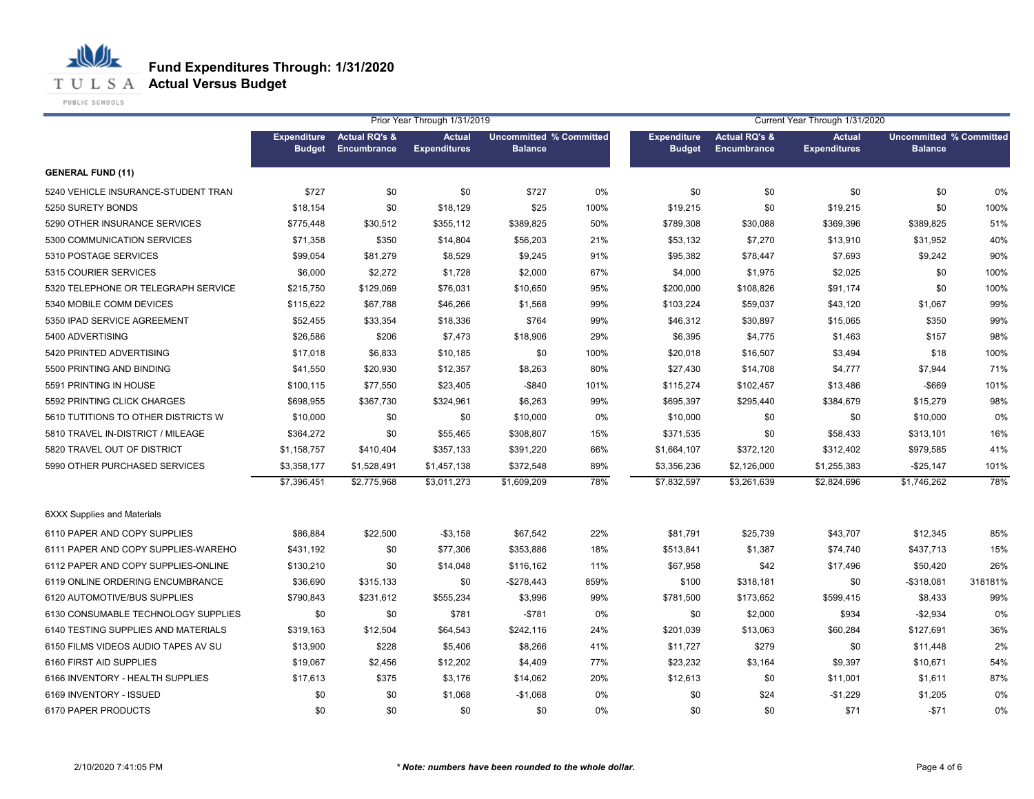**Fund Expenditures Through: 1/31/2020**

**T U L S A Actual Versus Budget** 

PUBLIC SCHOOLS

|                                     |                    |                          | Prior Year Through 1/31/2019 |                                |      |                    |                          | Current Year Through 1/31/2020 |                                |         |
|-------------------------------------|--------------------|--------------------------|------------------------------|--------------------------------|------|--------------------|--------------------------|--------------------------------|--------------------------------|---------|
|                                     | <b>Expenditure</b> | <b>Actual RQ's &amp;</b> | <b>Actual</b>                | <b>Uncommitted % Committed</b> |      | <b>Expenditure</b> | <b>Actual RQ's &amp;</b> | <b>Actual</b>                  | <b>Uncommitted % Committed</b> |         |
|                                     | <b>Budget</b>      | Encumbrance              | <b>Expenditures</b>          | <b>Balance</b>                 |      | <b>Budget</b>      | <b>Encumbrance</b>       | <b>Expenditures</b>            | <b>Balance</b>                 |         |
| <b>GENERAL FUND (11)</b>            |                    |                          |                              |                                |      |                    |                          |                                |                                |         |
| 5240 VEHICLE INSURANCE-STUDENT TRAN | \$727              | \$0                      | \$0                          | \$727                          | 0%   | \$0                | \$0                      | \$0                            | \$0                            | 0%      |
| 5250 SURETY BONDS                   | \$18,154           | \$0                      | \$18,129                     | \$25                           | 100% | \$19,215           | \$0                      | \$19,215                       | \$0                            | 100%    |
| 5290 OTHER INSURANCE SERVICES       | \$775,448          | \$30,512                 | \$355,112                    | \$389,825                      | 50%  | \$789,308          | \$30,088                 | \$369,396                      | \$389,825                      | 51%     |
| 5300 COMMUNICATION SERVICES         | \$71,358           | \$350                    | \$14,804                     | \$56,203                       | 21%  | \$53,132           | \$7,270                  | \$13,910                       | \$31,952                       | 40%     |
| 5310 POSTAGE SERVICES               | \$99,054           | \$81,279                 | \$8,529                      | \$9,245                        | 91%  | \$95,382           | \$78,447                 | \$7,693                        | \$9,242                        | 90%     |
| 5315 COURIER SERVICES               | \$6,000            | \$2,272                  | \$1,728                      | \$2,000                        | 67%  | \$4,000            | \$1,975                  | \$2,025                        | \$0                            | 100%    |
| 5320 TELEPHONE OR TELEGRAPH SERVICE | \$215,750          | \$129,069                | \$76,031                     | \$10,650                       | 95%  | \$200,000          | \$108,826                | \$91,174                       | \$0                            | 100%    |
| 5340 MOBILE COMM DEVICES            | \$115,622          | \$67,788                 | \$46,266                     | \$1,568                        | 99%  | \$103,224          | \$59,037                 | \$43,120                       | \$1,067                        | 99%     |
| 5350 IPAD SERVICE AGREEMENT         | \$52,455           | \$33,354                 | \$18,336                     | \$764                          | 99%  | \$46,312           | \$30,897                 | \$15,065                       | \$350                          | 99%     |
| 5400 ADVERTISING                    | \$26,586           | \$206                    | \$7,473                      | \$18,906                       | 29%  | \$6,395            | \$4,775                  | \$1,463                        | \$157                          | 98%     |
| 5420 PRINTED ADVERTISING            | \$17,018           | \$6,833                  | \$10,185                     | \$0                            | 100% | \$20,018           | \$16,507                 | \$3,494                        | \$18                           | 100%    |
| 5500 PRINTING AND BINDING           | \$41,550           | \$20,930                 | \$12,357                     | \$8,263                        | 80%  | \$27,430           | \$14,708                 | \$4,777                        | \$7,944                        | 71%     |
| 5591 PRINTING IN HOUSE              | \$100,115          | \$77,550                 | \$23,405                     | $-$ \$840                      | 101% | \$115,274          | \$102,457                | \$13,486                       | $-$669$                        | 101%    |
| 5592 PRINTING CLICK CHARGES         | \$698,955          | \$367,730                | \$324,961                    | \$6,263                        | 99%  | \$695,397          | \$295,440                | \$384,679                      | \$15,279                       | 98%     |
| 5610 TUTITIONS TO OTHER DISTRICTS W | \$10,000           | \$0                      | \$0                          | \$10,000                       | 0%   | \$10,000           | \$0                      | \$0                            | \$10,000                       | 0%      |
| 5810 TRAVEL IN-DISTRICT / MILEAGE   | \$364,272          | \$0                      | \$55,465                     | \$308,807                      | 15%  | \$371,535          | \$0                      | \$58,433                       | \$313,101                      | 16%     |
| 5820 TRAVEL OUT OF DISTRICT         | \$1,158,757        | \$410,404                | \$357,133                    | \$391,220                      | 66%  | \$1,664,107        | \$372,120                | \$312,402                      | \$979,585                      | 41%     |
| 5990 OTHER PURCHASED SERVICES       | \$3,358,177        | \$1,528,491              | \$1,457,138                  | \$372,548                      | 89%  | \$3,356,236        | \$2,126,000              | \$1,255,383                    | $-$25,147$                     | 101%    |
|                                     | \$7,396,451        | \$2,775,968              | \$3,011,273                  | \$1,609,209                    | 78%  | \$7,832,597        | \$3,261,639              | \$2,824,696                    | \$1,746,262                    | 78%     |
| <b>6XXX Supplies and Materials</b>  |                    |                          |                              |                                |      |                    |                          |                                |                                |         |
| 6110 PAPER AND COPY SUPPLIES        | \$86,884           | \$22,500                 | $- $3,158$                   | \$67,542                       | 22%  | \$81,791           | \$25,739                 | \$43,707                       | \$12,345                       | 85%     |
| 6111 PAPER AND COPY SUPPLIES-WAREHO | \$431,192          | \$0                      | \$77,306                     | \$353,886                      | 18%  | \$513,841          | \$1,387                  | \$74,740                       | \$437,713                      | 15%     |
| 6112 PAPER AND COPY SUPPLIES-ONLINE | \$130,210          | \$0                      | \$14,048                     | \$116,162                      | 11%  | \$67,958           | \$42                     | \$17,496                       | \$50,420                       | 26%     |
| 6119 ONLINE ORDERING ENCUMBRANCE    | \$36,690           | \$315,133                | \$0                          | $-$278,443$                    | 859% | \$100              | \$318,181                | \$0                            | $-$318,081$                    | 318181% |
| 6120 AUTOMOTIVE/BUS SUPPLIES        | \$790,843          | \$231,612                | \$555,234                    | \$3,996                        | 99%  | \$781,500          | \$173,652                | \$599,415                      | \$8,433                        | 99%     |
| 6130 CONSUMABLE TECHNOLOGY SUPPLIES | \$0                | \$0                      | \$781                        | $-$ \$781                      | 0%   | \$0                | \$2,000                  | \$934                          | $-$2,934$                      | 0%      |
| 6140 TESTING SUPPLIES AND MATERIALS | \$319,163          | \$12,504                 | \$64,543                     | \$242,116                      | 24%  | \$201,039          | \$13,063                 | \$60,284                       | \$127,691                      | 36%     |
| 6150 FILMS VIDEOS AUDIO TAPES AV SU | \$13,900           | \$228                    | \$5,406                      | \$8,266                        | 41%  | \$11,727           | \$279                    | \$0                            | \$11,448                       | 2%      |
| 6160 FIRST AID SUPPLIES             | \$19,067           | \$2,456                  | \$12,202                     | \$4,409                        | 77%  | \$23,232           | \$3,164                  | \$9,397                        | \$10,671                       | 54%     |
| 6166 INVENTORY - HEALTH SUPPLIES    | \$17,613           | \$375                    | \$3,176                      | \$14,062                       | 20%  | \$12,613           | \$0                      | \$11,001                       | \$1,611                        | 87%     |
| 6169 INVENTORY - ISSUED             | \$0                | \$0                      | \$1,068                      | $-$1,068$                      | 0%   | \$0                | \$24                     | $-$1,229$                      | \$1,205                        | 0%      |
| 6170 PAPER PRODUCTS                 | \$0                | \$0                      | \$0                          | \$0                            | 0%   | \$0                | \$0                      | \$71                           | $-$71$                         | 0%      |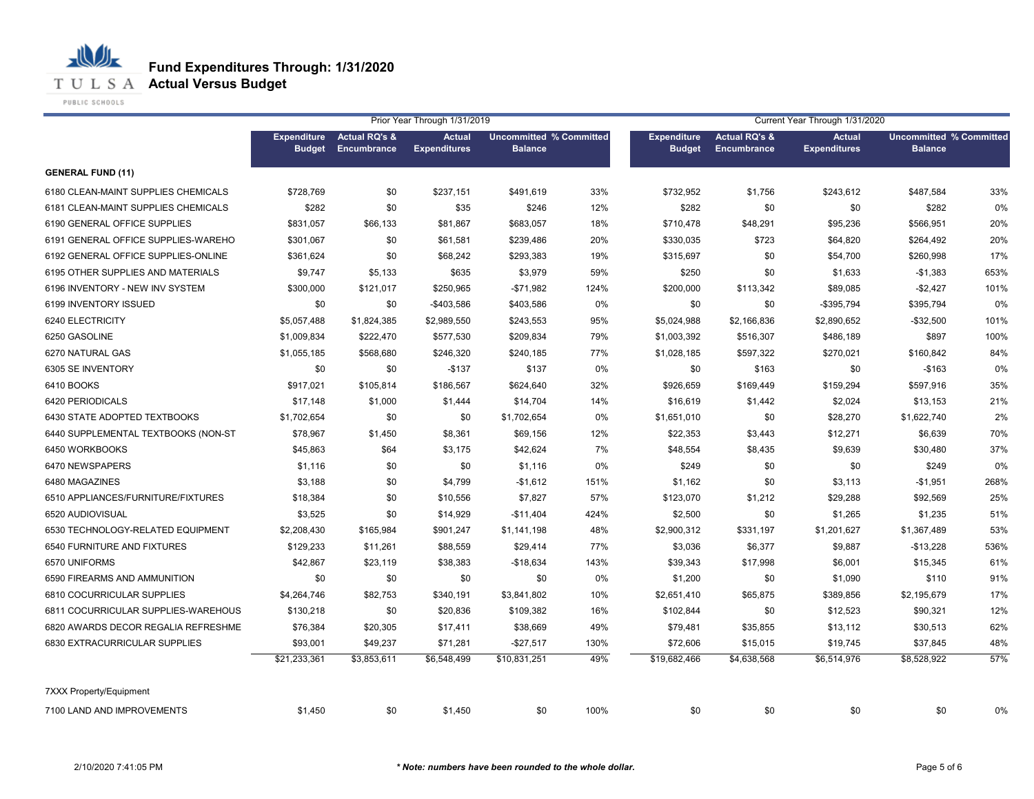**Fund Expenditures Through: 1/31/2020**

**T U L S A Actual Versus Budget** 

PUBLIC SCHOOLS

|                                     |                                     |                                         | Prior Year Through 1/31/2019         |                                                  |      | Current Year Through 1/31/2020      |                                         |                                      |                                                  |      |
|-------------------------------------|-------------------------------------|-----------------------------------------|--------------------------------------|--------------------------------------------------|------|-------------------------------------|-----------------------------------------|--------------------------------------|--------------------------------------------------|------|
|                                     | <b>Expenditure</b><br><b>Budget</b> | <b>Actual RQ's &amp;</b><br>Encumbrance | <b>Actual</b><br><b>Expenditures</b> | <b>Uncommitted % Committed</b><br><b>Balance</b> |      | <b>Expenditure</b><br><b>Budget</b> | <b>Actual RQ's &amp;</b><br>Encumbrance | <b>Actual</b><br><b>Expenditures</b> | <b>Uncommitted % Committed</b><br><b>Balance</b> |      |
| <b>GENERAL FUND (11)</b>            |                                     |                                         |                                      |                                                  |      |                                     |                                         |                                      |                                                  |      |
| 6180 CLEAN-MAINT SUPPLIES CHEMICALS | \$728,769                           | \$0                                     | \$237,151                            | \$491,619                                        | 33%  | \$732,952                           | \$1,756                                 | \$243,612                            | \$487,584                                        | 33%  |
| 6181 CLEAN-MAINT SUPPLIES CHEMICALS | \$282                               | \$0                                     | \$35                                 | \$246                                            | 12%  | \$282                               | \$0                                     | \$0                                  | \$282                                            | 0%   |
| 6190 GENERAL OFFICE SUPPLIES        | \$831,057                           | \$66,133                                | \$81,867                             | \$683,057                                        | 18%  | \$710,478                           | \$48,291                                | \$95,236                             | \$566,951                                        | 20%  |
| 6191 GENERAL OFFICE SUPPLIES-WAREHO | \$301,067                           | \$0                                     | \$61,581                             | \$239,486                                        | 20%  | \$330,035                           | \$723                                   | \$64,820                             | \$264,492                                        | 20%  |
| 6192 GENERAL OFFICE SUPPLIES-ONLINE | \$361,624                           | \$0                                     | \$68,242                             | \$293,383                                        | 19%  | \$315,697                           | \$0                                     | \$54,700                             | \$260,998                                        | 17%  |
| 6195 OTHER SUPPLIES AND MATERIALS   | \$9,747                             | \$5,133                                 | \$635                                | \$3,979                                          | 59%  | \$250                               | \$0                                     | \$1,633                              | $-$1,383$                                        | 653% |
| 6196 INVENTORY - NEW INV SYSTEM     | \$300,000                           | \$121,017                               | \$250,965                            | $-$71,982$                                       | 124% | \$200,000                           | \$113,342                               | \$89,085                             | $-$2,427$                                        | 101% |
| 6199 INVENTORY ISSUED               | \$0                                 | \$0                                     | -\$403,586                           | \$403,586                                        | 0%   | \$0                                 | \$0                                     | -\$395,794                           | \$395,794                                        | 0%   |
| 6240 ELECTRICITY                    | \$5,057,488                         | \$1,824,385                             | \$2,989,550                          | \$243,553                                        | 95%  | \$5,024,988                         | \$2,166,836                             | \$2,890,652                          | $-$ \$32,500                                     | 101% |
| 6250 GASOLINE                       | \$1,009,834                         | \$222,470                               | \$577,530                            | \$209,834                                        | 79%  | \$1,003,392                         | \$516,307                               | \$486,189                            | \$897                                            | 100% |
| 6270 NATURAL GAS                    | \$1,055,185                         | \$568,680                               | \$246,320                            | \$240,185                                        | 77%  | \$1,028,185                         | \$597,322                               | \$270,021                            | \$160,842                                        | 84%  |
| 6305 SE INVENTORY                   | \$0                                 | \$0                                     | $-$137$                              | \$137                                            | 0%   | \$0                                 | \$163                                   | \$0                                  | $-$163$                                          | 0%   |
| 6410 BOOKS                          | \$917,021                           | \$105,814                               | \$186,567                            | \$624,640                                        | 32%  | \$926,659                           | \$169,449                               | \$159,294                            | \$597,916                                        | 35%  |
| 6420 PERIODICALS                    | \$17,148                            | \$1,000                                 | \$1,444                              | \$14,704                                         | 14%  | \$16,619                            | \$1,442                                 | \$2,024                              | \$13,153                                         | 21%  |
| 6430 STATE ADOPTED TEXTBOOKS        | \$1,702,654                         | \$0                                     | \$0                                  | \$1,702,654                                      | 0%   | \$1,651,010                         | \$0                                     | \$28,270                             | \$1,622,740                                      | 2%   |
| 6440 SUPPLEMENTAL TEXTBOOKS (NON-ST | \$78,967                            | \$1,450                                 | \$8,361                              | \$69,156                                         | 12%  | \$22,353                            | \$3,443                                 | \$12,271                             | \$6,639                                          | 70%  |
| 6450 WORKBOOKS                      | \$45,863                            | \$64                                    | \$3,175                              | \$42,624                                         | 7%   | \$48,554                            | \$8,435                                 | \$9,639                              | \$30,480                                         | 37%  |
| 6470 NEWSPAPERS                     | \$1,116                             | \$0                                     | \$0                                  | \$1,116                                          | 0%   | \$249                               | \$0                                     | \$0                                  | \$249                                            | 0%   |
| 6480 MAGAZINES                      | \$3,188                             | \$0                                     | \$4,799                              | $-$1,612$                                        | 151% | \$1,162                             | \$0                                     | \$3,113                              | $-$1,951$                                        | 268% |
| 6510 APPLIANCES/FURNITURE/FIXTURES  | \$18,384                            | \$0                                     | \$10,556                             | \$7,827                                          | 57%  | \$123,070                           | \$1,212                                 | \$29,288                             | \$92,569                                         | 25%  |
| 6520 AUDIOVISUAL                    | \$3,525                             | \$0                                     | \$14,929                             | $-$11,404$                                       | 424% | \$2,500                             | \$0                                     | \$1,265                              | \$1,235                                          | 51%  |
| 6530 TECHNOLOGY-RELATED EQUIPMENT   | \$2,208,430                         | \$165,984                               | \$901,247                            | \$1,141,198                                      | 48%  | \$2,900,312                         | \$331,197                               | \$1,201,627                          | \$1,367,489                                      | 53%  |
| 6540 FURNITURE AND FIXTURES         | \$129,233                           | \$11,261                                | \$88.559                             | \$29,414                                         | 77%  | \$3,036                             | \$6,377                                 | \$9,887                              | $-$13,228$                                       | 536% |
| 6570 UNIFORMS                       | \$42,867                            | \$23,119                                | \$38,383                             | $-$18,634$                                       | 143% | \$39,343                            | \$17,998                                | \$6,001                              | \$15,345                                         | 61%  |
| 6590 FIREARMS AND AMMUNITION        | \$0                                 | \$0                                     | \$0                                  | \$0                                              | 0%   | \$1,200                             | \$0                                     | \$1,090                              | \$110                                            | 91%  |
| 6810 COCURRICULAR SUPPLIES          | \$4,264,746                         | \$82,753                                | \$340,191                            | \$3,841,802                                      | 10%  | \$2,651,410                         | \$65,875                                | \$389,856                            | \$2,195,679                                      | 17%  |
| 6811 COCURRICULAR SUPPLIES-WAREHOUS | \$130,218                           | \$0                                     | \$20,836                             | \$109,382                                        | 16%  | \$102,844                           | \$0                                     | \$12,523                             | \$90,321                                         | 12%  |
| 6820 AWARDS DECOR REGALIA REFRESHME | \$76,384                            | \$20,305                                | \$17,411                             | \$38,669                                         | 49%  | \$79,481                            | \$35,855                                | \$13,112                             | \$30,513                                         | 62%  |
| 6830 EXTRACURRICULAR SUPPLIES       | \$93,001                            | \$49,237                                | \$71,281                             | $-$27,517$                                       | 130% | \$72,606                            | \$15,015                                | \$19,745                             | \$37,845                                         | 48%  |
|                                     | \$21,233,361                        | \$3,853,611                             | \$6,548,499                          | \$10,831,251                                     | 49%  | \$19,682,466                        | \$4,638,568                             | \$6,514,976                          | \$8,528,922                                      | 57%  |
| <b>7XXX Property/Equipment</b>      |                                     |                                         |                                      |                                                  |      |                                     |                                         |                                      |                                                  |      |
| 7100 LAND AND IMPROVEMENTS          | \$1,450                             | \$0                                     | \$1,450                              | \$0                                              | 100% | \$0                                 | \$0                                     | \$0                                  | \$0                                              | 0%   |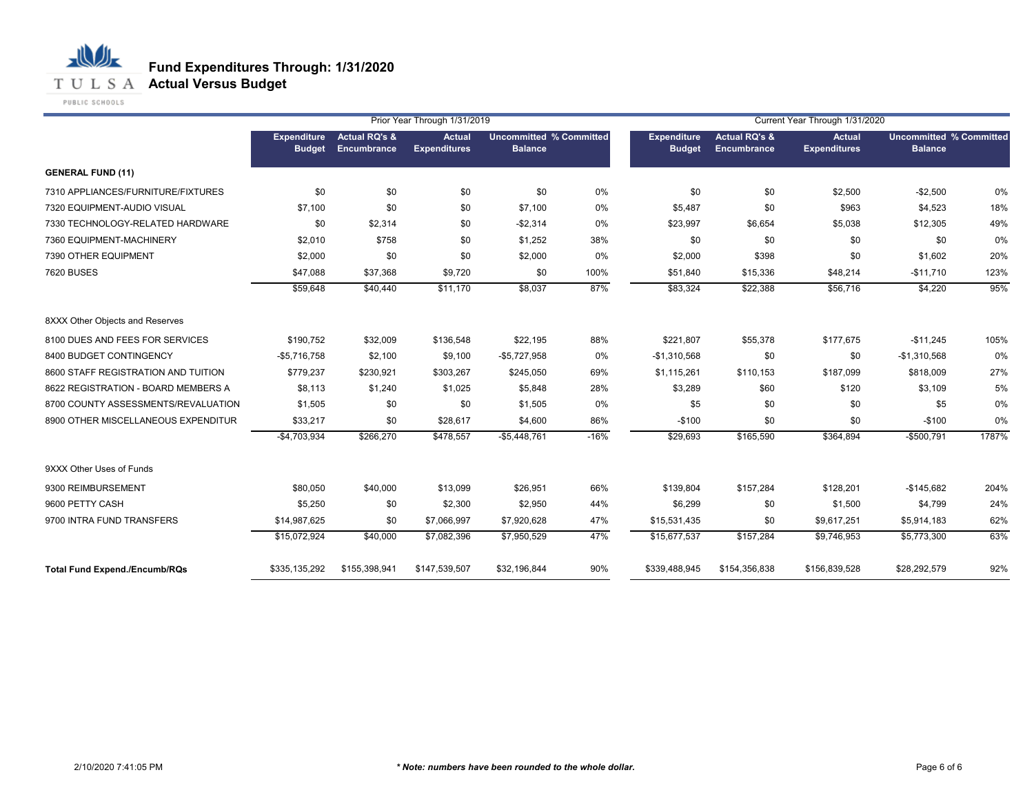

**T U L S A Actual Versus Budget** 

PUBLIC SCHOOLS

|                                      |                                     |                                         | Prior Year Through 1/31/2019         |                                                  |        |                              |                                         | Current Year Through 1/31/2020       |                                                  |       |
|--------------------------------------|-------------------------------------|-----------------------------------------|--------------------------------------|--------------------------------------------------|--------|------------------------------|-----------------------------------------|--------------------------------------|--------------------------------------------------|-------|
|                                      | <b>Expenditure</b><br><b>Budget</b> | <b>Actual RQ's &amp;</b><br>Encumbrance | <b>Actual</b><br><b>Expenditures</b> | <b>Uncommitted % Committed</b><br><b>Balance</b> |        | Expenditure<br><b>Budget</b> | <b>Actual RQ's &amp;</b><br>Encumbrance | <b>Actual</b><br><b>Expenditures</b> | <b>Uncommitted % Committed</b><br><b>Balance</b> |       |
| <b>GENERAL FUND (11)</b>             |                                     |                                         |                                      |                                                  |        |                              |                                         |                                      |                                                  |       |
| 7310 APPLIANCES/FURNITURE/FIXTURES   | \$0                                 | \$0                                     | \$0                                  | \$0                                              | 0%     | \$0                          | \$0                                     | \$2,500                              | $-$2,500$                                        | 0%    |
| 7320 EQUIPMENT-AUDIO VISUAL          | \$7,100                             | \$0                                     | \$0                                  | \$7,100                                          | 0%     | \$5,487                      | \$0                                     | \$963                                | \$4,523                                          | 18%   |
| 7330 TECHNOLOGY-RELATED HARDWARE     | \$0                                 | \$2,314                                 | \$0                                  | $-$2,314$                                        | 0%     | \$23,997                     | \$6,654                                 | \$5,038                              | \$12,305                                         | 49%   |
| 7360 EQUIPMENT-MACHINERY             | \$2,010                             | \$758                                   | \$0                                  | \$1,252                                          | 38%    | \$0                          | \$0                                     | \$0                                  | \$0                                              | 0%    |
| 7390 OTHER EQUIPMENT                 | \$2,000                             | \$0                                     | \$0                                  | \$2,000                                          | 0%     | \$2,000                      | \$398                                   | \$0                                  | \$1,602                                          | 20%   |
| <b>7620 BUSES</b>                    | \$47,088                            | \$37,368                                | \$9,720                              | \$0                                              | 100%   | \$51,840                     | \$15,336                                | \$48,214                             | $-$11,710$                                       | 123%  |
|                                      | \$59,648                            | \$40,440                                | \$11,170                             | \$8,037                                          | 87%    | \$83,324                     | \$22,388                                | \$56,716                             | \$4,220                                          | 95%   |
| 8XXX Other Objects and Reserves      |                                     |                                         |                                      |                                                  |        |                              |                                         |                                      |                                                  |       |
| 8100 DUES AND FEES FOR SERVICES      | \$190,752                           | \$32,009                                | \$136,548                            | \$22,195                                         | 88%    | \$221,807                    | \$55,378                                | \$177,675                            | $-$11,245$                                       | 105%  |
| 8400 BUDGET CONTINGENCY              | $-$5,716,758$                       | \$2,100                                 | \$9,100                              | $-$5,727,958$                                    | 0%     | $-$1,310,568$                | \$0                                     | \$0                                  | $-$1,310,568$                                    | 0%    |
| 8600 STAFF REGISTRATION AND TUITION  | \$779,237                           | \$230,921                               | \$303,267                            | \$245,050                                        | 69%    | \$1,115,261                  | \$110,153                               | \$187,099                            | \$818,009                                        | 27%   |
| 8622 REGISTRATION - BOARD MEMBERS A  | \$8,113                             | \$1,240                                 | \$1,025                              | \$5,848                                          | 28%    | \$3,289                      | \$60                                    | \$120                                | \$3,109                                          | 5%    |
| 8700 COUNTY ASSESSMENTS/REVALUATION  | \$1,505                             | \$0                                     | \$0                                  | \$1,505                                          | 0%     | \$5                          | \$0                                     | \$0                                  | \$5                                              | 0%    |
| 8900 OTHER MISCELLANEOUS EXPENDITUR  | \$33,217                            | \$0                                     | \$28,617                             | \$4,600                                          | 86%    | $-$100$                      | \$0                                     | \$0                                  | $-$100$                                          | 0%    |
|                                      | $-$4,703,934$                       | \$266,270                               | \$478,557                            | $-$5,448,761$                                    | $-16%$ | \$29,693                     | \$165,590                               | \$364,894                            | $-$500,791$                                      | 1787% |
| 9XXX Other Uses of Funds             |                                     |                                         |                                      |                                                  |        |                              |                                         |                                      |                                                  |       |
| 9300 REIMBURSEMENT                   | \$80,050                            | \$40,000                                | \$13,099                             | \$26,951                                         | 66%    | \$139,804                    | \$157,284                               | \$128,201                            | $-$145,682$                                      | 204%  |
| 9600 PETTY CASH                      | \$5,250                             | \$0                                     | \$2,300                              | \$2,950                                          | 44%    | \$6,299                      | \$0                                     | \$1,500                              | \$4,799                                          | 24%   |
| 9700 INTRA FUND TRANSFERS            | \$14,987,625                        | \$0                                     | \$7,066,997                          | \$7,920,628                                      | 47%    | \$15,531,435                 | \$0                                     | \$9,617,251                          | \$5,914,183                                      | 62%   |
|                                      | \$15,072,924                        | \$40,000                                | \$7,082,396                          | \$7,950,529                                      | 47%    | \$15,677,537                 | \$157,284                               | \$9,746,953                          | \$5,773,300                                      | 63%   |
| <b>Total Fund Expend./Encumb/RQs</b> | \$335,135,292                       | \$155,398,941                           | \$147,539,507                        | \$32,196,844                                     | 90%    | \$339,488,945                | \$154,356,838                           | \$156,839,528                        | \$28,292,579                                     | 92%   |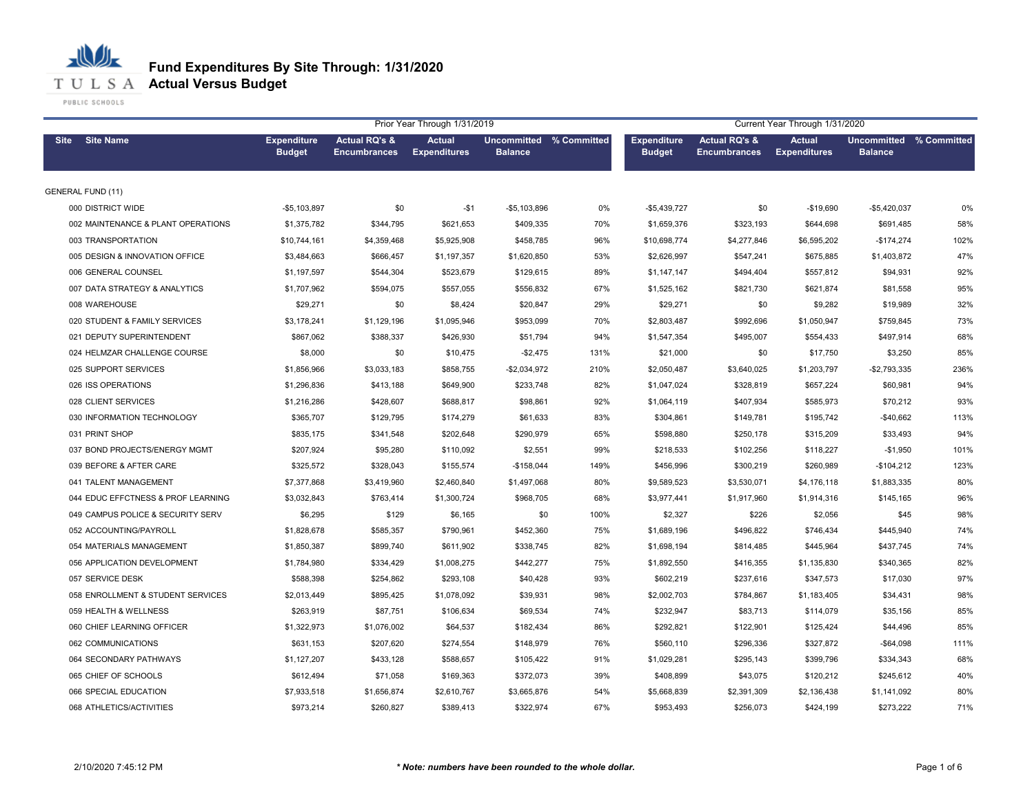**T U L S A Actual Versus Budget** 

PUBLIC SCHOOLS

|                                    |                                     | Prior Year Through 1/31/2019<br>Current Year Through 1/31/2020 |                                      |                                           |      |                                     |                                                 |                                      |                                           |      |
|------------------------------------|-------------------------------------|----------------------------------------------------------------|--------------------------------------|-------------------------------------------|------|-------------------------------------|-------------------------------------------------|--------------------------------------|-------------------------------------------|------|
| <b>Site Name</b><br><b>Site</b>    | <b>Expenditure</b><br><b>Budget</b> | <b>Actual RQ's &amp;</b><br><b>Encumbrances</b>                | <b>Actual</b><br><b>Expenditures</b> | Uncommitted % Committed<br><b>Balance</b> |      | <b>Expenditure</b><br><b>Budget</b> | <b>Actual RQ's &amp;</b><br><b>Encumbrances</b> | <b>Actual</b><br><b>Expenditures</b> | Uncommitted % Committed<br><b>Balance</b> |      |
| <b>GENERAL FUND (11)</b>           |                                     |                                                                |                                      |                                           |      |                                     |                                                 |                                      |                                           |      |
| 000 DISTRICT WIDE                  | $-$5,103,897$                       | \$0                                                            | $-$1$                                | $-$5,103,896$                             | 0%   | $-$5,439,727$                       | \$0                                             | $-$19,690$                           | $-$5,420,037$                             | 0%   |
| 002 MAINTENANCE & PLANT OPERATIONS | \$1,375,782                         | \$344,795                                                      | \$621,653                            | \$409,335                                 | 70%  | \$1,659,376                         | \$323,193                                       | \$644,698                            | \$691,485                                 | 58%  |
| 003 TRANSPORTATION                 | \$10,744,161                        | \$4,359,468                                                    | \$5,925,908                          | \$458,785                                 | 96%  | \$10,698,774                        | \$4,277,846                                     | \$6,595,202                          | $-$174,274$                               | 102% |
| 005 DESIGN & INNOVATION OFFICE     | \$3,484,663                         | \$666,457                                                      | \$1,197,357                          | \$1,620,850                               | 53%  | \$2,626,997                         | \$547,241                                       | \$675,885                            | \$1,403,872                               | 47%  |
| 006 GENERAL COUNSEL                | \$1,197,597                         | \$544,304                                                      | \$523,679                            | \$129,615                                 | 89%  | \$1,147,147                         | \$494,404                                       | \$557,812                            | \$94,931                                  | 92%  |
| 007 DATA STRATEGY & ANALYTICS      | \$1,707,962                         | \$594,075                                                      | \$557,055                            | \$556,832                                 | 67%  | \$1,525,162                         | \$821,730                                       | \$621,874                            | \$81,558                                  | 95%  |
| 008 WAREHOUSE                      | \$29,271                            | \$0                                                            | \$8,424                              | \$20,847                                  | 29%  | \$29,271                            | \$0                                             | \$9,282                              | \$19,989                                  | 32%  |
| 020 STUDENT & FAMILY SERVICES      | \$3,178,241                         | \$1,129,196                                                    | \$1,095,946                          | \$953,099                                 | 70%  | \$2,803,487                         | \$992,696                                       | \$1,050,947                          | \$759,845                                 | 73%  |
| 021 DEPUTY SUPERINTENDENT          | \$867,062                           | \$388,337                                                      | \$426,930                            | \$51,794                                  | 94%  | \$1,547,354                         | \$495,007                                       | \$554,433                            | \$497,914                                 | 68%  |
| 024 HELMZAR CHALLENGE COURSE       | \$8,000                             | \$0                                                            | \$10,475                             | $-$2,475$                                 | 131% | \$21,000                            | \$0                                             | \$17,750                             | \$3,250                                   | 85%  |
| 025 SUPPORT SERVICES               | \$1,856,966                         | \$3,033,183                                                    | \$858,755                            | $-$2,034,972$                             | 210% | \$2,050,487                         | \$3,640,025                                     | \$1,203,797                          | $-$2,793,335$                             | 236% |
| 026 ISS OPERATIONS                 | \$1,296,836                         | \$413,188                                                      | \$649,900                            | \$233,748                                 | 82%  | \$1,047,024                         | \$328,819                                       | \$657,224                            | \$60,981                                  | 94%  |
| 028 CLIENT SERVICES                | \$1,216,286                         | \$428,607                                                      | \$688,817                            | \$98,861                                  | 92%  | \$1,064,119                         | \$407,934                                       | \$585,973                            | \$70,212                                  | 93%  |
| 030 INFORMATION TECHNOLOGY         | \$365,707                           | \$129,795                                                      | \$174,279                            | \$61,633                                  | 83%  | \$304,861                           | \$149,781                                       | \$195,742                            | $-$40,662$                                | 113% |
| 031 PRINT SHOP                     | \$835.175                           | \$341,548                                                      | \$202,648                            | \$290,979                                 | 65%  | \$598,880                           | \$250,178                                       | \$315,209                            | \$33,493                                  | 94%  |
| 037 BOND PROJECTS/ENERGY MGMT      | \$207,924                           | \$95,280                                                       | \$110,092                            | \$2,551                                   | 99%  | \$218,533                           | \$102,256                                       | \$118,227                            | $-$1,950$                                 | 101% |
| 039 BEFORE & AFTER CARE            | \$325,572                           | \$328,043                                                      | \$155,574                            | $-$158,044$                               | 149% | \$456,996                           | \$300,219                                       | \$260,989                            | $-$104,212$                               | 123% |
| 041 TALENT MANAGEMENT              | \$7,377,868                         | \$3,419,960                                                    | \$2,460,840                          | \$1,497,068                               | 80%  | \$9,589,523                         | \$3,530,071                                     | \$4,176,118                          | \$1,883,335                               | 80%  |
| 044 EDUC EFFCTNESS & PROF LEARNING | \$3,032,843                         | \$763,414                                                      | \$1,300,724                          | \$968,705                                 | 68%  | \$3,977,441                         | \$1,917,960                                     | \$1,914,316                          | \$145,165                                 | 96%  |
| 049 CAMPUS POLICE & SECURITY SERV  | \$6,295                             | \$129                                                          | \$6,165                              | \$0                                       | 100% | \$2,327                             | \$226                                           | \$2,056                              | \$45                                      | 98%  |
| 052 ACCOUNTING/PAYROLL             | \$1,828,678                         | \$585,357                                                      | \$790,961                            | \$452,360                                 | 75%  | \$1,689,196                         | \$496,822                                       | \$746,434                            | \$445,940                                 | 74%  |
| 054 MATERIALS MANAGEMENT           | \$1,850,387                         | \$899,740                                                      | \$611,902                            | \$338,745                                 | 82%  | \$1,698,194                         | \$814,485                                       | \$445,964                            | \$437,745                                 | 74%  |
| 056 APPLICATION DEVELOPMENT        | \$1,784,980                         | \$334,429                                                      | \$1,008,275                          | \$442,277                                 | 75%  | \$1,892,550                         | \$416,355                                       | \$1,135,830                          | \$340,365                                 | 82%  |
| 057 SERVICE DESK                   | \$588,398                           | \$254,862                                                      | \$293,108                            | \$40,428                                  | 93%  | \$602,219                           | \$237,616                                       | \$347,573                            | \$17,030                                  | 97%  |
| 058 ENROLLMENT & STUDENT SERVICES  | \$2,013,449                         | \$895,425                                                      | \$1,078,092                          | \$39,931                                  | 98%  | \$2,002,703                         | \$784,867                                       | \$1,183,405                          | \$34,431                                  | 98%  |
| 059 HEALTH & WELLNESS              | \$263,919                           | \$87,751                                                       | \$106,634                            | \$69,534                                  | 74%  | \$232,947                           | \$83,713                                        | \$114,079                            | \$35,156                                  | 85%  |
| 060 CHIEF LEARNING OFFICER         | \$1,322,973                         | \$1,076,002                                                    | \$64,537                             | \$182,434                                 | 86%  | \$292,821                           | \$122,901                                       | \$125,424                            | \$44,496                                  | 85%  |
| 062 COMMUNICATIONS                 | \$631,153                           | \$207,620                                                      | \$274,554                            | \$148,979                                 | 76%  | \$560,110                           | \$296,336                                       | \$327,872                            | $-$64,098$                                | 111% |
| 064 SECONDARY PATHWAYS             | \$1,127,207                         | \$433,128                                                      | \$588,657                            | \$105,422                                 | 91%  | \$1,029,281                         | \$295,143                                       | \$399,796                            | \$334,343                                 | 68%  |
| 065 CHIEF OF SCHOOLS               | \$612,494                           | \$71,058                                                       | \$169,363                            | \$372,073                                 | 39%  | \$408,899                           | \$43,075                                        | \$120,212                            | \$245,612                                 | 40%  |
| 066 SPECIAL EDUCATION              | \$7,933,518                         | \$1,656,874                                                    | \$2,610,767                          | \$3,665,876                               | 54%  | \$5,668,839                         | \$2,391,309                                     | \$2,136,438                          | \$1,141,092                               | 80%  |
| 068 ATHLETICS/ACTIVITIES           | \$973,214                           | \$260,827                                                      | \$389,413                            | \$322,974                                 | 67%  | \$953,493                           | \$256,073                                       | \$424,199                            | \$273,222                                 | 71%  |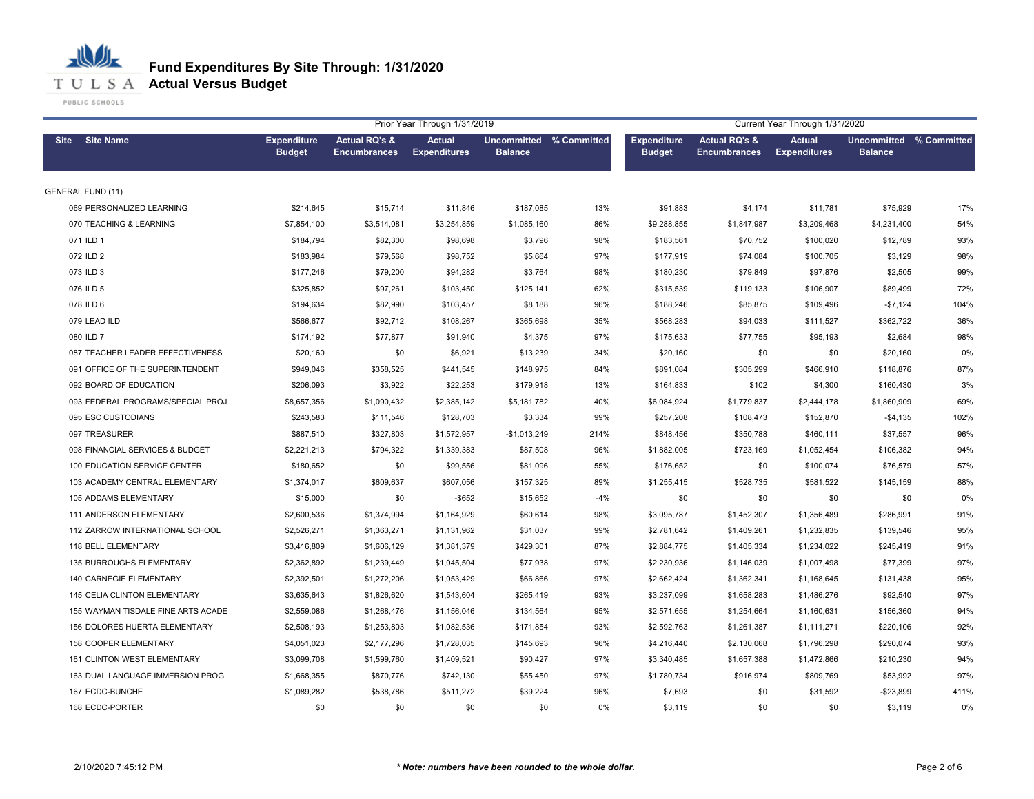#### 心儿 **Fund Expenditures By Site Through: 1/31/2020 T U L S A Actual Versus Budget**

|                                     |                                     |                                                 | Prior Year Through 1/31/2019         |                                           |       |                                     |                                                 | Current Year Through 1/31/2020       |                                           |      |
|-------------------------------------|-------------------------------------|-------------------------------------------------|--------------------------------------|-------------------------------------------|-------|-------------------------------------|-------------------------------------------------|--------------------------------------|-------------------------------------------|------|
| Site Site Name                      | <b>Expenditure</b><br><b>Budget</b> | <b>Actual RQ's &amp;</b><br><b>Encumbrances</b> | <b>Actual</b><br><b>Expenditures</b> | Uncommitted % Committed<br><b>Balance</b> |       | <b>Expenditure</b><br><b>Budget</b> | <b>Actual RQ's &amp;</b><br><b>Encumbrances</b> | <b>Actual</b><br><b>Expenditures</b> | Uncommitted % Committed<br><b>Balance</b> |      |
| <b>GENERAL FUND (11)</b>            |                                     |                                                 |                                      |                                           |       |                                     |                                                 |                                      |                                           |      |
| 069 PERSONALIZED LEARNING           | \$214,645                           | \$15,714                                        | \$11,846                             | \$187,085                                 | 13%   | \$91,883                            | \$4,174                                         | \$11,781                             | \$75,929                                  | 17%  |
| 070 TEACHING & LEARNING             | \$7,854,100                         | \$3,514,081                                     | \$3,254,859                          | \$1,085,160                               | 86%   | \$9,288,855                         | \$1,847,987                                     | \$3,209,468                          | \$4,231,400                               | 54%  |
| 071 ILD 1                           | \$184,794                           | \$82,300                                        | \$98,698                             | \$3,796                                   | 98%   | \$183,561                           | \$70,752                                        | \$100,020                            | \$12,789                                  | 93%  |
| 072 ILD 2                           | \$183,984                           | \$79,568                                        | \$98,752                             | \$5,664                                   | 97%   | \$177,919                           | \$74,084                                        | \$100,705                            | \$3,129                                   | 98%  |
| 073 ILD 3                           | \$177,246                           | \$79,200                                        | \$94,282                             | \$3,764                                   | 98%   | \$180,230                           | \$79,849                                        | \$97,876                             | \$2,505                                   | 99%  |
| 076 ILD 5                           | \$325,852                           | \$97,261                                        | \$103,450                            | \$125,141                                 | 62%   | \$315.539                           | \$119.133                                       | \$106,907                            | \$89,499                                  | 72%  |
| 078 ILD 6                           | \$194,634                           | \$82,990                                        | \$103,457                            | \$8,188                                   | 96%   | \$188,246                           | \$85,875                                        | \$109,496                            | $-$7,124$                                 | 104% |
| 079 LEAD ILD                        | \$566,677                           | \$92,712                                        | \$108,267                            | \$365,698                                 | 35%   | \$568,283                           | \$94,033                                        | \$111,527                            | \$362,722                                 | 36%  |
| 080 ILD 7                           | \$174,192                           | \$77,877                                        | \$91,940                             | \$4,375                                   | 97%   | \$175,633                           | \$77,755                                        | \$95,193                             | \$2,684                                   | 98%  |
| 087 TEACHER LEADER EFFECTIVENESS    | \$20,160                            | \$0                                             | \$6,921                              | \$13,239                                  | 34%   | \$20,160                            | \$0                                             | \$0                                  | \$20,160                                  | 0%   |
| 091 OFFICE OF THE SUPERINTENDENT    | \$949,046                           | \$358,525                                       | \$441,545                            | \$148,975                                 | 84%   | \$891,084                           | \$305,299                                       | \$466,910                            | \$118,876                                 | 87%  |
| 092 BOARD OF EDUCATION              | \$206,093                           | \$3,922                                         | \$22,253                             | \$179,918                                 | 13%   | \$164,833                           | \$102                                           | \$4,300                              | \$160,430                                 | 3%   |
| 093 FEDERAL PROGRAMS/SPECIAL PROJ   | \$8,657,356                         | \$1,090,432                                     | \$2,385,142                          | \$5,181,782                               | 40%   | \$6,084,924                         | \$1,779,837                                     | \$2,444,178                          | \$1,860,909                               | 69%  |
| 095 ESC CUSTODIANS                  | \$243,583                           | \$111,546                                       | \$128,703                            | \$3,334                                   | 99%   | \$257,208                           | \$108,473                                       | \$152,870                            | $-$4,135$                                 | 102% |
| 097 TREASURER                       | \$887,510                           | \$327,803                                       | \$1,572,957                          | $-$1,013,249$                             | 214%  | \$848,456                           | \$350,788                                       | \$460,111                            | \$37,557                                  | 96%  |
| 098 FINANCIAL SERVICES & BUDGET     | \$2,221,213                         | \$794,322                                       | \$1,339,383                          | \$87,508                                  | 96%   | \$1,882,005                         | \$723,169                                       | \$1,052,454                          | \$106,382                                 | 94%  |
| 100 EDUCATION SERVICE CENTER        | \$180,652                           | \$0                                             | \$99,556                             | \$81,096                                  | 55%   | \$176,652                           | \$0                                             | \$100,074                            | \$76,579                                  | 57%  |
| 103 ACADEMY CENTRAL ELEMENTARY      | \$1,374,017                         | \$609,637                                       | \$607,056                            | \$157,325                                 | 89%   | \$1,255,415                         | \$528,735                                       | \$581,522                            | \$145,159                                 | 88%  |
| 105 ADDAMS ELEMENTARY               | \$15,000                            | \$0                                             | $-$ \$652                            | \$15,652                                  | $-4%$ | \$0                                 | \$0                                             | \$0                                  | \$0                                       | 0%   |
| 111 ANDERSON ELEMENTARY             | \$2,600,536                         | \$1,374,994                                     | \$1,164,929                          | \$60,614                                  | 98%   | \$3,095,787                         | \$1,452,307                                     | \$1,356,489                          | \$286,991                                 | 91%  |
| 112 ZARROW INTERNATIONAL SCHOOL     | \$2,526,271                         | \$1,363,271                                     | \$1,131,962                          | \$31,037                                  | 99%   | \$2,781,642                         | \$1,409,261                                     | \$1,232,835                          | \$139,546                                 | 95%  |
| 118 BELL ELEMENTARY                 | \$3,416,809                         | \$1,606,129                                     | \$1,381,379                          | \$429,301                                 | 87%   | \$2,884,775                         | \$1,405,334                                     | \$1,234,022                          | \$245,419                                 | 91%  |
| 135 BURROUGHS ELEMENTARY            | \$2,362,892                         | \$1,239,449                                     | \$1,045,504                          | \$77,938                                  | 97%   | \$2,230,936                         | \$1,146,039                                     | \$1,007,498                          | \$77,399                                  | 97%  |
| 140 CARNEGIE ELEMENTARY             | \$2,392,501                         | \$1,272,206                                     | \$1,053,429                          | \$66,866                                  | 97%   | \$2,662,424                         | \$1,362,341                                     | \$1,168,645                          | \$131,438                                 | 95%  |
| <b>145 CELIA CLINTON ELEMENTARY</b> | \$3,635,643                         | \$1,826,620                                     | \$1,543,604                          | \$265,419                                 | 93%   | \$3,237,099                         | \$1,658,283                                     | \$1,486,276                          | \$92,540                                  | 97%  |
| 155 WAYMAN TISDALE FINE ARTS ACADE  | \$2,559,086                         | \$1,268,476                                     | \$1,156,046                          | \$134,564                                 | 95%   | \$2,571,655                         | \$1,254,664                                     | \$1,160,631                          | \$156,360                                 | 94%  |
| 156 DOLORES HUERTA ELEMENTARY       | \$2,508,193                         | \$1,253,803                                     | \$1,082,536                          | \$171,854                                 | 93%   | \$2,592,763                         | \$1,261,387                                     | \$1,111,271                          | \$220,106                                 | 92%  |
| 158 COOPER ELEMENTARY               | \$4,051,023                         | \$2,177,296                                     | \$1,728,035                          | \$145,693                                 | 96%   | \$4,216,440                         | \$2,130,068                                     | \$1,796,298                          | \$290,074                                 | 93%  |
| <b>161 CLINTON WEST ELEMENTARY</b>  | \$3,099,708                         | \$1,599,760                                     | \$1,409,521                          | \$90,427                                  | 97%   | \$3,340,485                         | \$1,657,388                                     | \$1,472,866                          | \$210,230                                 | 94%  |
| 163 DUAL LANGUAGE IMMERSION PROG    | \$1,668,355                         | \$870,776                                       | \$742,130                            | \$55,450                                  | 97%   | \$1,780,734                         | \$916,974                                       | \$809,769                            | \$53,992                                  | 97%  |
| 167 ECDC-BUNCHE                     | \$1,089,282                         | \$538,786                                       | \$511,272                            | \$39,224                                  | 96%   | \$7,693                             | \$0                                             | \$31,592                             | $-$23,899$                                | 411% |
| 168 ECDC-PORTER                     | \$0                                 | \$0                                             | \$0                                  | \$0                                       | 0%    | \$3,119                             | \$0                                             | \$0                                  | \$3,119                                   | 0%   |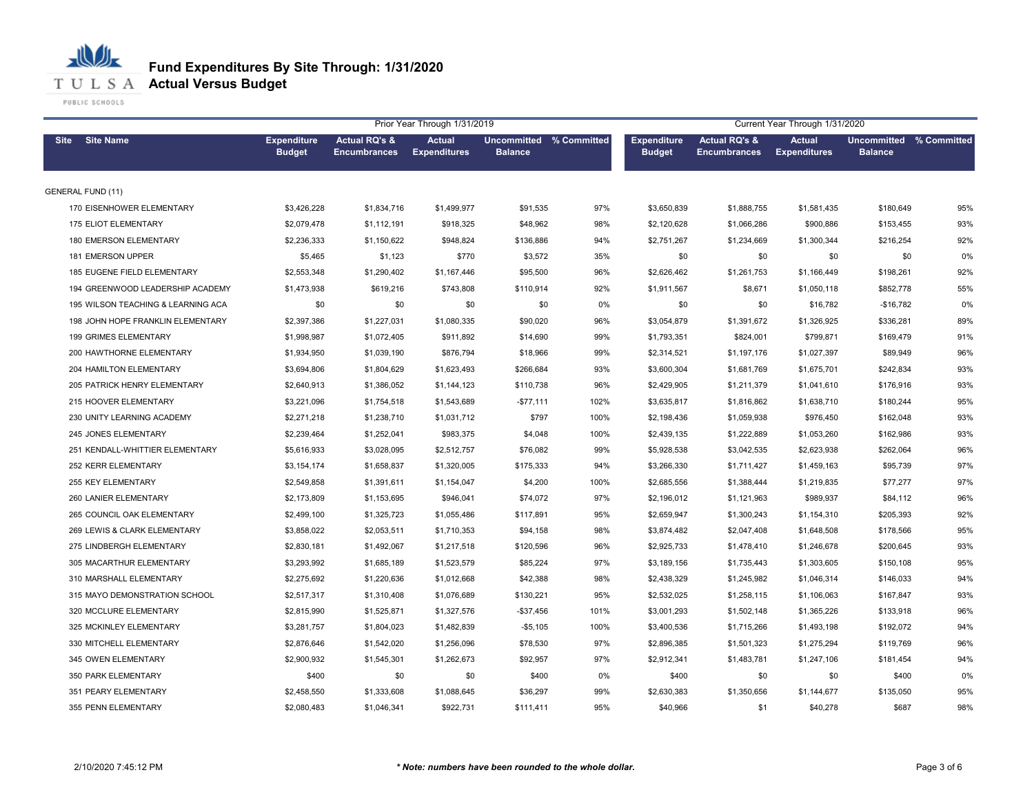**T U L S A Actual Versus Budget** 

PUBLIC SCHOOLS

|                                    | Current Year Through 1/31/2020<br>Prior Year Through 1/31/2019 |                                                 |                                      |                                           |       |                                     |                                                 |                                      |                                           |     |
|------------------------------------|----------------------------------------------------------------|-------------------------------------------------|--------------------------------------|-------------------------------------------|-------|-------------------------------------|-------------------------------------------------|--------------------------------------|-------------------------------------------|-----|
| <b>Site Name</b><br><b>Site</b>    | <b>Expenditure</b><br><b>Budget</b>                            | <b>Actual RQ's &amp;</b><br><b>Encumbrances</b> | <b>Actual</b><br><b>Expenditures</b> | Uncommitted % Committed<br><b>Balance</b> |       | <b>Expenditure</b><br><b>Budget</b> | <b>Actual RQ's &amp;</b><br><b>Encumbrances</b> | <b>Actual</b><br><b>Expenditures</b> | Uncommitted % Committed<br><b>Balance</b> |     |
| <b>GENERAL FUND (11)</b>           |                                                                |                                                 |                                      |                                           |       |                                     |                                                 |                                      |                                           |     |
| 170 EISENHOWER ELEMENTARY          | \$3,426,228                                                    | \$1,834,716                                     | \$1,499,977                          | \$91,535                                  | 97%   | \$3,650,839                         | \$1,888,755                                     | \$1,581,435                          | \$180,649                                 | 95% |
| 175 ELIOT ELEMENTARY               | \$2,079,478                                                    | \$1,112,191                                     | \$918,325                            | \$48,962                                  | 98%   | \$2,120,628                         | \$1,066,286                                     | \$900,886                            | \$153,455                                 | 93% |
| 180 EMERSON ELEMENTARY             | \$2,236,333                                                    | \$1,150,622                                     | \$948,824                            | \$136,886                                 | 94%   | \$2,751,267                         | \$1,234,669                                     | \$1,300,344                          | \$216,254                                 | 92% |
| 181 EMERSON UPPER                  | \$5,465                                                        | \$1,123                                         | \$770                                | \$3,572                                   | 35%   | \$0                                 | \$0                                             | \$0                                  | \$0                                       | 0%  |
| 185 EUGENE FIELD ELEMENTARY        | \$2,553,348                                                    | \$1,290,402                                     | \$1,167,446                          | \$95,500                                  | 96%   | \$2,626,462                         | \$1,261,753                                     | \$1,166,449                          | \$198,261                                 | 92% |
| 194 GREENWOOD LEADERSHIP ACADEMY   | \$1,473,938                                                    | \$619,216                                       | \$743,808                            | \$110,914                                 | 92%   | \$1,911,567                         | \$8,671                                         | \$1,050,118                          | \$852,778                                 | 55% |
| 195 WILSON TEACHING & LEARNING ACA | \$0                                                            | \$0                                             | \$0                                  | \$0                                       | $0\%$ | \$0                                 | \$0                                             | \$16,782                             | $-$16,782$                                | 0%  |
| 198 JOHN HOPE FRANKLIN ELEMENTARY  | \$2,397,386                                                    | \$1,227,031                                     | \$1,080,335                          | \$90,020                                  | 96%   | \$3,054,879                         | \$1,391,672                                     | \$1,326,925                          | \$336,281                                 | 89% |
| 199 GRIMES ELEMENTARY              | \$1,998,987                                                    | \$1,072,405                                     | \$911,892                            | \$14,690                                  | 99%   | \$1,793,351                         | \$824,001                                       | \$799,871                            | \$169,479                                 | 91% |
| 200 HAWTHORNE ELEMENTARY           | \$1,934,950                                                    | \$1,039,190                                     | \$876,794                            | \$18,966                                  | 99%   | \$2,314,521                         | \$1,197,176                                     | \$1,027,397                          | \$89,949                                  | 96% |
| 204 HAMILTON ELEMENTARY            | \$3,694,806                                                    | \$1,804,629                                     | \$1,623,493                          | \$266,684                                 | 93%   | \$3,600,304                         | \$1,681,769                                     | \$1,675,701                          | \$242,834                                 | 93% |
| 205 PATRICK HENRY ELEMENTARY       | \$2,640,913                                                    | \$1,386,052                                     | \$1,144,123                          | \$110,738                                 | 96%   | \$2,429,905                         | \$1,211,379                                     | \$1,041,610                          | \$176,916                                 | 93% |
| 215 HOOVER ELEMENTARY              | \$3,221,096                                                    | \$1,754,518                                     | \$1,543,689                          | $-$77,111$                                | 102%  | \$3,635,817                         | \$1,816,862                                     | \$1,638,710                          | \$180,244                                 | 95% |
| 230 UNITY LEARNING ACADEMY         | \$2,271,218                                                    | \$1,238,710                                     | \$1,031,712                          | \$797                                     | 100%  | \$2,198,436                         | \$1,059,938                                     | \$976,450                            | \$162,048                                 | 93% |
| 245 JONES ELEMENTARY               | \$2,239,464                                                    | \$1,252,041                                     | \$983,375                            | \$4,048                                   | 100%  | \$2,439,135                         | \$1,222,889                                     | \$1,053,260                          | \$162,986                                 | 93% |
| 251 KENDALL-WHITTIER ELEMENTARY    | \$5,616,933                                                    | \$3,028,095                                     | \$2,512,757                          | \$76,082                                  | 99%   | \$5,928,538                         | \$3,042,535                                     | \$2,623,938                          | \$262,064                                 | 96% |
| 252 KERR ELEMENTARY                | \$3,154,174                                                    | \$1,658,837                                     | \$1,320,005                          | \$175,333                                 | 94%   | \$3,266,330                         | \$1,711,427                                     | \$1,459,163                          | \$95,739                                  | 97% |
| 255 KEY ELEMENTARY                 | \$2,549,858                                                    | \$1,391,611                                     | \$1,154,047                          | \$4,200                                   | 100%  | \$2,685,556                         | \$1,388,444                                     | \$1,219,835                          | \$77,277                                  | 97% |
| 260 LANIER ELEMENTARY              | \$2,173,809                                                    | \$1,153,695                                     | \$946,041                            | \$74,072                                  | 97%   | \$2,196,012                         | \$1,121,963                                     | \$989,937                            | \$84,112                                  | 96% |
| 265 COUNCIL OAK ELEMENTARY         | \$2,499,100                                                    | \$1,325,723                                     | \$1,055,486                          | \$117,891                                 | 95%   | \$2,659,947                         | \$1,300,243                                     | \$1,154,310                          | \$205,393                                 | 92% |
| 269 LEWIS & CLARK ELEMENTARY       | \$3,858,022                                                    | \$2,053,511                                     | \$1,710,353                          | \$94,158                                  | 98%   | \$3,874,482                         | \$2,047,408                                     | \$1,648,508                          | \$178,566                                 | 95% |
| 275 LINDBERGH ELEMENTARY           | \$2,830,181                                                    | \$1,492,067                                     | \$1,217,518                          | \$120,596                                 | 96%   | \$2,925,733                         | \$1,478,410                                     | \$1,246,678                          | \$200,645                                 | 93% |
| 305 MACARTHUR ELEMENTARY           | \$3,293,992                                                    | \$1,685,189                                     | \$1,523,579                          | \$85,224                                  | 97%   | \$3,189,156                         | \$1,735,443                                     | \$1,303,605                          | \$150,108                                 | 95% |
| 310 MARSHALL ELEMENTARY            | \$2,275,692                                                    | \$1,220,636                                     | \$1,012,668                          | \$42,388                                  | 98%   | \$2,438,329                         | \$1,245,982                                     | \$1,046,314                          | \$146,033                                 | 94% |
| 315 MAYO DEMONSTRATION SCHOOL      | \$2,517,317                                                    | \$1,310,408                                     | \$1,076,689                          | \$130,221                                 | 95%   | \$2,532,025                         | \$1,258,115                                     | \$1,106,063                          | \$167,847                                 | 93% |
| 320 MCCLURE ELEMENTARY             | \$2,815,990                                                    | \$1,525,871                                     | \$1,327,576                          | $-$37,456$                                | 101%  | \$3,001,293                         | \$1,502,148                                     | \$1,365,226                          | \$133,918                                 | 96% |
| 325 MCKINLEY ELEMENTARY            | \$3,281,757                                                    | \$1,804,023                                     | \$1,482,839                          | $-$5,105$                                 | 100%  | \$3,400,536                         | \$1,715,266                                     | \$1,493,198                          | \$192,072                                 | 94% |
| 330 MITCHELL ELEMENTARY            | \$2,876,646                                                    | \$1,542,020                                     | \$1,256,096                          | \$78,530                                  | 97%   | \$2,896,385                         | \$1,501,323                                     | \$1,275,294                          | \$119,769                                 | 96% |
| 345 OWEN ELEMENTARY                | \$2,900,932                                                    | \$1,545,301                                     | \$1,262,673                          | \$92,957                                  | 97%   | \$2,912,341                         | \$1,483,781                                     | \$1,247,106                          | \$181,454                                 | 94% |
| 350 PARK ELEMENTARY                | \$400                                                          | \$0                                             | \$0                                  | \$400                                     | 0%    | \$400                               | \$0                                             | \$0                                  | \$400                                     | 0%  |
| 351 PEARY ELEMENTARY               | \$2,458,550                                                    | \$1,333,608                                     | \$1,088,645                          | \$36,297                                  | 99%   | \$2,630,383                         | \$1,350,656                                     | \$1,144,677                          | \$135,050                                 | 95% |
| 355 PENN ELEMENTARY                | \$2,080,483                                                    | \$1,046,341                                     | \$922,731                            | \$111,411                                 | 95%   | \$40,966                            | \$1                                             | \$40,278                             | \$687                                     | 98% |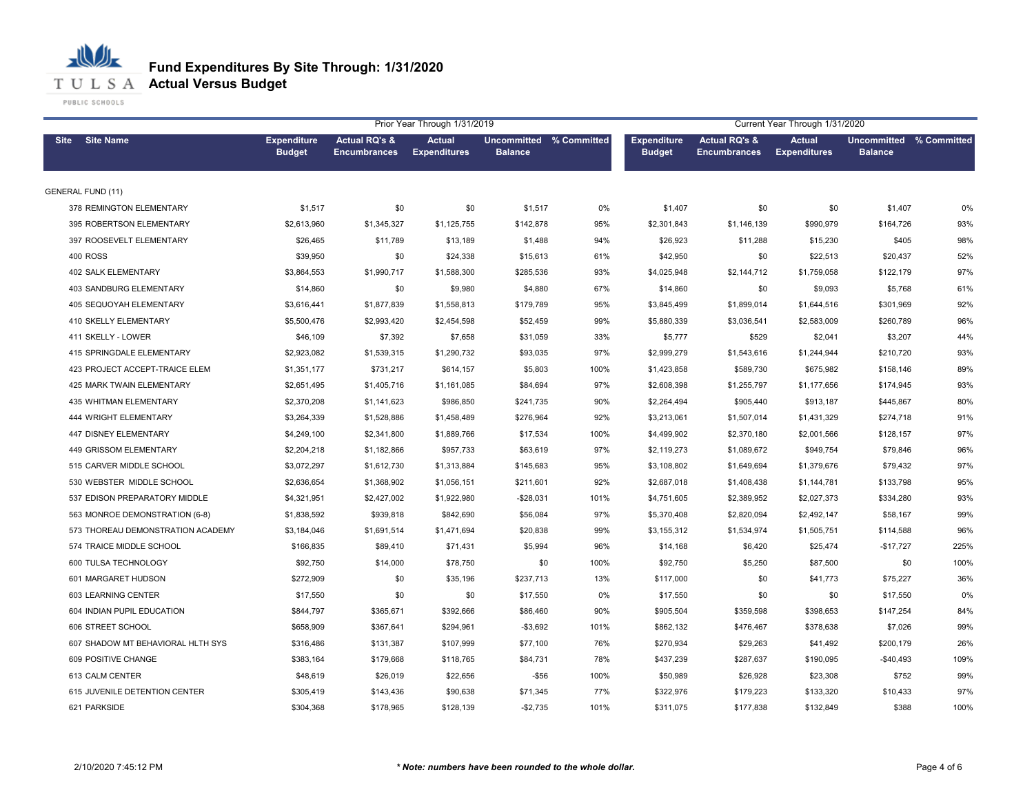**T U L S A Actual Versus Budget** 

PUBLIC SCHOOLS

|                                   |                                     |                                                 | Prior Year Through 1/31/2019         | Current Year Through 1/31/2020            |      |                                     |                                                 |                                      |                                           |      |
|-----------------------------------|-------------------------------------|-------------------------------------------------|--------------------------------------|-------------------------------------------|------|-------------------------------------|-------------------------------------------------|--------------------------------------|-------------------------------------------|------|
| Site Site Name                    | <b>Expenditure</b><br><b>Budget</b> | <b>Actual RQ's &amp;</b><br><b>Encumbrances</b> | <b>Actual</b><br><b>Expenditures</b> | Uncommitted % Committed<br><b>Balance</b> |      | <b>Expenditure</b><br><b>Budget</b> | <b>Actual RQ's &amp;</b><br><b>Encumbrances</b> | <b>Actual</b><br><b>Expenditures</b> | Uncommitted % Committed<br><b>Balance</b> |      |
| <b>GENERAL FUND (11)</b>          |                                     |                                                 |                                      |                                           |      |                                     |                                                 |                                      |                                           |      |
| 378 REMINGTON ELEMENTARY          | \$1,517                             | \$0                                             | \$0                                  | \$1,517                                   | 0%   | \$1,407                             | \$0                                             | \$0                                  | \$1,407                                   | 0%   |
| 395 ROBERTSON ELEMENTARY          | \$2,613,960                         | \$1,345,327                                     | \$1,125,755                          | \$142,878                                 | 95%  | \$2,301,843                         | \$1,146,139                                     | \$990,979                            | \$164,726                                 | 93%  |
| 397 ROOSEVELT ELEMENTARY          | \$26,465                            | \$11,789                                        | \$13,189                             | \$1,488                                   | 94%  | \$26,923                            | \$11,288                                        | \$15,230                             | \$405                                     | 98%  |
| <b>400 ROSS</b>                   | \$39,950                            | \$0                                             | \$24,338                             | \$15,613                                  | 61%  | \$42,950                            | \$0                                             | \$22,513                             | \$20,437                                  | 52%  |
| 402 SALK ELEMENTARY               | \$3,864,553                         | \$1,990,717                                     | \$1,588,300                          | \$285,536                                 | 93%  | \$4,025,948                         | \$2,144,712                                     | \$1,759,058                          | \$122,179                                 | 97%  |
| 403 SANDBURG ELEMENTARY           | \$14,860                            | \$0                                             | \$9,980                              | \$4,880                                   | 67%  | \$14,860                            | \$0                                             | \$9,093                              | \$5,768                                   | 61%  |
| <b>405 SEQUOYAH ELEMENTARY</b>    | \$3,616,441                         | \$1,877,839                                     | \$1,558,813                          | \$179,789                                 | 95%  | \$3,845,499                         | \$1,899,014                                     | \$1,644,516                          | \$301,969                                 | 92%  |
| 410 SKELLY ELEMENTARY             | \$5,500,476                         | \$2,993,420                                     | \$2,454,598                          | \$52,459                                  | 99%  | \$5,880,339                         | \$3,036,541                                     | \$2,583,009                          | \$260,789                                 | 96%  |
| 411 SKELLY - LOWER                | \$46,109                            | \$7,392                                         | \$7,658                              | \$31,059                                  | 33%  | \$5,777                             | \$529                                           | \$2,041                              | \$3,207                                   | 44%  |
| 415 SPRINGDALE ELEMENTARY         | \$2,923,082                         | \$1,539,315                                     | \$1,290,732                          | \$93,035                                  | 97%  | \$2,999,279                         | \$1,543,616                                     | \$1,244,944                          | \$210,720                                 | 93%  |
| 423 PROJECT ACCEPT-TRAICE ELEM    | \$1,351,177                         | \$731,217                                       | \$614,157                            | \$5,803                                   | 100% | \$1,423,858                         | \$589,730                                       | \$675,982                            | \$158,146                                 | 89%  |
| 425 MARK TWAIN ELEMENTARY         | \$2,651,495                         | \$1,405,716                                     | \$1,161,085                          | \$84,694                                  | 97%  | \$2,608,398                         | \$1,255,797                                     | \$1,177,656                          | \$174,945                                 | 93%  |
| 435 WHITMAN ELEMENTARY            | \$2,370,208                         | \$1,141,623                                     | \$986,850                            | \$241,735                                 | 90%  | \$2,264,494                         | \$905,440                                       | \$913,187                            | \$445,867                                 | 80%  |
| 444 WRIGHT ELEMENTARY             | \$3,264,339                         | \$1,528,886                                     | \$1,458,489                          | \$276,964                                 | 92%  | \$3,213,061                         | \$1,507,014                                     | \$1,431,329                          | \$274,718                                 | 91%  |
| 447 DISNEY ELEMENTARY             | \$4,249,100                         | \$2,341,800                                     | \$1,889,766                          | \$17,534                                  | 100% | \$4,499,902                         | \$2,370,180                                     | \$2,001,566                          | \$128,157                                 | 97%  |
| 449 GRISSOM ELEMENTARY            | \$2,204,218                         | \$1,182,866                                     | \$957,733                            | \$63,619                                  | 97%  | \$2,119,273                         | \$1,089,672                                     | \$949,754                            | \$79,846                                  | 96%  |
| 515 CARVER MIDDLE SCHOOL          | \$3,072,297                         | \$1,612,730                                     | \$1,313,884                          | \$145,683                                 | 95%  | \$3,108,802                         | \$1,649,694                                     | \$1,379,676                          | \$79,432                                  | 97%  |
| 530 WEBSTER MIDDLE SCHOOL         | \$2,636,654                         | \$1,368,902                                     | \$1,056,151                          | \$211,601                                 | 92%  | \$2,687,018                         | \$1,408,438                                     | \$1,144,781                          | \$133,798                                 | 95%  |
| 537 EDISON PREPARATORY MIDDLE     | \$4,321,951                         | \$2,427,002                                     | \$1,922,980                          | $-$28,031$                                | 101% | \$4,751,605                         | \$2,389,952                                     | \$2,027,373                          | \$334,280                                 | 93%  |
| 563 MONROE DEMONSTRATION (6-8)    | \$1,838,592                         | \$939,818                                       | \$842,690                            | \$56,084                                  | 97%  | \$5,370,408                         | \$2,820,094                                     | \$2,492,147                          | \$58,167                                  | 99%  |
| 573 THOREAU DEMONSTRATION ACADEMY | \$3,184,046                         | \$1,691,514                                     | \$1,471,694                          | \$20,838                                  | 99%  | \$3,155,312                         | \$1,534,974                                     | \$1,505,751                          | \$114,588                                 | 96%  |
| 574 TRAICE MIDDLE SCHOOL          | \$166,835                           | \$89,410                                        | \$71,431                             | \$5,994                                   | 96%  | \$14,168                            | \$6,420                                         | \$25,474                             | $-$17,727$                                | 225% |
| 600 TULSA TECHNOLOGY              | \$92,750                            | \$14,000                                        | \$78,750                             | \$0                                       | 100% | \$92,750                            | \$5,250                                         | \$87,500                             | \$0                                       | 100% |
| 601 MARGARET HUDSON               | \$272,909                           | \$0                                             | \$35,196                             | \$237,713                                 | 13%  | \$117,000                           | \$0                                             | \$41,773                             | \$75,227                                  | 36%  |
| 603 LEARNING CENTER               | \$17,550                            | \$0                                             | \$0                                  | \$17,550                                  | 0%   | \$17,550                            | \$0                                             | \$0                                  | \$17,550                                  | 0%   |
| 604 INDIAN PUPIL EDUCATION        | \$844,797                           | \$365,671                                       | \$392,666                            | \$86,460                                  | 90%  | \$905,504                           | \$359,598                                       | \$398,653                            | \$147,254                                 | 84%  |
| 606 STREET SCHOOL                 | \$658,909                           | \$367,641                                       | \$294,961                            | $-$3,692$                                 | 101% | \$862,132                           | \$476,467                                       | \$378,638                            | \$7,026                                   | 99%  |
| 607 SHADOW MT BEHAVIORAL HLTH SYS | \$316,486                           | \$131,387                                       | \$107,999                            | \$77,100                                  | 76%  | \$270,934                           | \$29,263                                        | \$41,492                             | \$200,179                                 | 26%  |
| 609 POSITIVE CHANGE               | \$383,164                           | \$179,668                                       | \$118,765                            | \$84,731                                  | 78%  | \$437,239                           | \$287,637                                       | \$190,095                            | $-$40,493$                                | 109% |
| 613 CALM CENTER                   | \$48,619                            | \$26,019                                        | \$22,656                             | -\$56                                     | 100% | \$50,989                            | \$26,928                                        | \$23,308                             | \$752                                     | 99%  |
| 615 JUVENILE DETENTION CENTER     | \$305,419                           | \$143,436                                       | \$90,638                             | \$71,345                                  | 77%  | \$322,976                           | \$179,223                                       | \$133,320                            | \$10,433                                  | 97%  |
| 621 PARKSIDE                      | \$304,368                           | \$178,965                                       | \$128,139                            | $-$2,735$                                 | 101% | \$311,075                           | \$177,838                                       | \$132,849                            | \$388                                     | 100% |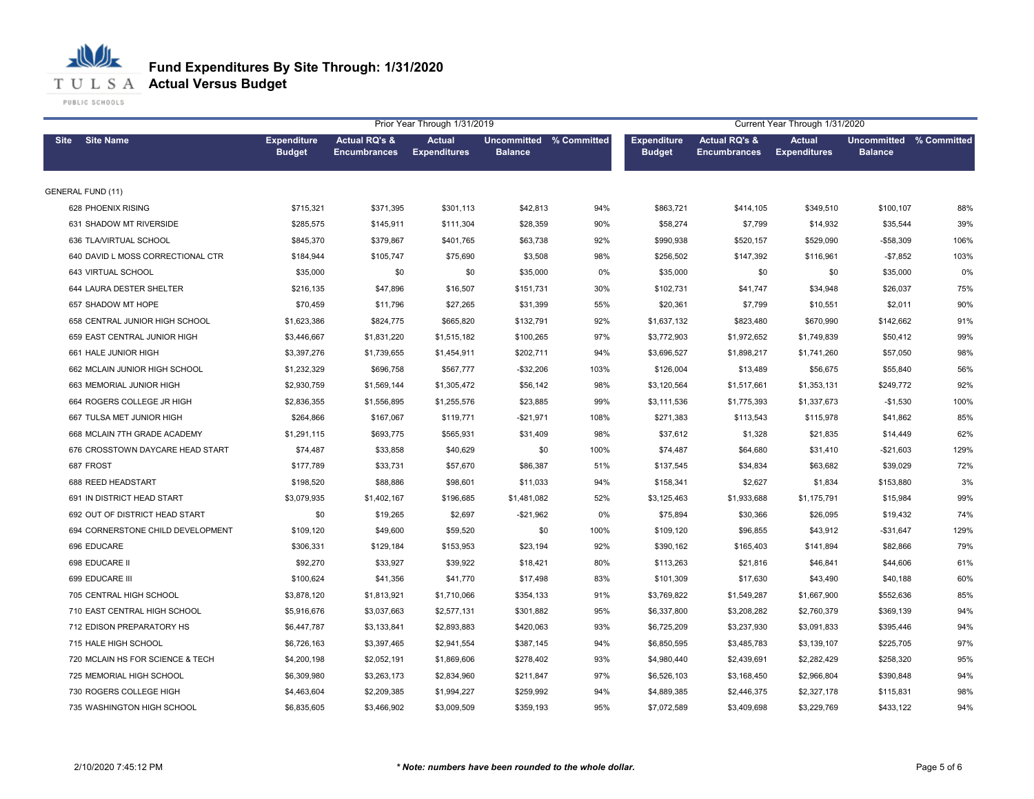**T U L S A Actual Versus Budget** 

PUBLIC SCHOOLS

| Prior Year Through 1/31/2019<br>Current Year Through 1/31/2020 |                                     |                                                 |                                      |                                           |      |                                     |                                                 |                                      |                                           |      |
|----------------------------------------------------------------|-------------------------------------|-------------------------------------------------|--------------------------------------|-------------------------------------------|------|-------------------------------------|-------------------------------------------------|--------------------------------------|-------------------------------------------|------|
| <b>Site Name</b><br><b>Site</b>                                | <b>Expenditure</b><br><b>Budget</b> | <b>Actual RQ's &amp;</b><br><b>Encumbrances</b> | <b>Actual</b><br><b>Expenditures</b> | Uncommitted % Committed<br><b>Balance</b> |      | <b>Expenditure</b><br><b>Budget</b> | <b>Actual RQ's &amp;</b><br><b>Encumbrances</b> | <b>Actual</b><br><b>Expenditures</b> | Uncommitted % Committed<br><b>Balance</b> |      |
| <b>GENERAL FUND (11)</b>                                       |                                     |                                                 |                                      |                                           |      |                                     |                                                 |                                      |                                           |      |
| 628 PHOENIX RISING                                             | \$715,321                           | \$371,395                                       | \$301,113                            | \$42,813                                  | 94%  | \$863,721                           | \$414,105                                       | \$349,510                            | \$100,107                                 | 88%  |
| 631 SHADOW MT RIVERSIDE                                        | \$285,575                           | \$145,911                                       | \$111,304                            | \$28,359                                  | 90%  | \$58,274                            | \$7,799                                         | \$14,932                             | \$35,544                                  | 39%  |
| 636 TLA/VIRTUAL SCHOOL                                         | \$845,370                           | \$379,867                                       | \$401,765                            | \$63,738                                  | 92%  | \$990,938                           | \$520,157                                       | \$529,090                            | $-$58,309$                                | 106% |
| 640 DAVID L MOSS CORRECTIONAL CTR                              | \$184,944                           | \$105,747                                       | \$75,690                             | \$3,508                                   | 98%  | \$256,502                           | \$147,392                                       | \$116,961                            | $-$7,852$                                 | 103% |
| 643 VIRTUAL SCHOOL                                             | \$35,000                            | \$0                                             | \$0                                  | \$35,000                                  | 0%   | \$35,000                            | \$0                                             | \$0                                  | \$35,000                                  | 0%   |
| 644 LAURA DESTER SHELTER                                       | \$216,135                           | \$47,896                                        | \$16,507                             | \$151,731                                 | 30%  | \$102,731                           | \$41,747                                        | \$34,948                             | \$26,037                                  | 75%  |
| 657 SHADOW MT HOPE                                             | \$70,459                            | \$11,796                                        | \$27,265                             | \$31,399                                  | 55%  | \$20,361                            | \$7,799                                         | \$10,551                             | \$2,011                                   | 90%  |
| 658 CENTRAL JUNIOR HIGH SCHOOL                                 | \$1,623,386                         | \$824,775                                       | \$665,820                            | \$132,791                                 | 92%  | \$1,637,132                         | \$823,480                                       | \$670,990                            | \$142,662                                 | 91%  |
| 659 EAST CENTRAL JUNIOR HIGH                                   | \$3,446,667                         | \$1,831,220                                     | \$1,515,182                          | \$100,265                                 | 97%  | \$3,772,903                         | \$1,972,652                                     | \$1,749,839                          | \$50,412                                  | 99%  |
| 661 HALE JUNIOR HIGH                                           | \$3,397,276                         | \$1,739,655                                     | \$1,454,911                          | \$202,711                                 | 94%  | \$3,696,527                         | \$1,898,217                                     | \$1,741,260                          | \$57,050                                  | 98%  |
| 662 MCLAIN JUNIOR HIGH SCHOOL                                  | \$1,232,329                         | \$696,758                                       | \$567,777                            | $-$32,206$                                | 103% | \$126,004                           | \$13,489                                        | \$56,675                             | \$55,840                                  | 56%  |
| 663 MEMORIAL JUNIOR HIGH                                       | \$2,930,759                         | \$1,569,144                                     | \$1,305,472                          | \$56,142                                  | 98%  | \$3,120,564                         | \$1,517,661                                     | \$1,353,131                          | \$249,772                                 | 92%  |
| 664 ROGERS COLLEGE JR HIGH                                     | \$2,836,355                         | \$1,556,895                                     | \$1,255,576                          | \$23,885                                  | 99%  | \$3,111,536                         | \$1,775,393                                     | \$1,337,673                          | $-$1,530$                                 | 100% |
| 667 TULSA MET JUNIOR HIGH                                      | \$264,866                           | \$167,067                                       | \$119,771                            | $-$21,971$                                | 108% | \$271,383                           | \$113,543                                       | \$115,978                            | \$41,862                                  | 85%  |
| 668 MCLAIN 7TH GRADE ACADEMY                                   | \$1,291,115                         | \$693,775                                       | \$565,931                            | \$31,409                                  | 98%  | \$37,612                            | \$1,328                                         | \$21,835                             | \$14,449                                  | 62%  |
| 676 CROSSTOWN DAYCARE HEAD START                               | \$74,487                            | \$33,858                                        | \$40,629                             | \$0                                       | 100% | \$74,487                            | \$64,680                                        | \$31,410                             | $-$21,603$                                | 129% |
| 687 FROST                                                      | \$177,789                           | \$33,731                                        | \$57,670                             | \$86,387                                  | 51%  | \$137,545                           | \$34,834                                        | \$63,682                             | \$39,029                                  | 72%  |
| 688 REED HEADSTART                                             | \$198,520                           | \$88,886                                        | \$98,601                             | \$11,033                                  | 94%  | \$158,341                           | \$2,627                                         | \$1,834                              | \$153,880                                 | 3%   |
| 691 IN DISTRICT HEAD START                                     | \$3,079,935                         | \$1,402,167                                     | \$196,685                            | \$1,481,082                               | 52%  | \$3,125,463                         | \$1,933,688                                     | \$1,175,791                          | \$15,984                                  | 99%  |
| 692 OUT OF DISTRICT HEAD START                                 | \$0                                 | \$19,265                                        | \$2,697                              | $-$21,962$                                | 0%   | \$75,894                            | \$30,366                                        | \$26,095                             | \$19,432                                  | 74%  |
| 694 CORNERSTONE CHILD DEVELOPMENT                              | \$109,120                           | \$49,600                                        | \$59,520                             | \$0                                       | 100% | \$109,120                           | \$96,855                                        | \$43,912                             | $-$31,647$                                | 129% |
| 696 EDUCARE                                                    | \$306,331                           | \$129,184                                       | \$153,953                            | \$23,194                                  | 92%  | \$390,162                           | \$165,403                                       | \$141,894                            | \$82,866                                  | 79%  |
| 698 EDUCARE II                                                 | \$92,270                            | \$33,927                                        | \$39,922                             | \$18,421                                  | 80%  | \$113,263                           | \$21,816                                        | \$46,841                             | \$44,606                                  | 61%  |
| 699 EDUCARE III                                                | \$100,624                           | \$41,356                                        | \$41,770                             | \$17,498                                  | 83%  | \$101,309                           | \$17,630                                        | \$43,490                             | \$40,188                                  | 60%  |
| 705 CENTRAL HIGH SCHOOL                                        | \$3,878,120                         | \$1,813,921                                     | \$1,710,066                          | \$354,133                                 | 91%  | \$3,769,822                         | \$1,549,287                                     | \$1,667,900                          | \$552,636                                 | 85%  |
| 710 EAST CENTRAL HIGH SCHOOL                                   | \$5,916,676                         | \$3,037,663                                     | \$2,577,131                          | \$301,882                                 | 95%  | \$6,337,800                         | \$3,208,282                                     | \$2,760,379                          | \$369,139                                 | 94%  |
| 712 EDISON PREPARATORY HS                                      | \$6,447,787                         | \$3,133,841                                     | \$2,893,883                          | \$420,063                                 | 93%  | \$6,725,209                         | \$3,237,930                                     | \$3,091,833                          | \$395,446                                 | 94%  |
| 715 HALE HIGH SCHOOL                                           | \$6,726,163                         | \$3,397,465                                     | \$2,941,554                          | \$387,145                                 | 94%  | \$6,850,595                         | \$3,485,783                                     | \$3,139,107                          | \$225,705                                 | 97%  |
| 720 MCLAIN HS FOR SCIENCE & TECH                               | \$4,200,198                         | \$2,052,191                                     | \$1,869,606                          | \$278,402                                 | 93%  | \$4,980,440                         | \$2,439,691                                     | \$2,282,429                          | \$258,320                                 | 95%  |
| 725 MEMORIAL HIGH SCHOOL                                       | \$6,309,980                         | \$3,263,173                                     | \$2,834,960                          | \$211,847                                 | 97%  | \$6,526,103                         | \$3,168,450                                     | \$2,966,804                          | \$390,848                                 | 94%  |
| 730 ROGERS COLLEGE HIGH                                        | \$4,463,604                         | \$2,209,385                                     | \$1,994,227                          | \$259,992                                 | 94%  | \$4,889,385                         | \$2,446,375                                     | \$2,327,178                          | \$115,831                                 | 98%  |
| 735 WASHINGTON HIGH SCHOOL                                     | \$6,835,605                         | \$3,466,902                                     | \$3,009,509                          | \$359,193                                 | 95%  | \$7,072,589                         | \$3,409,698                                     | \$3,229,769                          | \$433,122                                 | 94%  |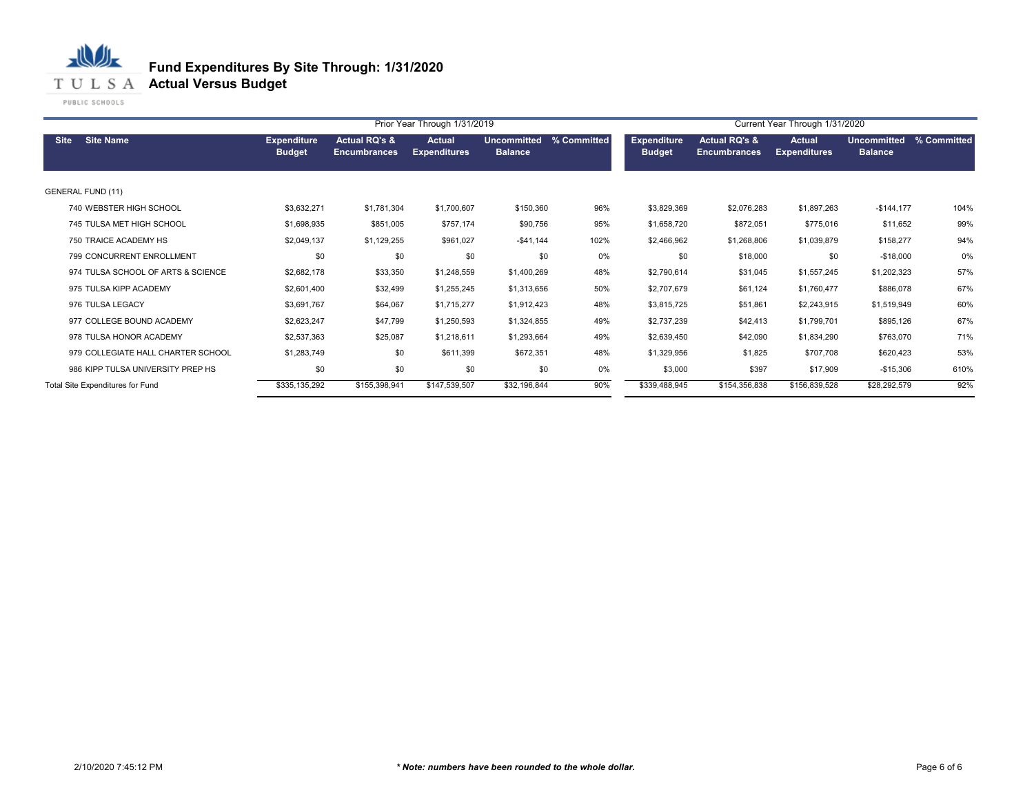**T U L S A Actual Versus Budget** 

PUBLIC SCHOOLS

|                                    |                                     | Current Year Through 1/31/2020                  |                                      |                                      |             |                                     |                                                 |                                      |                               |             |
|------------------------------------|-------------------------------------|-------------------------------------------------|--------------------------------------|--------------------------------------|-------------|-------------------------------------|-------------------------------------------------|--------------------------------------|-------------------------------|-------------|
| <b>Site Name</b><br><b>Site</b>    | <b>Expenditure</b><br><b>Budget</b> | <b>Actual RQ's &amp;</b><br><b>Encumbrances</b> | <b>Actual</b><br><b>Expenditures</b> | <b>Uncommitted</b><br><b>Balance</b> | % Committed | <b>Expenditure</b><br><b>Budget</b> | <b>Actual RQ's &amp;</b><br><b>Encumbrances</b> | <b>Actual</b><br><b>Expenditures</b> | Uncommitted<br><b>Balance</b> | % Committed |
| <b>GENERAL FUND (11)</b>           |                                     |                                                 |                                      |                                      |             |                                     |                                                 |                                      |                               |             |
| 740 WEBSTER HIGH SCHOOL            | \$3,632,271                         | \$1,781,304                                     | \$1,700,607                          | \$150,360                            | 96%         | \$3,829,369                         | \$2,076,283                                     | \$1,897,263                          | $-$144,177$                   | 104%        |
| 745 TULSA MET HIGH SCHOOL          | \$1,698,935                         | \$851,005                                       | \$757,174                            | \$90,756                             | 95%         | \$1,658,720                         | \$872,051                                       | \$775,016                            | \$11,652                      | 99%         |
| 750 TRAICE ACADEMY HS              | \$2,049,137                         | \$1,129,255                                     | \$961,027                            | $-$41,144$                           | 102%        | \$2,466,962                         | \$1,268,806                                     | \$1,039,879                          | \$158,277                     | 94%         |
| 799 CONCURRENT ENROLLMENT          | \$0                                 | \$0                                             | \$0                                  | \$0                                  | 0%          | \$0                                 | \$18,000                                        | \$0                                  | $-$18,000$                    | 0%          |
| 974 TULSA SCHOOL OF ARTS & SCIENCE | \$2,682,178                         | \$33,350                                        | \$1,248,559                          | \$1,400,269                          | 48%         | \$2,790,614                         | \$31,045                                        | \$1,557,245                          | \$1,202,323                   | 57%         |
| 975 TULSA KIPP ACADEMY             | \$2,601,400                         | \$32,499                                        | \$1,255,245                          | \$1,313,656                          | 50%         | \$2,707,679                         | \$61,124                                        | \$1,760,477                          | \$886,078                     | 67%         |
| 976 TULSA LEGACY                   | \$3,691,767                         | \$64,067                                        | \$1,715,277                          | \$1,912,423                          | 48%         | \$3,815,725                         | \$51,861                                        | \$2,243,915                          | \$1,519,949                   | 60%         |
| 977 COLLEGE BOUND ACADEMY          | \$2,623,247                         | \$47,799                                        | \$1,250,593                          | \$1,324,855                          | 49%         | \$2,737,239                         | \$42,413                                        | \$1,799,701                          | \$895,126                     | 67%         |
| 978 TULSA HONOR ACADEMY            | \$2,537,363                         | \$25,087                                        | \$1,218,611                          | \$1,293,664                          | 49%         | \$2,639,450                         | \$42,090                                        | \$1,834,290                          | \$763,070                     | 71%         |
| 979 COLLEGIATE HALL CHARTER SCHOOL | \$1,283,749                         | \$0                                             | \$611,399                            | \$672,351                            | 48%         | \$1,329,956                         | \$1,825                                         | \$707,708                            | \$620,423                     | 53%         |
| 986 KIPP TULSA UNIVERSITY PREP HS  | \$0                                 | \$0                                             | \$0                                  | \$0                                  | 0%          | \$3,000                             | \$397                                           | \$17,909                             | $-$15,306$                    | 610%        |
| Total Site Expenditures for Fund   | \$335,135,292                       | \$155,398,941                                   | \$147,539,507                        | \$32,196,844                         | 90%         | \$339,488,945                       | \$154,356,838                                   | \$156,839,528                        | \$28,292,579                  | 92%         |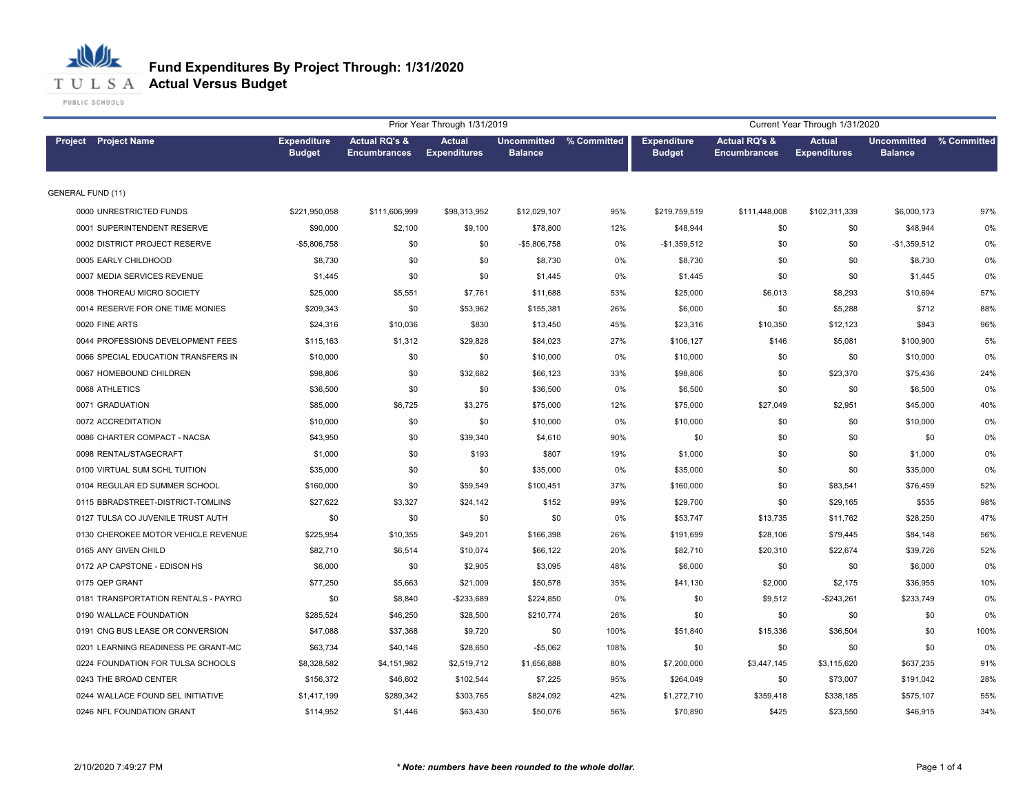

|                                     |                                     |                                                 | Prior Year Through 1/31/2019         |                                           |       | Current Year Through 1/31/2020      |                                                 |                                      |                                      |             |
|-------------------------------------|-------------------------------------|-------------------------------------------------|--------------------------------------|-------------------------------------------|-------|-------------------------------------|-------------------------------------------------|--------------------------------------|--------------------------------------|-------------|
| <b>Project</b> Project Name         | <b>Expenditure</b><br><b>Budget</b> | <b>Actual RQ's &amp;</b><br><b>Encumbrances</b> | <b>Actual</b><br><b>Expenditures</b> | Uncommitted % Committed<br><b>Balance</b> |       | <b>Expenditure</b><br><b>Budget</b> | <b>Actual RQ's &amp;</b><br><b>Encumbrances</b> | <b>Actual</b><br><b>Expenditures</b> | <b>Uncommitted</b><br><b>Balance</b> | % Committed |
| <b>GENERAL FUND (11)</b>            |                                     |                                                 |                                      |                                           |       |                                     |                                                 |                                      |                                      |             |
| 0000 UNRESTRICTED FUNDS             | \$221,950,058                       | \$111,606,999                                   | \$98,313,952                         | \$12,029,107                              | 95%   | \$219,759,519                       | \$111,448,008                                   | \$102,311,339                        | \$6,000,173                          | 97%         |
| 0001 SUPERINTENDENT RESERVE         | \$90,000                            | \$2,100                                         | \$9,100                              | \$78,800                                  | 12%   | \$48,944                            | \$0                                             | \$0                                  | \$48,944                             | 0%          |
| 0002 DISTRICT PROJECT RESERVE       | $-$5,806,758$                       | \$0                                             | \$0                                  | $-$5,806,758$                             | 0%    | $-$1,359,512$                       | \$0                                             | \$0                                  | $-$1,359,512$                        | 0%          |
| 0005 EARLY CHILDHOOD                | \$8,730                             | \$0                                             | \$0                                  | \$8,730                                   | $0\%$ | \$8,730                             | \$0                                             | \$0                                  | \$8,730                              | 0%          |
| 0007 MEDIA SERVICES REVENUE         | \$1,445                             | \$0                                             | \$0                                  | \$1,445                                   | 0%    | \$1,445                             | \$0                                             | \$0                                  | \$1,445                              | 0%          |
| 0008 THOREAU MICRO SOCIETY          | \$25,000                            | \$5,551                                         | \$7,761                              | \$11,688                                  | 53%   | \$25,000                            | \$6,013                                         | \$8,293                              | \$10,694                             | 57%         |
| 0014 RESERVE FOR ONE TIME MONIES    | \$209,343                           | \$0                                             | \$53,962                             | \$155,381                                 | 26%   | \$6,000                             | \$0                                             | \$5,288                              | \$712                                | 88%         |
| 0020 FINE ARTS                      | \$24,316                            | \$10,036                                        | \$830                                | \$13,450                                  | 45%   | \$23,316                            | \$10,350                                        | \$12,123                             | \$843                                | 96%         |
| 0044 PROFESSIONS DEVELOPMENT FEES   | \$115,163                           | \$1,312                                         | \$29,828                             | \$84,023                                  | 27%   | \$106,127                           | \$146                                           | \$5,081                              | \$100,900                            | 5%          |
| 0066 SPECIAL EDUCATION TRANSFERS IN | \$10,000                            | \$0                                             | \$0                                  | \$10,000                                  | 0%    | \$10,000                            | \$0                                             | \$0                                  | \$10,000                             | 0%          |
| 0067 HOMEBOUND CHILDREN             | \$98,806                            | \$0                                             | \$32,682                             | \$66,123                                  | 33%   | \$98,806                            | \$0                                             | \$23,370                             | \$75,436                             | 24%         |
| 0068 ATHLETICS                      | \$36,500                            | \$0                                             | \$0                                  | \$36,500                                  | 0%    | \$6,500                             | \$0                                             | \$0                                  | \$6,500                              | 0%          |
| 0071 GRADUATION                     | \$85,000                            | \$6,725                                         | \$3,275                              | \$75,000                                  | 12%   | \$75,000                            | \$27,049                                        | \$2,951                              | \$45,000                             | 40%         |
| 0072 ACCREDITATION                  | \$10,000                            | \$0                                             | \$0                                  | \$10,000                                  | 0%    | \$10,000                            | \$0                                             | \$0                                  | \$10,000                             | 0%          |
| 0086 CHARTER COMPACT - NACSA        | \$43,950                            | \$0                                             | \$39,340                             | \$4,610                                   | 90%   | \$0                                 | \$0                                             | \$0                                  | \$0                                  | 0%          |
| 0098 RENTAL/STAGECRAFT              | \$1,000                             | \$0                                             | \$193                                | \$807                                     | 19%   | \$1,000                             | \$0                                             | \$0                                  | \$1,000                              | 0%          |
| 0100 VIRTUAL SUM SCHL TUITION       | \$35,000                            | \$0                                             | \$0                                  | \$35,000                                  | 0%    | \$35,000                            | \$0                                             | \$0                                  | \$35,000                             | 0%          |
| 0104 REGULAR ED SUMMER SCHOOL       | \$160,000                           | \$0                                             | \$59,549                             | \$100,451                                 | 37%   | \$160,000                           | \$0                                             | \$83,541                             | \$76,459                             | 52%         |
| 0115 BBRADSTREET-DISTRICT-TOMLINS   | \$27,622                            | \$3,327                                         | \$24,142                             | \$152                                     | 99%   | \$29,700                            | \$0                                             | \$29,165                             | \$535                                | 98%         |
| 0127 TULSA CO JUVENILE TRUST AUTH   | \$0                                 | \$0                                             | \$0                                  | \$0                                       | 0%    | \$53,747                            | \$13,735                                        | \$11,762                             | \$28,250                             | 47%         |
| 0130 CHEROKEE MOTOR VEHICLE REVENUE | \$225,954                           | \$10,355                                        | \$49,201                             | \$166,398                                 | 26%   | \$191,699                           | \$28,106                                        | \$79,445                             | \$84,148                             | 56%         |
| 0165 ANY GIVEN CHILD                | \$82,710                            | \$6,514                                         | \$10,074                             | \$66,122                                  | 20%   | \$82,710                            | \$20,310                                        | \$22,674                             | \$39,726                             | 52%         |
| 0172 AP CAPSTONE - EDISON HS        | \$6,000                             | \$0                                             | \$2,905                              | \$3,095                                   | 48%   | \$6,000                             | \$0                                             | \$0                                  | \$6,000                              | 0%          |
| 0175 QEP GRANT                      | \$77,250                            | \$5,663                                         | \$21,009                             | \$50,578                                  | 35%   | \$41,130                            | \$2,000                                         | \$2,175                              | \$36,955                             | 10%         |
| 0181 TRANSPORTATION RENTALS - PAYRO | \$0                                 | \$8,840                                         | -\$233,689                           | \$224,850                                 | 0%    | \$0                                 | \$9,512                                         | $-$ \$243,261                        | \$233,749                            | 0%          |
| 0190 WALLACE FOUNDATION             | \$285,524                           | \$46,250                                        | \$28,500                             | \$210,774                                 | 26%   | \$0                                 | \$0                                             | \$0                                  | \$0                                  | 0%          |
| 0191 CNG BUS LEASE OR CONVERSION    | \$47,088                            | \$37,368                                        | \$9,720                              | \$0                                       | 100%  | \$51,840                            | \$15,336                                        | \$36,504                             | \$0                                  | 100%        |
| 0201 LEARNING READINESS PE GRANT-MC | \$63,734                            | \$40,146                                        | \$28,650                             | $-$5,062$                                 | 108%  | \$0                                 | \$0                                             | \$0                                  | \$0                                  | 0%          |
| 0224 FOUNDATION FOR TULSA SCHOOLS   | \$8,328,582                         | \$4,151,982                                     | \$2,519,712                          | \$1,656,888                               | 80%   | \$7,200,000                         | \$3,447,145                                     | \$3,115,620                          | \$637,235                            | 91%         |
| 0243 THE BROAD CENTER               | \$156,372                           | \$46,602                                        | \$102,544                            | \$7,225                                   | 95%   | \$264,049                           | \$0                                             | \$73,007                             | \$191,042                            | 28%         |
| 0244 WALLACE FOUND SEL INITIATIVE   | \$1,417,199                         | \$289,342                                       | \$303,765                            | \$824,092                                 | 42%   | \$1,272,710                         | \$359,418                                       | \$338,185                            | \$575,107                            | 55%         |
| 0246 NFL FOUNDATION GRANT           | \$114,952                           | \$1,446                                         | \$63,430                             | \$50,076                                  | 56%   | \$70,890                            | \$425                                           | \$23,550                             | \$46,915                             | 34%         |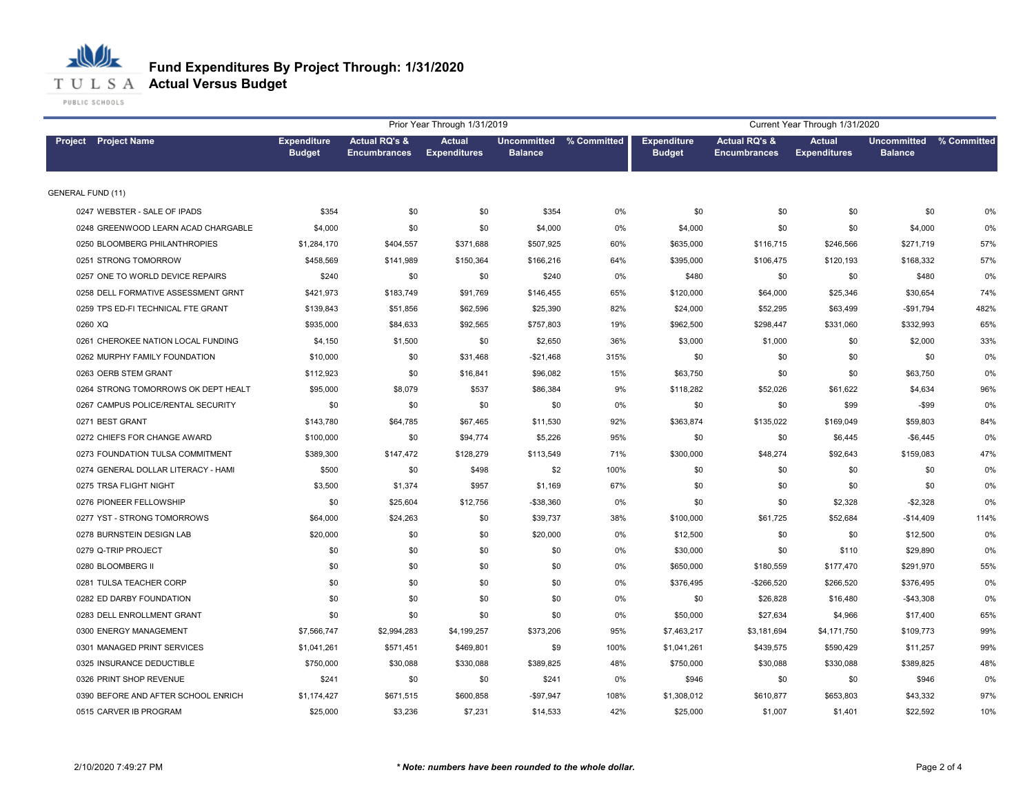

|                                     | Current Year Through 1/31/2020      |                                                 |                                      |                                           |       |                                     |                                                 |                                      |                                      |             |
|-------------------------------------|-------------------------------------|-------------------------------------------------|--------------------------------------|-------------------------------------------|-------|-------------------------------------|-------------------------------------------------|--------------------------------------|--------------------------------------|-------------|
| <b>Project Project Name</b>         | <b>Expenditure</b><br><b>Budget</b> | <b>Actual RQ's &amp;</b><br><b>Encumbrances</b> | <b>Actual</b><br><b>Expenditures</b> | Uncommitted % Committed<br><b>Balance</b> |       | <b>Expenditure</b><br><b>Budget</b> | <b>Actual RQ's &amp;</b><br><b>Encumbrances</b> | <b>Actual</b><br><b>Expenditures</b> | <b>Uncommitted</b><br><b>Balance</b> | % Committed |
| <b>GENERAL FUND (11)</b>            |                                     |                                                 |                                      |                                           |       |                                     |                                                 |                                      |                                      |             |
| 0247 WEBSTER - SALE OF IPADS        | \$354                               | \$0                                             | \$0                                  | \$354                                     | 0%    | \$0                                 | \$0                                             | \$0                                  | \$0                                  | 0%          |
| 0248 GREENWOOD LEARN ACAD CHARGABLE | \$4,000                             | \$0                                             | \$0                                  | \$4,000                                   | 0%    | \$4,000                             | \$0                                             | \$0                                  | \$4,000                              | 0%          |
| 0250 BLOOMBERG PHILANTHROPIES       | \$1,284,170                         | \$404,557                                       | \$371,688                            | \$507,925                                 | 60%   | \$635,000                           | \$116,715                                       | \$246,566                            | \$271,719                            | 57%         |
| 0251 STRONG TOMORROW                | \$458,569                           | \$141,989                                       | \$150,364                            | \$166,216                                 | 64%   | \$395,000                           | \$106,475                                       | \$120,193                            | \$168,332                            | 57%         |
| 0257 ONE TO WORLD DEVICE REPAIRS    | \$240                               | \$0                                             | \$0                                  | \$240                                     | 0%    | \$480                               | \$0                                             | \$0                                  | \$480                                | 0%          |
| 0258 DELL FORMATIVE ASSESSMENT GRNT | \$421,973                           | \$183,749                                       | \$91,769                             | \$146,455                                 | 65%   | \$120,000                           | \$64,000                                        | \$25,346                             | \$30,654                             | 74%         |
| 0259 TPS ED-FI TECHNICAL FTE GRANT  | \$139,843                           | \$51,856                                        | \$62,596                             | \$25,390                                  | 82%   | \$24,000                            | \$52,295                                        | \$63,499                             | $-$91,794$                           | 482%        |
| 0260 XQ                             | \$935,000                           | \$84,633                                        | \$92,565                             | \$757,803                                 | 19%   | \$962,500                           | \$298,447                                       | \$331,060                            | \$332,993                            | 65%         |
| 0261 CHEROKEE NATION LOCAL FUNDING  | \$4,150                             | \$1,500                                         | \$0                                  | \$2,650                                   | 36%   | \$3,000                             | \$1,000                                         | \$0                                  | \$2,000                              | 33%         |
| 0262 MURPHY FAMILY FOUNDATION       | \$10,000                            | \$0                                             | \$31,468                             | $-$21,468$                                | 315%  | \$0                                 | \$0                                             | \$0                                  | \$0                                  | 0%          |
| 0263 OERB STEM GRANT                | \$112,923                           | \$0                                             | \$16,841                             | \$96,082                                  | 15%   | \$63,750                            | \$0                                             | \$0                                  | \$63,750                             | 0%          |
| 0264 STRONG TOMORROWS OK DEPT HEALT | \$95,000                            | \$8,079                                         | \$537                                | \$86,384                                  | 9%    | \$118,282                           | \$52,026                                        | \$61,622                             | \$4,634                              | 96%         |
| 0267 CAMPUS POLICE/RENTAL SECURITY  | \$0                                 | \$0                                             | \$0                                  | \$0                                       | 0%    | \$0                                 | \$0                                             | \$99                                 | $-$ \$99                             | 0%          |
| 0271 BEST GRANT                     | \$143,780                           | \$64,785                                        | \$67,465                             | \$11,530                                  | 92%   | \$363,874                           | \$135,022                                       | \$169,049                            | \$59,803                             | 84%         |
| 0272 CHIEFS FOR CHANGE AWARD        | \$100,000                           | \$0                                             | \$94,774                             | \$5,226                                   | 95%   | \$0                                 | \$0                                             | \$6,445                              | $-$6,445$                            | 0%          |
| 0273 FOUNDATION TULSA COMMITMENT    | \$389,300                           | \$147,472                                       | \$128,279                            | \$113,549                                 | 71%   | \$300,000                           | \$48,274                                        | \$92,643                             | \$159,083                            | 47%         |
| 0274 GENERAL DOLLAR LITERACY - HAMI | \$500                               | \$0                                             | \$498                                | \$2                                       | 100%  | \$0                                 | \$0                                             | \$0                                  | \$0                                  | 0%          |
| 0275 TRSA FLIGHT NIGHT              | \$3,500                             | \$1,374                                         | \$957                                | \$1,169                                   | 67%   | \$0                                 | \$0                                             | \$0                                  | \$0                                  | 0%          |
| 0276 PIONEER FELLOWSHIP             | \$0                                 | \$25,604                                        | \$12,756                             | $- $38,360$                               | 0%    | \$0                                 | \$0                                             | \$2,328                              | $-$2,328$                            | 0%          |
| 0277 YST - STRONG TOMORROWS         | \$64,000                            | \$24,263                                        | \$0                                  | \$39,737                                  | 38%   | \$100,000                           | \$61,725                                        | \$52,684                             | $-$14,409$                           | 114%        |
| 0278 BURNSTEIN DESIGN LAB           | \$20,000                            | \$0                                             | \$0                                  | \$20,000                                  | 0%    | \$12,500                            | \$0                                             | \$0                                  | \$12,500                             | 0%          |
| 0279 Q-TRIP PROJECT                 | \$0                                 | \$0                                             | \$0                                  | \$0                                       | 0%    | \$30,000                            | \$0                                             | \$110                                | \$29,890                             | 0%          |
| 0280 BLOOMBERG II                   | \$0                                 | \$0                                             | \$0                                  | \$0                                       | 0%    | \$650,000                           | \$180,559                                       | \$177,470                            | \$291,970                            | 55%         |
| 0281 TULSA TEACHER CORP             | \$0                                 | \$0                                             | \$0                                  | \$0                                       | 0%    | \$376,495                           | $-$266,520$                                     | \$266,520                            | \$376,495                            | 0%          |
| 0282 ED DARBY FOUNDATION            | \$0                                 | \$0                                             | \$0                                  | \$0                                       | 0%    | \$0                                 | \$26,828                                        | \$16,480                             | $-$43,308$                           | 0%          |
| 0283 DELL ENROLLMENT GRANT          | \$0                                 | \$0                                             | \$0                                  | \$0                                       | $0\%$ | \$50,000                            | \$27,634                                        | \$4,966                              | \$17,400                             | 65%         |
| 0300 ENERGY MANAGEMENT              | \$7,566,747                         | \$2,994,283                                     | \$4,199,257                          | \$373,206                                 | 95%   | \$7,463,217                         | \$3,181,694                                     | \$4,171,750                          | \$109,773                            | 99%         |
| 0301 MANAGED PRINT SERVICES         | \$1,041,261                         | \$571,451                                       | \$469,801                            | \$9                                       | 100%  | \$1,041,261                         | \$439,575                                       | \$590,429                            | \$11,257                             | 99%         |
| 0325 INSURANCE DEDUCTIBLE           | \$750,000                           | \$30,088                                        | \$330,088                            | \$389,825                                 | 48%   | \$750,000                           | \$30,088                                        | \$330,088                            | \$389,825                            | 48%         |
| 0326 PRINT SHOP REVENUE             | \$241                               | \$0                                             | \$0                                  | \$241                                     | 0%    | \$946                               | \$0                                             | \$0                                  | \$946                                | 0%          |
| 0390 BEFORE AND AFTER SCHOOL ENRICH | \$1,174,427                         | \$671,515                                       | \$600,858                            | $-$97,947$                                | 108%  | \$1,308,012                         | \$610,877                                       | \$653,803                            | \$43,332                             | 97%         |
| 0515 CARVER IB PROGRAM              | \$25,000                            | \$3,236                                         | \$7,231                              | \$14,533                                  | 42%   | \$25,000                            | \$1,007                                         | \$1,401                              | \$22,592                             | 10%         |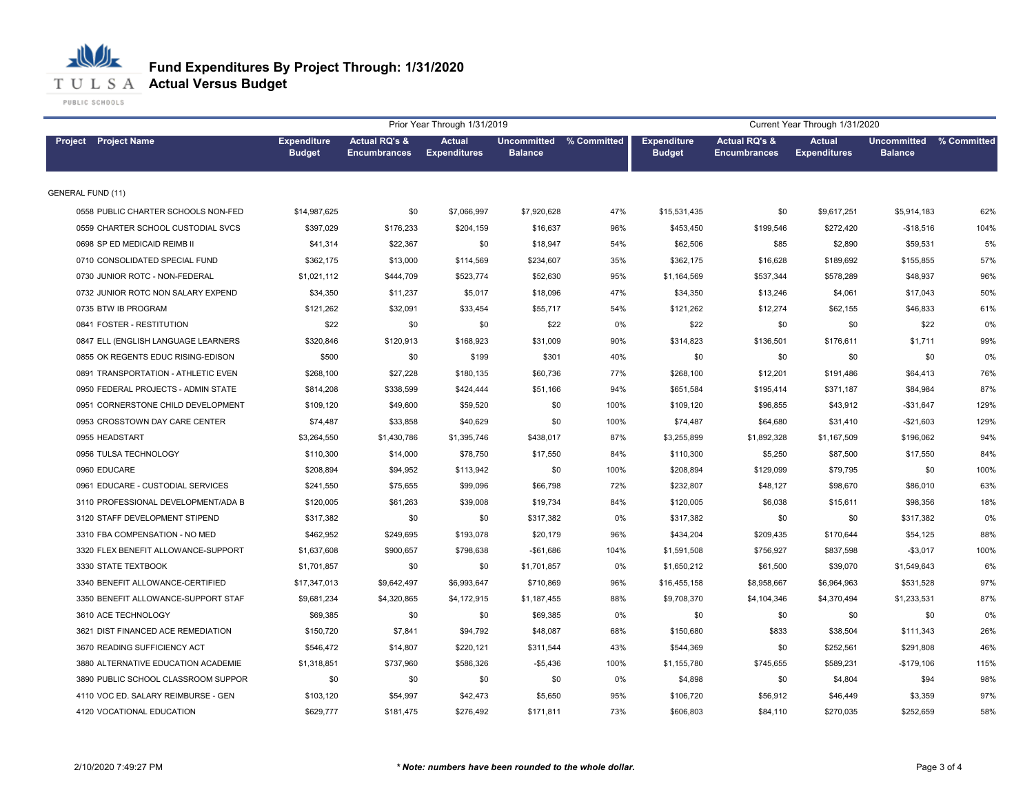

|                                     |                                     |                                                 | Prior Year Through 1/31/2019         |                                           |      | Current Year Through 1/31/2020      |                                                 |                                      |                                      |             |
|-------------------------------------|-------------------------------------|-------------------------------------------------|--------------------------------------|-------------------------------------------|------|-------------------------------------|-------------------------------------------------|--------------------------------------|--------------------------------------|-------------|
| <b>Project</b> Project Name         | <b>Expenditure</b><br><b>Budget</b> | <b>Actual RQ's &amp;</b><br><b>Encumbrances</b> | <b>Actual</b><br><b>Expenditures</b> | Uncommitted % Committed<br><b>Balance</b> |      | <b>Expenditure</b><br><b>Budget</b> | <b>Actual RQ's &amp;</b><br><b>Encumbrances</b> | <b>Actual</b><br><b>Expenditures</b> | <b>Uncommitted</b><br><b>Balance</b> | % Committed |
| <b>GENERAL FUND (11)</b>            |                                     |                                                 |                                      |                                           |      |                                     |                                                 |                                      |                                      |             |
| 0558 PUBLIC CHARTER SCHOOLS NON-FED | \$14,987,625                        | \$0                                             | \$7,066,997                          | \$7,920,628                               | 47%  | \$15,531,435                        | \$0                                             | \$9,617,251                          | \$5,914,183                          | 62%         |
| 0559 CHARTER SCHOOL CUSTODIAL SVCS  | \$397,029                           | \$176,233                                       | \$204,159                            | \$16,637                                  | 96%  | \$453,450                           | \$199,546                                       | \$272,420                            | $-$18,516$                           | 104%        |
| 0698 SP ED MEDICAID REIMB II        | \$41,314                            | \$22,367                                        | \$0                                  | \$18,947                                  | 54%  | \$62,506                            | \$85                                            | \$2,890                              | \$59,531                             | 5%          |
| 0710 CONSOLIDATED SPECIAL FUND      | \$362,175                           | \$13,000                                        | \$114,569                            | \$234,607                                 | 35%  | \$362,175                           | \$16,628                                        | \$189,692                            | \$155,855                            | 57%         |
| 0730 JUNIOR ROTC - NON-FEDERAL      | \$1,021,112                         | \$444,709                                       | \$523,774                            | \$52,630                                  | 95%  | \$1,164,569                         | \$537,344                                       | \$578,289                            | \$48,937                             | 96%         |
| 0732 JUNIOR ROTC NON SALARY EXPEND  | \$34,350                            | \$11,237                                        | \$5,017                              | \$18,096                                  | 47%  | \$34,350                            | \$13,246                                        | \$4,061                              | \$17,043                             | 50%         |
| 0735 BTW IB PROGRAM                 | \$121,262                           | \$32,091                                        | \$33,454                             | \$55,717                                  | 54%  | \$121,262                           | \$12,274                                        | \$62,155                             | \$46,833                             | 61%         |
| 0841 FOSTER - RESTITUTION           | \$22                                | \$0                                             | \$0                                  | \$22                                      | 0%   | \$22                                | \$0                                             | \$0                                  | \$22                                 | 0%          |
| 0847 ELL (ENGLISH LANGUAGE LEARNERS | \$320,846                           | \$120,913                                       | \$168,923                            | \$31,009                                  | 90%  | \$314,823                           | \$136,501                                       | \$176,611                            | \$1,711                              | 99%         |
| 0855 OK REGENTS EDUC RISING-EDISON  | \$500                               | \$0                                             | \$199                                | \$301                                     | 40%  | \$0                                 | \$0                                             | \$0                                  | \$0                                  | 0%          |
| 0891 TRANSPORTATION - ATHLETIC EVEN | \$268,100                           | \$27,228                                        | \$180,135                            | \$60,736                                  | 77%  | \$268,100                           | \$12,201                                        | \$191,486                            | \$64,413                             | 76%         |
| 0950 FEDERAL PROJECTS - ADMIN STATE | \$814,208                           | \$338,599                                       | \$424,444                            | \$51,166                                  | 94%  | \$651,584                           | \$195,414                                       | \$371,187                            | \$84,984                             | 87%         |
| 0951 CORNERSTONE CHILD DEVELOPMENT  | \$109,120                           | \$49,600                                        | \$59,520                             | \$0                                       | 100% | \$109,120                           | \$96,855                                        | \$43,912                             | $-$31,647$                           | 129%        |
| 0953 CROSSTOWN DAY CARE CENTER      | \$74,487                            | \$33,858                                        | \$40,629                             | \$0                                       | 100% | \$74,487                            | \$64,680                                        | \$31,410                             | $-$21,603$                           | 129%        |
| 0955 HEADSTART                      | \$3,264,550                         | \$1,430,786                                     | \$1,395,746                          | \$438,017                                 | 87%  | \$3,255,899                         | \$1,892,328                                     | \$1,167,509                          | \$196,062                            | 94%         |
| 0956 TULSA TECHNOLOGY               | \$110,300                           | \$14,000                                        | \$78,750                             | \$17,550                                  | 84%  | \$110,300                           | \$5,250                                         | \$87,500                             | \$17,550                             | 84%         |
| 0960 EDUCARE                        | \$208,894                           | \$94,952                                        | \$113,942                            | \$0                                       | 100% | \$208,894                           | \$129,099                                       | \$79,795                             | \$0                                  | 100%        |
| 0961 EDUCARE - CUSTODIAL SERVICES   | \$241,550                           | \$75,655                                        | \$99,096                             | \$66,798                                  | 72%  | \$232,807                           | \$48,127                                        | \$98,670                             | \$86,010                             | 63%         |
| 3110 PROFESSIONAL DEVELOPMENT/ADA B | \$120,005                           | \$61,263                                        | \$39,008                             | \$19,734                                  | 84%  | \$120,005                           | \$6,038                                         | \$15,611                             | \$98,356                             | 18%         |
| 3120 STAFF DEVELOPMENT STIPEND      | \$317,382                           | \$0                                             | \$0                                  | \$317,382                                 | 0%   | \$317,382                           | \$0                                             | \$0                                  | \$317,382                            | 0%          |
| 3310 FBA COMPENSATION - NO MED      | \$462,952                           | \$249,695                                       | \$193,078                            | \$20,179                                  | 96%  | \$434,204                           | \$209,435                                       | \$170,644                            | \$54,125                             | 88%         |
| 3320 FLEX BENEFIT ALLOWANCE-SUPPORT | \$1,637,608                         | \$900,657                                       | \$798,638                            | $-$61,686$                                | 104% | \$1,591,508                         | \$756,927                                       | \$837,598                            | $-$3,017$                            | 100%        |
| 3330 STATE TEXTBOOK                 | \$1,701,857                         | \$0                                             | \$0                                  | \$1,701,857                               | 0%   | \$1,650,212                         | \$61,500                                        | \$39,070                             | \$1,549,643                          | 6%          |
| 3340 BENEFIT ALLOWANCE-CERTIFIED    | \$17,347,013                        | \$9,642,497                                     | \$6,993,647                          | \$710,869                                 | 96%  | \$16,455,158                        | \$8,958,667                                     | \$6,964,963                          | \$531,528                            | 97%         |
| 3350 BENEFIT ALLOWANCE-SUPPORT STAF | \$9,681,234                         | \$4,320,865                                     | \$4,172,915                          | \$1,187,455                               | 88%  | \$9,708,370                         | \$4,104,346                                     | \$4,370,494                          | \$1,233,531                          | 87%         |
| 3610 ACE TECHNOLOGY                 | \$69,385                            | \$0                                             | \$0                                  | \$69,385                                  | 0%   | \$0                                 | \$0                                             | \$0                                  | \$0                                  | 0%          |
| 3621 DIST FINANCED ACE REMEDIATION  | \$150,720                           | \$7,841                                         | \$94,792                             | \$48,087                                  | 68%  | \$150,680                           | \$833                                           | \$38,504                             | \$111,343                            | 26%         |
| 3670 READING SUFFICIENCY ACT        | \$546,472                           | \$14,807                                        | \$220,121                            | \$311,544                                 | 43%  | \$544,369                           | \$0                                             | \$252,561                            | \$291,808                            | 46%         |
| 3880 ALTERNATIVE EDUCATION ACADEMIE | \$1,318,851                         | \$737,960                                       | \$586,326                            | $-$5,436$                                 | 100% | \$1,155,780                         | \$745,655                                       | \$589,231                            | $-$179,106$                          | 115%        |
| 3890 PUBLIC SCHOOL CLASSROOM SUPPOR | \$0                                 | \$0                                             | \$0                                  | \$0                                       | 0%   | \$4,898                             | \$0                                             | \$4,804                              | \$94                                 | 98%         |
| 4110 VOC ED. SALARY REIMBURSE - GEN | \$103,120                           | \$54,997                                        | \$42,473                             | \$5,650                                   | 95%  | \$106,720                           | \$56,912                                        | \$46,449                             | \$3,359                              | 97%         |
| 4120 VOCATIONAL EDUCATION           | \$629,777                           | \$181,475                                       | \$276,492                            | \$171,811                                 | 73%  | \$606,803                           | \$84,110                                        | \$270,035                            | \$252,659                            | 58%         |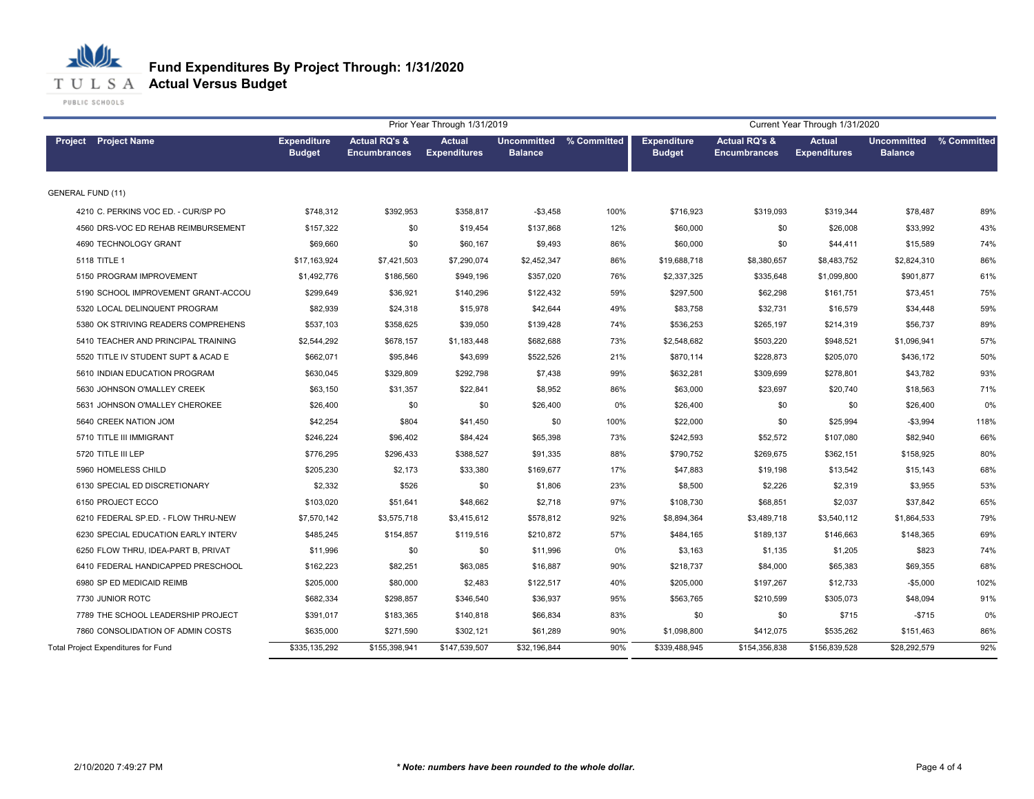

| <b>Actual RQ's &amp;</b><br><b>Actual</b><br>Uncommitted % Committed<br><b>Expenditure</b><br><b>Actual RQ's &amp;</b><br><b>Actual</b><br>Project Project Name<br><b>Expenditure</b><br><b>Expenditures</b><br><b>Budget</b><br><b>Balance</b><br><b>Budget</b><br><b>Expenditures</b><br><b>Encumbrances</b><br><b>Encumbrances</b> | <b>Uncommitted</b><br>% Committed<br><b>Balance</b> |
|---------------------------------------------------------------------------------------------------------------------------------------------------------------------------------------------------------------------------------------------------------------------------------------------------------------------------------------|-----------------------------------------------------|
|                                                                                                                                                                                                                                                                                                                                       |                                                     |
| <b>GENERAL FUND (11)</b>                                                                                                                                                                                                                                                                                                              |                                                     |
| 4210 C. PERKINS VOC ED. - CUR/SP PO<br>\$748,312<br>\$392,953<br>\$358,817<br>$- $3,458$<br>100%<br>\$716,923<br>\$319,093<br>\$319,344                                                                                                                                                                                               | \$78,487<br>89%                                     |
| \$157,322<br>\$0<br>\$19,454<br>\$137,868<br>12%<br>\$60,000<br>\$0<br>\$26,008<br>4560 DRS-VOC ED REHAB REIMBURSEMENT                                                                                                                                                                                                                | 43%<br>\$33,992                                     |
| \$69,660<br>\$9,493<br>86%<br>\$0<br>4690 TECHNOLOGY GRANT<br>\$0<br>\$60,167<br>\$60,000<br>\$44,411                                                                                                                                                                                                                                 | 74%<br>\$15,589                                     |
| 86%<br>5118 TITLE 1<br>\$17,163,924<br>\$7,421,503<br>\$7,290,074<br>\$2,452,347<br>\$19,688,718<br>\$8,380,657<br>\$8,483,752                                                                                                                                                                                                        | 86%<br>\$2,824,310                                  |
| 5150 PROGRAM IMPROVEMENT<br>76%<br>\$1,492,776<br>\$186,560<br>\$949,196<br>\$357,020<br>\$2,337,325<br>\$335,648<br>\$1,099,800                                                                                                                                                                                                      | 61%<br>\$901,877                                    |
| 59%<br>\$297,500<br>5190 SCHOOL IMPROVEMENT GRANT-ACCOU<br>\$299,649<br>\$36,921<br>\$140,296<br>\$122,432<br>\$62,298<br>\$161,751                                                                                                                                                                                                   | 75%<br>\$73,451                                     |
| 5320 LOCAL DELINQUENT PROGRAM<br>\$82,939<br>\$24,318<br>\$15,978<br>\$42,644<br>49%<br>\$83,758<br>\$32,731<br>\$16,579                                                                                                                                                                                                              | 59%<br>\$34,448                                     |
| 5380 OK STRIVING READERS COMPREHENS<br>\$537,103<br>\$358,625<br>\$39,050<br>\$139,428<br>74%<br>\$536,253<br>\$265,197<br>\$214,319                                                                                                                                                                                                  | 89%<br>\$56,737                                     |
| 5410 TEACHER AND PRINCIPAL TRAINING<br>\$2,544,292<br>\$678,157<br>\$1,183,448<br>\$682,688<br>73%<br>\$2,548,682<br>\$503,220<br>\$948,521                                                                                                                                                                                           | 57%<br>\$1,096,941                                  |
| \$522,526<br>21%<br>\$228,873<br>\$205,070<br>5520 TITLE IV STUDENT SUPT & ACAD E<br>\$662,071<br>\$95,846<br>\$43,699<br>\$870,114                                                                                                                                                                                                   | 50%<br>\$436,172                                    |
| \$630,045<br>\$292,798<br>\$7,438<br>99%<br>\$632,281<br>\$278,801<br>5610 INDIAN EDUCATION PROGRAM<br>\$329,809<br>\$309,699                                                                                                                                                                                                         | 93%<br>\$43,782                                     |
| 5630 JOHNSON O'MALLEY CREEK<br>\$63,150<br>\$31,357<br>\$22,841<br>\$8,952<br>86%<br>\$63,000<br>\$23,697<br>\$20,740                                                                                                                                                                                                                 | \$18,563<br>71%                                     |
| 0%<br>5631 JOHNSON O'MALLEY CHEROKEE<br>\$26,400<br>\$0<br>\$0<br>\$26,400<br>\$26,400<br>\$0<br>\$0                                                                                                                                                                                                                                  | \$26,400<br>0%                                      |
| 100%<br>\$25,994<br>5640 CREEK NATION JOM<br>\$42,254<br>\$804<br>\$41,450<br>\$0<br>\$22,000<br>\$0                                                                                                                                                                                                                                  | 118%<br>$-$3,994$                                   |
| 5710 TITLE III IMMIGRANT<br>\$246,224<br>\$96,402<br>\$84,424<br>\$65,398<br>73%<br>\$242,593<br>\$52,572<br>\$107,080                                                                                                                                                                                                                | 66%<br>\$82,940                                     |
| 5720 TITLE III LEP<br>\$776,295<br>\$296,433<br>\$388,527<br>\$91,335<br>88%<br>\$790,752<br>\$269,675<br>\$362,151                                                                                                                                                                                                                   | 80%<br>\$158,925                                    |
| 5960 HOMELESS CHILD<br>\$205,230<br>\$2,173<br>\$169,677<br>17%<br>\$47,883<br>\$19,198<br>\$13,542<br>\$33,380                                                                                                                                                                                                                       | 68%<br>\$15,143                                     |
| 6130 SPECIAL ED DISCRETIONARY<br>\$2,332<br>\$526<br>\$0<br>23%<br>\$8,500<br>\$2,226<br>\$2,319<br>\$1,806                                                                                                                                                                                                                           | 53%<br>\$3,955                                      |
| \$2,718<br>97%<br>\$68,851<br>\$2,037<br>6150 PROJECT ECCO<br>\$103,020<br>\$51,641<br>\$48,662<br>\$108,730                                                                                                                                                                                                                          | \$37,842<br>65%                                     |
| 6210 FEDERAL SP.ED. - FLOW THRU-NEW<br>\$3,415,612<br>\$578,812<br>92%<br>\$8,894,364<br>\$3,489,718<br>\$3,540,112<br>\$7,570,142<br>\$3,575,718                                                                                                                                                                                     | \$1,864,533<br>79%                                  |
| \$210,872<br>57%<br>6230 SPECIAL EDUCATION EARLY INTERV<br>\$485,245<br>\$154,857<br>\$119,516<br>\$484,165<br>\$189,137<br>\$146,663                                                                                                                                                                                                 | 69%<br>\$148,365                                    |
| 6250 FLOW THRU, IDEA-PART B, PRIVAT<br>\$11,996<br>\$0<br>\$11,996<br>0%<br>\$1,135<br>\$0<br>\$3,163<br>\$1,205                                                                                                                                                                                                                      | 74%<br>\$823                                        |
| 90%<br>\$65,383<br>6410 FEDERAL HANDICAPPED PRESCHOOL<br>\$162,223<br>\$82,251<br>\$63,085<br>\$16,887<br>\$218,737<br>\$84,000                                                                                                                                                                                                       | \$69,355<br>68%                                     |
| 6980 SP ED MEDICAID REIMB<br>40%<br>\$205,000<br>\$80,000<br>\$2,483<br>\$122,517<br>\$205,000<br>\$197,267<br>\$12,733                                                                                                                                                                                                               | 102%<br>$-$5,000$                                   |
| 7730 JUNIOR ROTC<br>\$682,334<br>\$298,857<br>\$346,540<br>\$36,937<br>95%<br>\$563,765<br>\$210,599<br>\$305,073                                                                                                                                                                                                                     | \$48,094<br>91%                                     |
| 7789 THE SCHOOL LEADERSHIP PROJECT<br>\$391,017<br>\$183,365<br>\$140,818<br>\$66,834<br>83%<br>\$0<br>\$0<br>\$715                                                                                                                                                                                                                   | $-$715$<br>0%                                       |
| \$271,590<br>\$61,289<br>90%<br>7860 CONSOLIDATION OF ADMIN COSTS<br>\$635,000<br>\$302,121<br>\$1,098,800<br>\$412,075<br>\$535,262                                                                                                                                                                                                  | \$151,463<br>86%                                    |
| Total Project Expenditures for Fund<br>\$335,135,292<br>\$155,398,941<br>\$147,539,507<br>\$32,196,844<br>90%<br>\$339,488,945<br>\$154,356,838<br>\$156,839,528                                                                                                                                                                      | 92%<br>\$28,292,579                                 |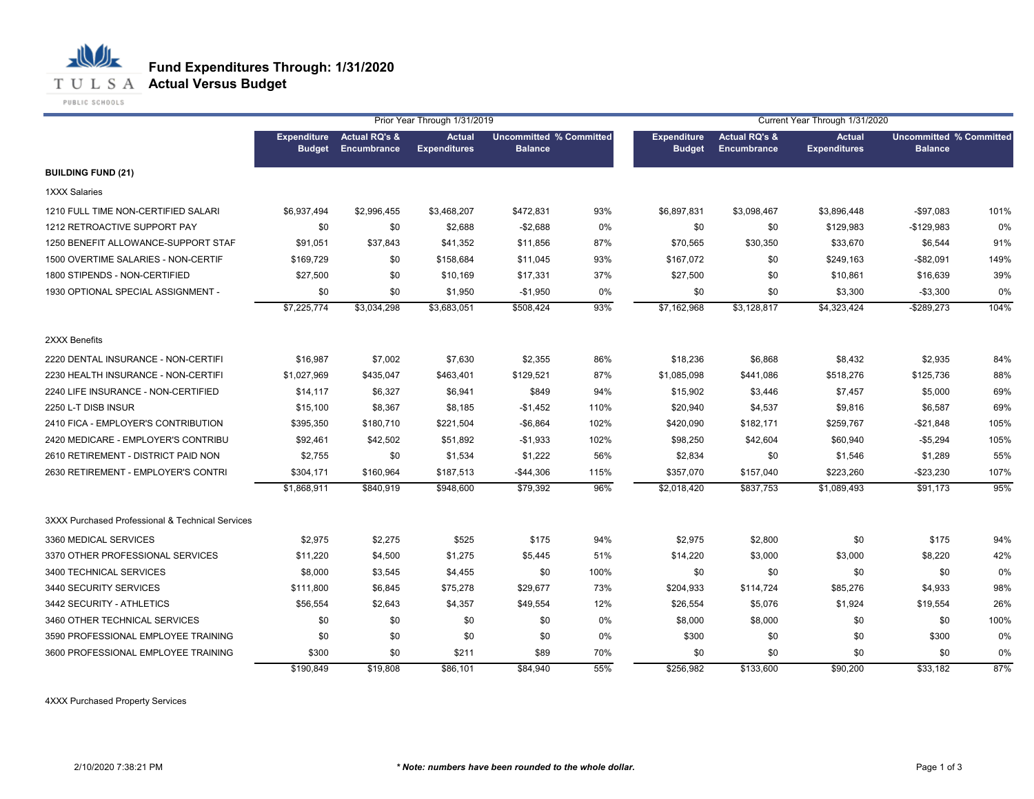

小

|                                                  |                                     |                                                | Prior Year Through 1/31/2019         |                                                  |      | Current Year Through 1/31/2020      |                                                |                                      |                                                  |      |  |
|--------------------------------------------------|-------------------------------------|------------------------------------------------|--------------------------------------|--------------------------------------------------|------|-------------------------------------|------------------------------------------------|--------------------------------------|--------------------------------------------------|------|--|
|                                                  | <b>Expenditure</b><br><b>Budget</b> | <b>Actual RQ's &amp;</b><br><b>Encumbrance</b> | <b>Actual</b><br><b>Expenditures</b> | <b>Uncommitted % Committed</b><br><b>Balance</b> |      | <b>Expenditure</b><br><b>Budget</b> | <b>Actual RQ's &amp;</b><br><b>Encumbrance</b> | <b>Actual</b><br><b>Expenditures</b> | <b>Uncommitted % Committed</b><br><b>Balance</b> |      |  |
| <b>BUILDING FUND (21)</b>                        |                                     |                                                |                                      |                                                  |      |                                     |                                                |                                      |                                                  |      |  |
| 1XXX Salaries                                    |                                     |                                                |                                      |                                                  |      |                                     |                                                |                                      |                                                  |      |  |
| 1210 FULL TIME NON-CERTIFIED SALARI              | \$6,937,494                         | \$2,996,455                                    | \$3,468,207                          | \$472,831                                        | 93%  | \$6,897,831                         | \$3,098,467                                    | \$3,896,448                          | $-$97,083$                                       | 101% |  |
| 1212 RETROACTIVE SUPPORT PAY                     | \$0                                 | \$0                                            | \$2,688                              | $-$2,688$                                        | 0%   | \$0                                 | \$0                                            | \$129,983                            | $-$129,983$                                      | 0%   |  |
| 1250 BENEFIT ALLOWANCE-SUPPORT STAF              | \$91,051                            | \$37,843                                       | \$41,352                             | \$11,856                                         | 87%  | \$70,565                            | \$30,350                                       | \$33,670                             | \$6,544                                          | 91%  |  |
| 1500 OVERTIME SALARIES - NON-CERTIF              | \$169,729                           | \$0                                            | \$158,684                            | \$11,045                                         | 93%  | \$167,072                           | \$0                                            | \$249,163                            | $-$ \$82,091                                     | 149% |  |
| 1800 STIPENDS - NON-CERTIFIED                    | \$27,500                            | \$0                                            | \$10,169                             | \$17,331                                         | 37%  | \$27,500                            | \$0                                            | \$10,861                             | \$16,639                                         | 39%  |  |
| 1930 OPTIONAL SPECIAL ASSIGNMENT -               | \$0                                 | \$0                                            | \$1,950                              | $-$1,950$                                        | 0%   | \$0                                 | \$0                                            | \$3,300                              | $-$3,300$                                        | 0%   |  |
|                                                  | \$7,225,774                         | \$3,034,298                                    | \$3,683,051                          | \$508,424                                        | 93%  | \$7,162,968                         | \$3,128,817                                    | \$4,323,424                          | $-$ \$289,273                                    | 104% |  |
| 2XXX Benefits                                    |                                     |                                                |                                      |                                                  |      |                                     |                                                |                                      |                                                  |      |  |
| 2220 DENTAL INSURANCE - NON-CERTIFI              | \$16,987                            | \$7,002                                        | \$7,630                              | \$2,355                                          | 86%  | \$18,236                            | \$6,868                                        | \$8,432                              | \$2,935                                          | 84%  |  |
| 2230 HEALTH INSURANCE - NON-CERTIFI              | \$1,027,969                         | \$435,047                                      | \$463,401                            | \$129,521                                        | 87%  | \$1,085,098                         | \$441,086                                      | \$518,276                            | \$125,736                                        | 88%  |  |
| 2240 LIFE INSURANCE - NON-CERTIFIED              | \$14,117                            | \$6,327                                        | \$6,941                              | \$849                                            | 94%  | \$15,902                            | \$3,446                                        | \$7,457                              | \$5,000                                          | 69%  |  |
| 2250 L-T DISB INSUR                              | \$15,100                            | \$8,367                                        | \$8,185                              | $-$1,452$                                        | 110% | \$20,940                            | \$4,537                                        | \$9,816                              | \$6,587                                          | 69%  |  |
| 2410 FICA - EMPLOYER'S CONTRIBUTION              | \$395,350                           | \$180,710                                      | \$221,504                            | $-$6,864$                                        | 102% | \$420,090                           | \$182,171                                      | \$259,767                            | $-$21,848$                                       | 105% |  |
| 2420 MEDICARE - EMPLOYER'S CONTRIBU              | \$92,461                            | \$42,502                                       | \$51,892                             | $-$1,933$                                        | 102% | \$98,250                            | \$42,604                                       | \$60,940                             | $-$5,294$                                        | 105% |  |
| 2610 RETIREMENT - DISTRICT PAID NON              | \$2,755                             | \$0                                            | \$1,534                              | \$1,222                                          | 56%  | \$2,834                             | \$0                                            | \$1,546                              | \$1,289                                          | 55%  |  |
| 2630 RETIREMENT - EMPLOYER'S CONTRI              | \$304,171                           | \$160,964                                      | \$187,513                            | $-$44,306$                                       | 115% | \$357,070                           | \$157,040                                      | \$223,260                            | $-$23,230$                                       | 107% |  |
|                                                  | \$1,868,911                         | \$840,919                                      | \$948,600                            | \$79,392                                         | 96%  | \$2,018,420                         | \$837,753                                      | \$1,089,493                          | \$91,173                                         | 95%  |  |
| 3XXX Purchased Professional & Technical Services |                                     |                                                |                                      |                                                  |      |                                     |                                                |                                      |                                                  |      |  |
| 3360 MEDICAL SERVICES                            | \$2,975                             | \$2,275                                        | \$525                                | \$175                                            | 94%  | \$2,975                             | \$2,800                                        | \$0                                  | \$175                                            | 94%  |  |
| 3370 OTHER PROFESSIONAL SERVICES                 | \$11,220                            | \$4,500                                        | \$1,275                              | \$5,445                                          | 51%  | \$14,220                            | \$3,000                                        | \$3,000                              | \$8,220                                          | 42%  |  |
| 3400 TECHNICAL SERVICES                          | \$8,000                             | \$3,545                                        | \$4,455                              | \$0                                              | 100% | \$0                                 | \$0                                            | \$0                                  | \$0                                              | 0%   |  |
| 3440 SECURITY SERVICES                           | \$111,800                           | \$6,845                                        | \$75,278                             | \$29,677                                         | 73%  | \$204,933                           | \$114,724                                      | \$85,276                             | \$4,933                                          | 98%  |  |
| 3442 SECURITY - ATHLETICS                        | \$56,554                            | \$2,643                                        | \$4,357                              | \$49,554                                         | 12%  | \$26,554                            | \$5,076                                        | \$1,924                              | \$19,554                                         | 26%  |  |
| 3460 OTHER TECHNICAL SERVICES                    | \$0                                 | \$0                                            | \$0                                  | \$0                                              | 0%   | \$8,000                             | \$8,000                                        | \$0                                  | \$0                                              | 100% |  |
| 3590 PROFESSIONAL EMPLOYEE TRAINING              | \$0                                 | \$0                                            | \$0                                  | \$0                                              | 0%   | \$300                               | \$0                                            | \$0                                  | \$300                                            | 0%   |  |
| 3600 PROFESSIONAL EMPLOYEE TRAINING              | \$300                               | \$0                                            | \$211                                | \$89                                             | 70%  | \$0                                 | \$0                                            | \$0                                  | \$0                                              | 0%   |  |
|                                                  | \$190,849                           | \$19,808                                       | \$86,101                             | \$84,940                                         | 55%  | \$256,982                           | \$133,600                                      | \$90,200                             | \$33,182                                         | 87%  |  |

4XXX Purchased Property Services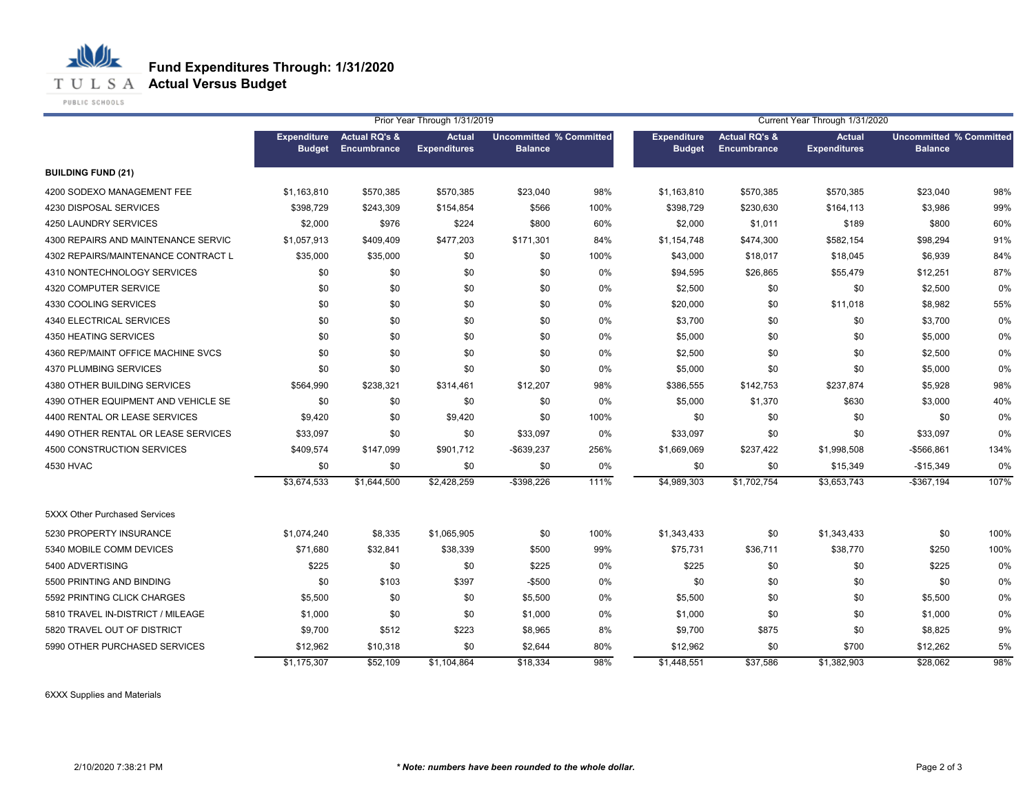

**T U L S A Actual Versus Budget** 

PUBLIC SCHOOLS

心儿

|                                     |                                     |                                         | Prior Year Through 1/31/2019         |                                                  |      | Current Year Through 1/31/2020      |                                                |                                      |                                                  |      |
|-------------------------------------|-------------------------------------|-----------------------------------------|--------------------------------------|--------------------------------------------------|------|-------------------------------------|------------------------------------------------|--------------------------------------|--------------------------------------------------|------|
|                                     | <b>Expenditure</b><br><b>Budget</b> | <b>Actual RQ's &amp;</b><br>Encumbrance | <b>Actual</b><br><b>Expenditures</b> | <b>Uncommitted % Committed</b><br><b>Balance</b> |      | <b>Expenditure</b><br><b>Budget</b> | <b>Actual RQ's &amp;</b><br><b>Encumbrance</b> | <b>Actual</b><br><b>Expenditures</b> | <b>Uncommitted % Committed</b><br><b>Balance</b> |      |
| <b>BUILDING FUND (21)</b>           |                                     |                                         |                                      |                                                  |      |                                     |                                                |                                      |                                                  |      |
| 4200 SODEXO MANAGEMENT FEE          | \$1,163,810                         | \$570,385                               | \$570,385                            | \$23,040                                         | 98%  | \$1,163,810                         | \$570,385                                      | \$570,385                            | \$23,040                                         | 98%  |
| 4230 DISPOSAL SERVICES              | \$398.729                           | \$243,309                               | \$154,854                            | \$566                                            | 100% | \$398,729                           | \$230,630                                      | \$164,113                            | \$3,986                                          | 99%  |
| 4250 LAUNDRY SERVICES               | \$2,000                             | \$976                                   | \$224                                | \$800                                            | 60%  | \$2,000                             | \$1,011                                        | \$189                                | \$800                                            | 60%  |
| 4300 REPAIRS AND MAINTENANCE SERVIC | \$1,057,913                         | \$409,409                               | \$477,203                            | \$171,301                                        | 84%  | \$1,154,748                         | \$474,300                                      | \$582,154                            | \$98,294                                         | 91%  |
| 4302 REPAIRS/MAINTENANCE CONTRACT L | \$35,000                            | \$35,000                                | \$0                                  | \$0                                              | 100% | \$43,000                            | \$18,017                                       | \$18,045                             | \$6,939                                          | 84%  |
| 4310 NONTECHNOLOGY SERVICES         | \$0                                 | \$0                                     | \$0                                  | \$0                                              | 0%   | \$94,595                            | \$26,865                                       | \$55,479                             | \$12,251                                         | 87%  |
| 4320 COMPUTER SERVICE               | \$0                                 | \$0                                     | \$0                                  | \$0                                              | 0%   | \$2,500                             | \$0                                            | \$0                                  | \$2,500                                          | 0%   |
| 4330 COOLING SERVICES               | \$0                                 | \$0                                     | \$0                                  | \$0                                              | 0%   | \$20,000                            | \$0                                            | \$11,018                             | \$8,982                                          | 55%  |
| 4340 ELECTRICAL SERVICES            | \$0                                 | \$0                                     | \$0                                  | \$0                                              | 0%   | \$3,700                             | \$0                                            | \$0                                  | \$3,700                                          | 0%   |
| 4350 HEATING SERVICES               | \$0                                 | \$0                                     | \$0                                  | \$0                                              | 0%   | \$5,000                             | \$0                                            | \$0                                  | \$5,000                                          | 0%   |
| 4360 REP/MAINT OFFICE MACHINE SVCS  | \$0                                 | \$0                                     | \$0                                  | \$0                                              | 0%   | \$2,500                             | \$0                                            | \$0                                  | \$2,500                                          | 0%   |
| 4370 PLUMBING SERVICES              | \$0                                 | \$0                                     | \$0                                  | \$0                                              | 0%   | \$5,000                             | \$0                                            | \$0                                  | \$5,000                                          | 0%   |
| 4380 OTHER BUILDING SERVICES        | \$564,990                           | \$238,321                               | \$314,461                            | \$12,207                                         | 98%  | \$386,555                           | \$142,753                                      | \$237,874                            | \$5,928                                          | 98%  |
| 4390 OTHER EQUIPMENT AND VEHICLE SE | \$0                                 | \$0                                     | \$0                                  | \$0                                              | 0%   | \$5,000                             | \$1,370                                        | \$630                                | \$3,000                                          | 40%  |
| 4400 RENTAL OR LEASE SERVICES       | \$9,420                             | \$0                                     | \$9,420                              | \$0                                              | 100% | \$0                                 | \$0                                            | \$0                                  | \$0                                              | 0%   |
| 4490 OTHER RENTAL OR LEASE SERVICES | \$33,097                            | \$0                                     | \$0                                  | \$33,097                                         | 0%   | \$33,097                            | \$0                                            | \$0                                  | \$33,097                                         | 0%   |
| 4500 CONSTRUCTION SERVICES          | \$409,574                           | \$147,099                               | \$901,712                            | -\$639,237                                       | 256% | \$1,669,069                         | \$237,422                                      | \$1,998,508                          | -\$566,861                                       | 134% |
| 4530 HVAC                           | \$0                                 | \$0                                     | \$0                                  | \$0                                              | 0%   | \$0                                 | \$0                                            | \$15,349                             | $-$15,349$                                       | 0%   |
|                                     | \$3,674,533                         | \$1,644,500                             | \$2,428,259                          | $-$ \$398,226                                    | 111% | \$4,989,303                         | \$1,702,754                                    | \$3,653,743                          | $-$367,194$                                      | 107% |
| 5XXX Other Purchased Services       |                                     |                                         |                                      |                                                  |      |                                     |                                                |                                      |                                                  |      |
| 5230 PROPERTY INSURANCE             | \$1,074,240                         | \$8,335                                 | \$1,065,905                          | \$0                                              | 100% | \$1,343,433                         | \$0                                            | \$1,343,433                          | \$0                                              | 100% |
| 5340 MOBILE COMM DEVICES            | \$71,680                            | \$32,841                                | \$38,339                             | \$500                                            | 99%  | \$75,731                            | \$36,711                                       | \$38,770                             | \$250                                            | 100% |
| 5400 ADVERTISING                    | \$225                               | \$0                                     | \$0                                  | \$225                                            | 0%   | \$225                               | \$0                                            | \$0                                  | \$225                                            | 0%   |
| 5500 PRINTING AND BINDING           | \$0                                 | \$103                                   | \$397                                | -\$500                                           | 0%   | \$0                                 | \$0                                            | \$0                                  | \$0                                              | 0%   |
| 5592 PRINTING CLICK CHARGES         | \$5,500                             | \$0                                     | \$0                                  | \$5,500                                          | 0%   | \$5,500                             | \$0                                            | \$0                                  | \$5,500                                          | 0%   |
| 5810 TRAVEL IN-DISTRICT / MILEAGE   | \$1,000                             | \$0                                     | \$0                                  | \$1,000                                          | 0%   | \$1,000                             | \$0                                            | \$0                                  | \$1,000                                          | 0%   |
| 5820 TRAVEL OUT OF DISTRICT         | \$9,700                             | \$512                                   | \$223                                | \$8,965                                          | 8%   | \$9,700                             | \$875                                          | \$0                                  | \$8,825                                          | 9%   |
| 5990 OTHER PURCHASED SERVICES       | \$12,962                            | \$10,318                                | \$0                                  | \$2,644                                          | 80%  | \$12,962                            | \$0                                            | \$700                                | \$12,262                                         | 5%   |
|                                     | \$1,175,307                         | \$52,109                                | \$1,104,864                          | \$18,334                                         | 98%  | \$1,448,551                         | \$37,586                                       | \$1,382,903                          | \$28,062                                         | 98%  |

6XXX Supplies and Materials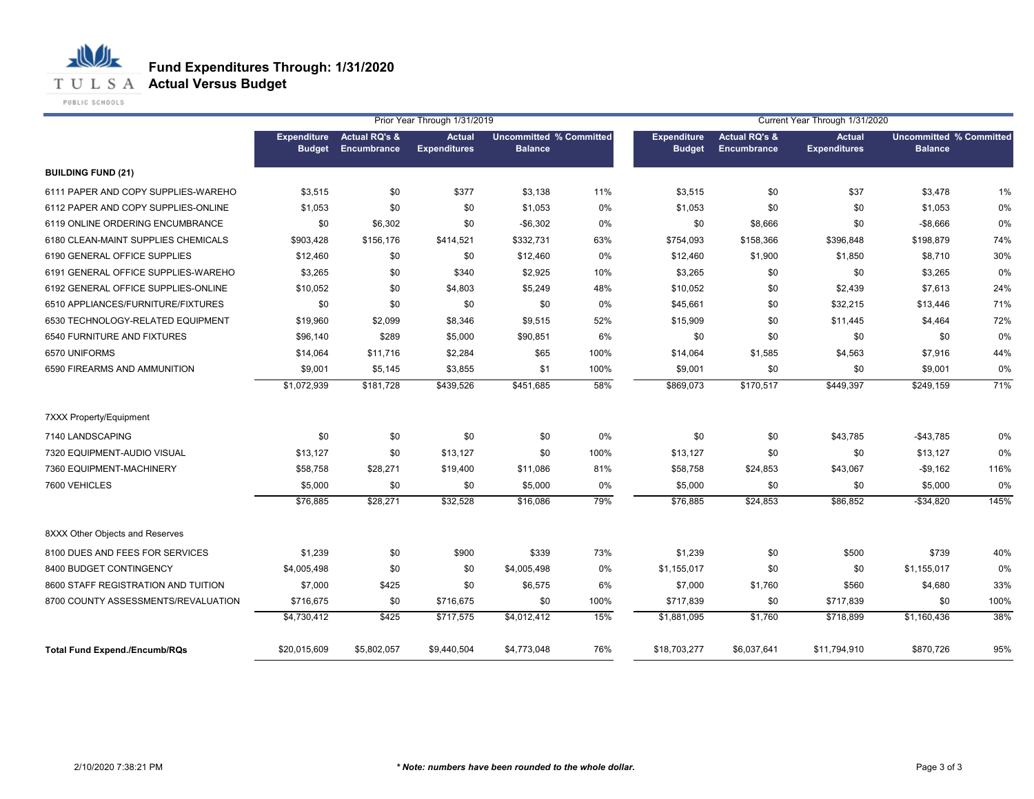

## **Fund Expenditures Through: 1/31/2020**

|                                      |                                     |                                         | Prior Year Through 1/31/2019         |                                                  |      | Current Year Through 1/31/2020      |                                         |                                      |                                                  |      |  |
|--------------------------------------|-------------------------------------|-----------------------------------------|--------------------------------------|--------------------------------------------------|------|-------------------------------------|-----------------------------------------|--------------------------------------|--------------------------------------------------|------|--|
|                                      | <b>Expenditure</b><br><b>Budget</b> | <b>Actual RQ's &amp;</b><br>Encumbrance | <b>Actual</b><br><b>Expenditures</b> | <b>Uncommitted % Committed</b><br><b>Balance</b> |      | <b>Expenditure</b><br><b>Budget</b> | <b>Actual RQ's &amp;</b><br>Encumbrance | <b>Actual</b><br><b>Expenditures</b> | <b>Uncommitted % Committed</b><br><b>Balance</b> |      |  |
| <b>BUILDING FUND (21)</b>            |                                     |                                         |                                      |                                                  |      |                                     |                                         |                                      |                                                  |      |  |
| 6111 PAPER AND COPY SUPPLIES-WAREHO  | \$3,515                             | \$0                                     | \$377                                | \$3,138                                          | 11%  | \$3,515                             | \$0                                     | \$37                                 | \$3,478                                          | 1%   |  |
| 6112 PAPER AND COPY SUPPLIES-ONLINE  | \$1,053                             | \$0                                     | \$0                                  | \$1,053                                          | 0%   | \$1,053                             | \$0                                     | \$0                                  | \$1,053                                          | 0%   |  |
| 6119 ONLINE ORDERING ENCUMBRANCE     | \$0                                 | \$6,302                                 | \$0                                  | $-$6,302$                                        | 0%   | \$0                                 | \$8,666                                 | \$0                                  | $-$8,666$                                        | 0%   |  |
| 6180 CLEAN-MAINT SUPPLIES CHEMICALS  | \$903,428                           | \$156,176                               | \$414,521                            | \$332,731                                        | 63%  | \$754,093                           | \$158,366                               | \$396,848                            | \$198,879                                        | 74%  |  |
| 6190 GENERAL OFFICE SUPPLIES         | \$12,460                            | \$0                                     | \$0                                  | \$12,460                                         | 0%   | \$12,460                            | \$1,900                                 | \$1,850                              | \$8,710                                          | 30%  |  |
| 6191 GENERAL OFFICE SUPPLIES-WAREHO  | \$3,265                             | \$0                                     | \$340                                | \$2,925                                          | 10%  | \$3,265                             | \$0                                     | \$0                                  | \$3,265                                          | 0%   |  |
| 6192 GENERAL OFFICE SUPPLIES-ONLINE  | \$10,052                            | \$0                                     | \$4,803                              | \$5,249                                          | 48%  | \$10,052                            | \$0                                     | \$2,439                              | \$7,613                                          | 24%  |  |
| 6510 APPLIANCES/FURNITURE/FIXTURES   | \$0                                 | \$0                                     | \$0                                  | \$0                                              | 0%   | \$45,661                            | \$0                                     | \$32,215                             | \$13,446                                         | 71%  |  |
| 6530 TECHNOLOGY-RELATED EQUIPMENT    | \$19,960                            | \$2,099                                 | \$8,346                              | \$9,515                                          | 52%  | \$15,909                            | \$0                                     | \$11,445                             | \$4,464                                          | 72%  |  |
| 6540 FURNITURE AND FIXTURES          | \$96,140                            | \$289                                   | \$5,000                              | \$90,851                                         | 6%   | \$0                                 | \$0                                     | \$0                                  | \$0                                              | 0%   |  |
| 6570 UNIFORMS                        | \$14,064                            | \$11,716                                | \$2,284                              | \$65                                             | 100% | \$14,064                            | \$1,585                                 | \$4,563                              | \$7,916                                          | 44%  |  |
| 6590 FIREARMS AND AMMUNITION         | \$9,001                             | \$5,145                                 | \$3,855                              | \$1                                              | 100% | \$9,001                             | \$0                                     | \$0                                  | \$9,001                                          | 0%   |  |
|                                      | \$1,072,939                         | \$181,728                               | \$439,526                            | \$451,685                                        | 58%  | \$869,073                           | \$170,517                               | \$449,397                            | \$249,159                                        | 71%  |  |
| <b>7XXX Property/Equipment</b>       |                                     |                                         |                                      |                                                  |      |                                     |                                         |                                      |                                                  |      |  |
| 7140 LANDSCAPING                     | \$0                                 | \$0                                     | \$0                                  | \$0                                              | 0%   | \$0                                 | \$0                                     | \$43,785                             | $-$43,785$                                       | 0%   |  |
| 7320 EQUIPMENT-AUDIO VISUAL          | \$13,127                            | \$0                                     | \$13,127                             | \$0                                              | 100% | \$13,127                            | \$0                                     | \$0                                  | \$13,127                                         | 0%   |  |
| 7360 EQUIPMENT-MACHINERY             | \$58,758                            | \$28,271                                | \$19,400                             | \$11,086                                         | 81%  | \$58,758                            | \$24,853                                | \$43,067                             | $-$9,162$                                        | 116% |  |
| 7600 VEHICLES                        | \$5,000                             | \$0                                     | \$0                                  | \$5,000                                          | 0%   | \$5,000                             | \$0                                     | \$0                                  | \$5,000                                          | 0%   |  |
|                                      | \$76,885                            | \$28,271                                | \$32,528                             | \$16,086                                         | 79%  | \$76,885                            | \$24,853                                | \$86,852                             | $-$ \$34,820                                     | 145% |  |
| 8XXX Other Objects and Reserves      |                                     |                                         |                                      |                                                  |      |                                     |                                         |                                      |                                                  |      |  |
| 8100 DUES AND FEES FOR SERVICES      | \$1,239                             | \$0                                     | \$900                                | \$339                                            | 73%  | \$1,239                             | \$0                                     | \$500                                | \$739                                            | 40%  |  |
| 8400 BUDGET CONTINGENCY              | \$4,005,498                         | \$0                                     | \$0                                  | \$4,005,498                                      | 0%   | \$1,155,017                         | \$0                                     | \$0                                  | \$1,155,017                                      | 0%   |  |
| 8600 STAFF REGISTRATION AND TUITION  | \$7,000                             | \$425                                   | \$0                                  | \$6,575                                          | 6%   | \$7,000                             | \$1,760                                 | \$560                                | \$4,680                                          | 33%  |  |
| 8700 COUNTY ASSESSMENTS/REVALUATION  | \$716,675                           | \$0                                     | \$716,675                            | \$0                                              | 100% | \$717,839                           | \$0                                     | \$717,839                            | \$0                                              | 100% |  |
|                                      | \$4,730,412                         | \$425                                   | \$717,575                            | \$4,012,412                                      | 15%  | \$1,881,095                         | \$1,760                                 | \$718,899                            | \$1,160,436                                      | 38%  |  |
| <b>Total Fund Expend./Encumb/RQs</b> | \$20,015,609                        | \$5,802,057                             | \$9,440,504                          | \$4,773,048                                      | 76%  | \$18,703,277                        | \$6,037,641                             | \$11,794,910                         | \$870,726                                        | 95%  |  |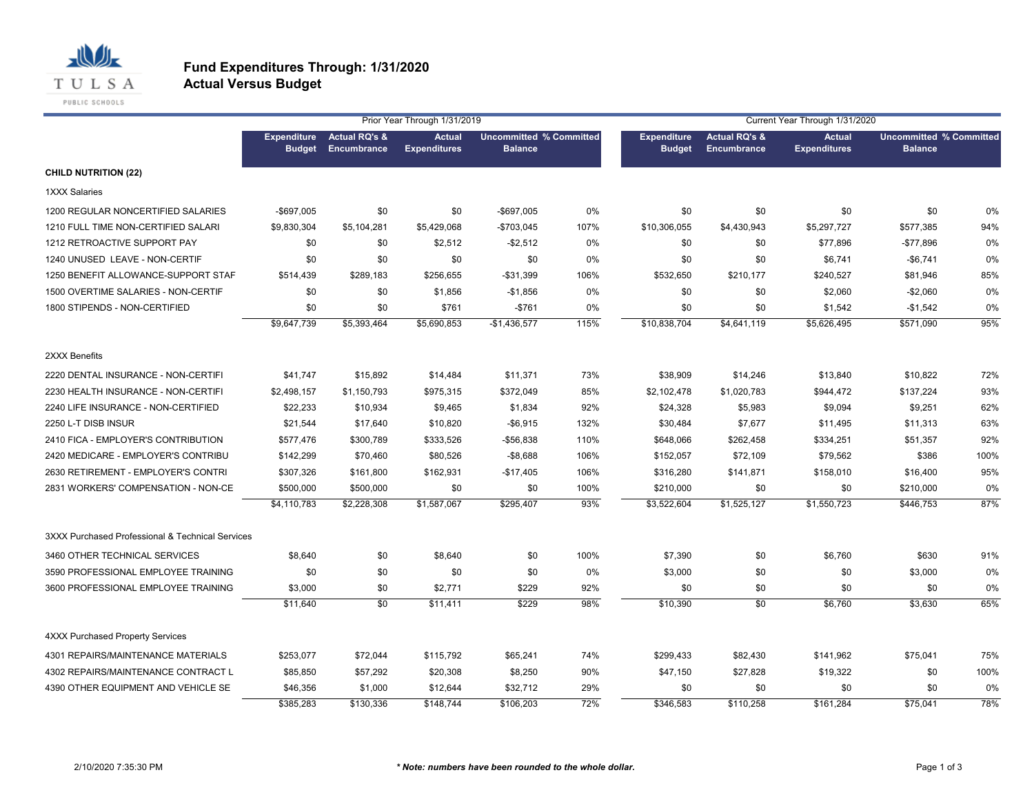

#### **Fund Expenditures Through: 1/31/2020 Actual Versus Budget**

|                                                  |                                     |                                         | Prior Year Through 1/31/2019         |                                                  |      | Current Year Through 1/31/2020      |                                                |                                      |                                                  |      |  |
|--------------------------------------------------|-------------------------------------|-----------------------------------------|--------------------------------------|--------------------------------------------------|------|-------------------------------------|------------------------------------------------|--------------------------------------|--------------------------------------------------|------|--|
|                                                  | <b>Expenditure</b><br><b>Budget</b> | <b>Actual RQ's &amp;</b><br>Encumbrance | <b>Actual</b><br><b>Expenditures</b> | <b>Uncommitted % Committed</b><br><b>Balance</b> |      | <b>Expenditure</b><br><b>Budget</b> | <b>Actual RQ's &amp;</b><br><b>Encumbrance</b> | <b>Actual</b><br><b>Expenditures</b> | <b>Uncommitted % Committed</b><br><b>Balance</b> |      |  |
| <b>CHILD NUTRITION (22)</b>                      |                                     |                                         |                                      |                                                  |      |                                     |                                                |                                      |                                                  |      |  |
| <b>1XXX Salaries</b>                             |                                     |                                         |                                      |                                                  |      |                                     |                                                |                                      |                                                  |      |  |
| 1200 REGULAR NONCERTIFIED SALARIES               | $-$697,005$                         | \$0                                     | \$0                                  | -\$697,005                                       | 0%   | \$0                                 | \$0                                            | \$0                                  | \$0                                              | 0%   |  |
| 1210 FULL TIME NON-CERTIFIED SALARI              | \$9,830,304                         | \$5,104,281                             | \$5,429,068                          | -\$703,045                                       | 107% | \$10,306,055                        | \$4,430,943                                    | \$5,297,727                          | \$577,385                                        | 94%  |  |
| 1212 RETROACTIVE SUPPORT PAY                     | \$0                                 | \$0                                     | \$2,512                              | $-$ \$2,512                                      | 0%   | \$0                                 | \$0                                            | \$77,896                             | $-$77,896$                                       | 0%   |  |
| 1240 UNUSED LEAVE - NON-CERTIF                   | \$0                                 | \$0                                     | \$0                                  | \$0                                              | 0%   | \$0                                 | \$0                                            | \$6,741                              | $-$6,741$                                        | 0%   |  |
| 1250 BENEFIT ALLOWANCE-SUPPORT STAF              | \$514,439                           | \$289,183                               | \$256,655                            | $-$31,399$                                       | 106% | \$532,650                           | \$210,177                                      | \$240,527                            | \$81,946                                         | 85%  |  |
| 1500 OVERTIME SALARIES - NON-CERTIF              | \$0                                 | \$0                                     | \$1,856                              | $-$1,856$                                        | 0%   | \$0                                 | \$0                                            | \$2,060                              | $-$2,060$                                        | 0%   |  |
| 1800 STIPENDS - NON-CERTIFIED                    | \$0                                 | \$0                                     | \$761                                | $-$761$                                          | 0%   | \$0                                 | \$0                                            | \$1,542                              | $-$1,542$                                        | 0%   |  |
|                                                  | \$9,647,739                         | \$5,393,464                             | \$5,690,853                          | $-$1,436,577$                                    | 115% | \$10,838,704                        | $\overline{$4,641,119}$                        | \$5,626,495                          | \$571,090                                        | 95%  |  |
| 2XXX Benefits                                    |                                     |                                         |                                      |                                                  |      |                                     |                                                |                                      |                                                  |      |  |
| 2220 DENTAL INSURANCE - NON-CERTIFI              | \$41,747                            | \$15,892                                | \$14,484                             | \$11,371                                         | 73%  | \$38,909                            | \$14,246                                       | \$13,840                             | \$10,822                                         | 72%  |  |
| 2230 HEALTH INSURANCE - NON-CERTIFI              | \$2,498,157                         | \$1,150,793                             | \$975,315                            | \$372,049                                        | 85%  | \$2,102,478                         | \$1,020,783                                    | \$944,472                            | \$137,224                                        | 93%  |  |
| 2240 LIFE INSURANCE - NON-CERTIFIED              | \$22,233                            | \$10,934                                | \$9,465                              | \$1,834                                          | 92%  | \$24,328                            | \$5,983                                        | \$9,094                              | \$9,251                                          | 62%  |  |
| 2250 L-T DISB INSUR                              | \$21,544                            | \$17,640                                | \$10,820                             | $-$6,915$                                        | 132% | \$30,484                            | \$7,677                                        | \$11,495                             | \$11,313                                         | 63%  |  |
| 2410 FICA - EMPLOYER'S CONTRIBUTION              | \$577,476                           | \$300,789                               | \$333,526                            | $-$56,838$                                       | 110% | \$648,066                           | \$262,458                                      | \$334,251                            | \$51,357                                         | 92%  |  |
| 2420 MEDICARE - EMPLOYER'S CONTRIBU              | \$142,299                           | \$70,460                                | \$80,526                             | $-$ \$8,688                                      | 106% | \$152,057                           | \$72,109                                       | \$79,562                             | \$386                                            | 100% |  |
| 2630 RETIREMENT - EMPLOYER'S CONTRI              | \$307,326                           | \$161,800                               | \$162,931                            | $-$17,405$                                       | 106% | \$316,280                           | \$141,871                                      | \$158,010                            | \$16,400                                         | 95%  |  |
| 2831 WORKERS' COMPENSATION - NON-CE              | \$500,000                           | \$500,000                               | \$0                                  | \$0                                              | 100% | \$210,000                           | \$0                                            | \$0                                  | \$210,000                                        | 0%   |  |
|                                                  | \$4,110,783                         | \$2,228,308                             | \$1,587,067                          | \$295,407                                        | 93%  | \$3,522,604                         | \$1,525,127                                    | \$1,550,723                          | \$446,753                                        | 87%  |  |
| 3XXX Purchased Professional & Technical Services |                                     |                                         |                                      |                                                  |      |                                     |                                                |                                      |                                                  |      |  |
| 3460 OTHER TECHNICAL SERVICES                    | \$8,640                             | \$0                                     | \$8,640                              | \$0                                              | 100% | \$7,390                             | \$0                                            | \$6,760                              | \$630                                            | 91%  |  |
| 3590 PROFESSIONAL EMPLOYEE TRAINING              | \$0                                 | \$0                                     | \$0                                  | \$0                                              | 0%   | \$3,000                             | \$0                                            | \$0                                  | \$3,000                                          | 0%   |  |
| 3600 PROFESSIONAL EMPLOYEE TRAINING              | \$3,000                             | \$0                                     | \$2,771                              | \$229                                            | 92%  | \$0                                 | \$0                                            | \$0                                  | \$0                                              | 0%   |  |
|                                                  | \$11,640                            | \$0                                     | \$11,411                             | \$229                                            | 98%  | \$10,390                            | \$0                                            | \$6,760                              | \$3,630                                          | 65%  |  |
| <b>4XXX Purchased Property Services</b>          |                                     |                                         |                                      |                                                  |      |                                     |                                                |                                      |                                                  |      |  |
| 4301 REPAIRS/MAINTENANCE MATERIALS               | \$253,077                           | \$72,044                                | \$115,792                            | \$65,241                                         | 74%  | \$299,433                           | \$82,430                                       | \$141,962                            | \$75,041                                         | 75%  |  |
| 4302 REPAIRS/MAINTENANCE CONTRACT L              | \$85,850                            | \$57,292                                | \$20,308                             | \$8,250                                          | 90%  | \$47,150                            | \$27,828                                       | \$19,322                             | \$0                                              | 100% |  |
| 4390 OTHER EQUIPMENT AND VEHICLE SE              | \$46,356                            | \$1,000                                 | \$12,644                             | \$32,712                                         | 29%  | \$0                                 | \$0                                            | \$0                                  | \$0                                              | 0%   |  |
|                                                  | \$385,283                           | \$130,336                               | \$148,744                            | \$106,203                                        | 72%  | \$346,583                           | \$110,258                                      | \$161,284                            | \$75,041                                         | 78%  |  |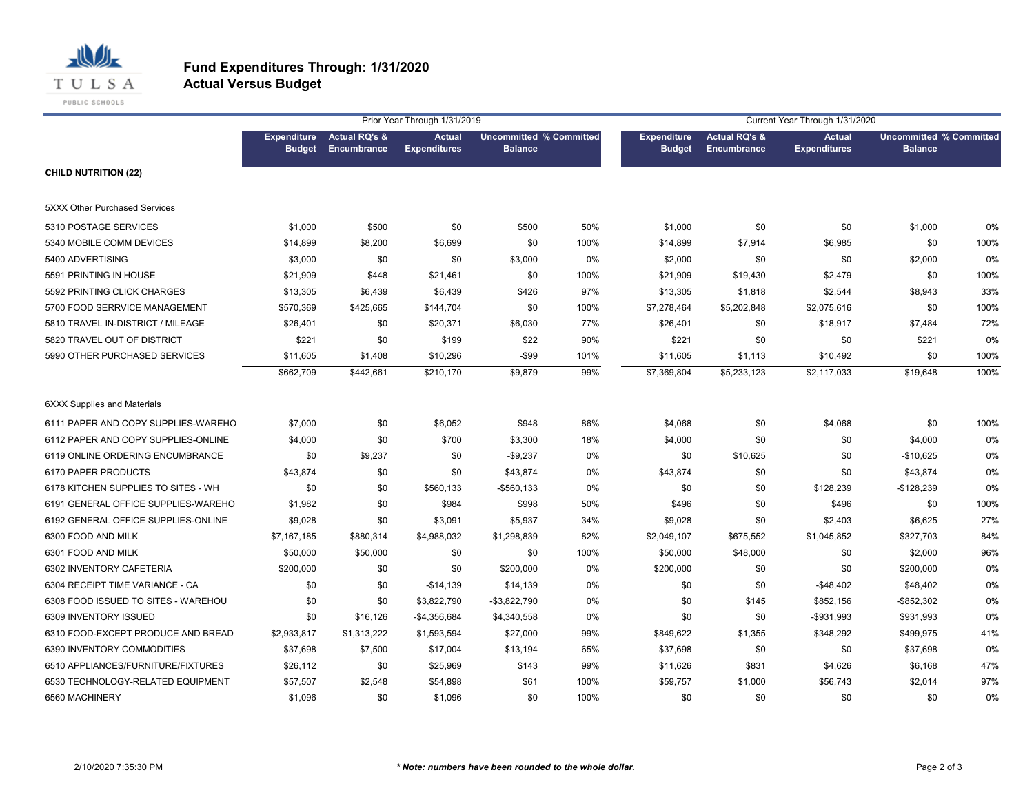

#### **Fund Expenditures Through: 1/31/2020 Actual Versus Budget**

|                                      |                                     |                                         | Prior Year Through 1/31/2019         |                                                  |      |                                     |                                         | Current Year Through 1/31/2020       |                                                  |      |
|--------------------------------------|-------------------------------------|-----------------------------------------|--------------------------------------|--------------------------------------------------|------|-------------------------------------|-----------------------------------------|--------------------------------------|--------------------------------------------------|------|
|                                      | <b>Expenditure</b><br><b>Budget</b> | <b>Actual RQ's &amp;</b><br>Encumbrance | <b>Actual</b><br><b>Expenditures</b> | <b>Uncommitted % Committed</b><br><b>Balance</b> |      | <b>Expenditure</b><br><b>Budget</b> | <b>Actual RQ's &amp;</b><br>Encumbrance | <b>Actual</b><br><b>Expenditures</b> | <b>Uncommitted % Committed</b><br><b>Balance</b> |      |
| <b>CHILD NUTRITION (22)</b>          |                                     |                                         |                                      |                                                  |      |                                     |                                         |                                      |                                                  |      |
| <b>5XXX Other Purchased Services</b> |                                     |                                         |                                      |                                                  |      |                                     |                                         |                                      |                                                  |      |
| 5310 POSTAGE SERVICES                | \$1,000                             | \$500                                   | \$0                                  | \$500                                            | 50%  | \$1,000                             | \$0                                     | \$0                                  | \$1,000                                          | 0%   |
| 5340 MOBILE COMM DEVICES             | \$14,899                            | \$8,200                                 | \$6,699                              | \$0                                              | 100% | \$14,899                            | \$7,914                                 | \$6,985                              | \$0                                              | 100% |
| 5400 ADVERTISING                     | \$3,000                             | \$0                                     | \$0                                  | \$3,000                                          | 0%   | \$2,000                             | \$0                                     | \$0                                  | \$2,000                                          | 0%   |
| 5591 PRINTING IN HOUSE               | \$21,909                            | \$448                                   | \$21,461                             | \$0                                              | 100% | \$21,909                            | \$19,430                                | \$2,479                              | \$0                                              | 100% |
| 5592 PRINTING CLICK CHARGES          | \$13,305                            | \$6,439                                 | \$6,439                              | \$426                                            | 97%  | \$13,305                            | \$1,818                                 | \$2,544                              | \$8,943                                          | 33%  |
| 5700 FOOD SERRVICE MANAGEMENT        | \$570,369                           | \$425,665                               | \$144,704                            | \$0                                              | 100% | \$7,278,464                         | \$5,202,848                             | \$2,075,616                          | \$0                                              | 100% |
| 5810 TRAVEL IN-DISTRICT / MILEAGE    | \$26,401                            | \$0                                     | \$20,371                             | \$6,030                                          | 77%  | \$26,401                            | \$0                                     | \$18,917                             | \$7,484                                          | 72%  |
| 5820 TRAVEL OUT OF DISTRICT          | \$221                               | \$0                                     | \$199                                | \$22                                             | 90%  | \$221                               | \$0                                     | \$0                                  | \$221                                            | 0%   |
| 5990 OTHER PURCHASED SERVICES        | \$11,605                            | \$1,408                                 | \$10,296                             | $-$ \$99                                         | 101% | \$11,605                            | \$1,113                                 | \$10,492                             | \$0                                              | 100% |
|                                      | \$662,709                           | \$442,661                               | \$210,170                            | \$9.879                                          | 99%  | \$7,369,804                         | \$5,233,123                             | \$2,117,033                          | \$19,648                                         | 100% |
| <b>6XXX Supplies and Materials</b>   |                                     |                                         |                                      |                                                  |      |                                     |                                         |                                      |                                                  |      |
| 6111 PAPER AND COPY SUPPLIES-WAREHO  | \$7,000                             | \$0                                     | \$6,052                              | \$948                                            | 86%  | \$4,068                             | \$0                                     | \$4,068                              | \$0                                              | 100% |
| 6112 PAPER AND COPY SUPPLIES-ONLINE  | \$4,000                             | \$0                                     | \$700                                | \$3,300                                          | 18%  | \$4,000                             | \$0                                     | \$0                                  | \$4,000                                          | 0%   |
| 6119 ONLINE ORDERING ENCUMBRANCE     | \$0                                 | \$9,237                                 | \$0                                  | $-$9,237$                                        | 0%   | \$0                                 | \$10,625                                | \$0                                  | $-$10,625$                                       | 0%   |
| 6170 PAPER PRODUCTS                  | \$43,874                            | \$0                                     | \$0                                  | \$43,874                                         | 0%   | \$43,874                            | \$0                                     | \$0                                  | \$43,874                                         | 0%   |
| 6178 KITCHEN SUPPLIES TO SITES - WH  | \$0                                 | \$0                                     | \$560,133                            | $-$560,133$                                      | 0%   | \$0                                 | \$0                                     | \$128,239                            | $-$128,239$                                      | 0%   |
| 6191 GENERAL OFFICE SUPPLIES-WAREHO  | \$1,982                             | \$0                                     | \$984                                | \$998                                            | 50%  | \$496                               | \$0                                     | \$496                                | \$0                                              | 100% |
| 6192 GENERAL OFFICE SUPPLIES-ONLINE  | \$9,028                             | \$0                                     | \$3,091                              | \$5,937                                          | 34%  | \$9,028                             | \$0                                     | \$2,403                              | \$6,625                                          | 27%  |
| 6300 FOOD AND MILK                   | \$7,167,185                         | \$880,314                               | \$4,988,032                          | \$1,298,839                                      | 82%  | \$2,049,107                         | \$675,552                               | \$1,045,852                          | \$327,703                                        | 84%  |
| 6301 FOOD AND MILK                   | \$50,000                            | \$50,000                                | \$0                                  | \$0                                              | 100% | \$50,000                            | \$48,000                                | \$0                                  | \$2,000                                          | 96%  |
| 6302 INVENTORY CAFETERIA             | \$200,000                           | \$0                                     | \$0                                  | \$200,000                                        | 0%   | \$200,000                           | \$0                                     | \$0                                  | \$200,000                                        | 0%   |
| 6304 RECEIPT TIME VARIANCE - CA      | \$0                                 | \$0                                     | $-$14,139$                           | \$14,139                                         | 0%   | \$0                                 | \$0                                     | $-$48,402$                           | \$48,402                                         | 0%   |
| 6308 FOOD ISSUED TO SITES - WAREHOU  | \$0                                 | \$0                                     | \$3,822,790                          | $-$3,822,790$                                    | 0%   | \$0                                 | \$145                                   | \$852,156                            | $-$ \$852,302                                    | 0%   |
| 6309 INVENTORY ISSUED                | \$0                                 | \$16,126                                | $-$4,356,684$                        | \$4,340,558                                      | 0%   | \$0                                 | \$0                                     | -\$931,993                           | \$931,993                                        | 0%   |
| 6310 FOOD-EXCEPT PRODUCE AND BREAD   | \$2,933,817                         | \$1,313,222                             | \$1,593,594                          | \$27,000                                         | 99%  | \$849,622                           | \$1,355                                 | \$348,292                            | \$499,975                                        | 41%  |
| 6390 INVENTORY COMMODITIES           | \$37,698                            | \$7,500                                 | \$17,004                             | \$13,194                                         | 65%  | \$37,698                            | \$0                                     | \$0                                  | \$37,698                                         | 0%   |
| 6510 APPLIANCES/FURNITURE/FIXTURES   | \$26,112                            | \$0                                     | \$25,969                             | \$143                                            | 99%  | \$11,626                            | \$831                                   | \$4,626                              | \$6,168                                          | 47%  |
| 6530 TECHNOLOGY-RELATED EQUIPMENT    | \$57,507                            | \$2,548                                 | \$54,898                             | \$61                                             | 100% | \$59,757                            | \$1,000                                 | \$56,743                             | \$2,014                                          | 97%  |
| 6560 MACHINERY                       | \$1,096                             | \$0                                     | \$1,096                              | \$0                                              | 100% | \$0                                 | \$0                                     | \$0                                  | \$0                                              | 0%   |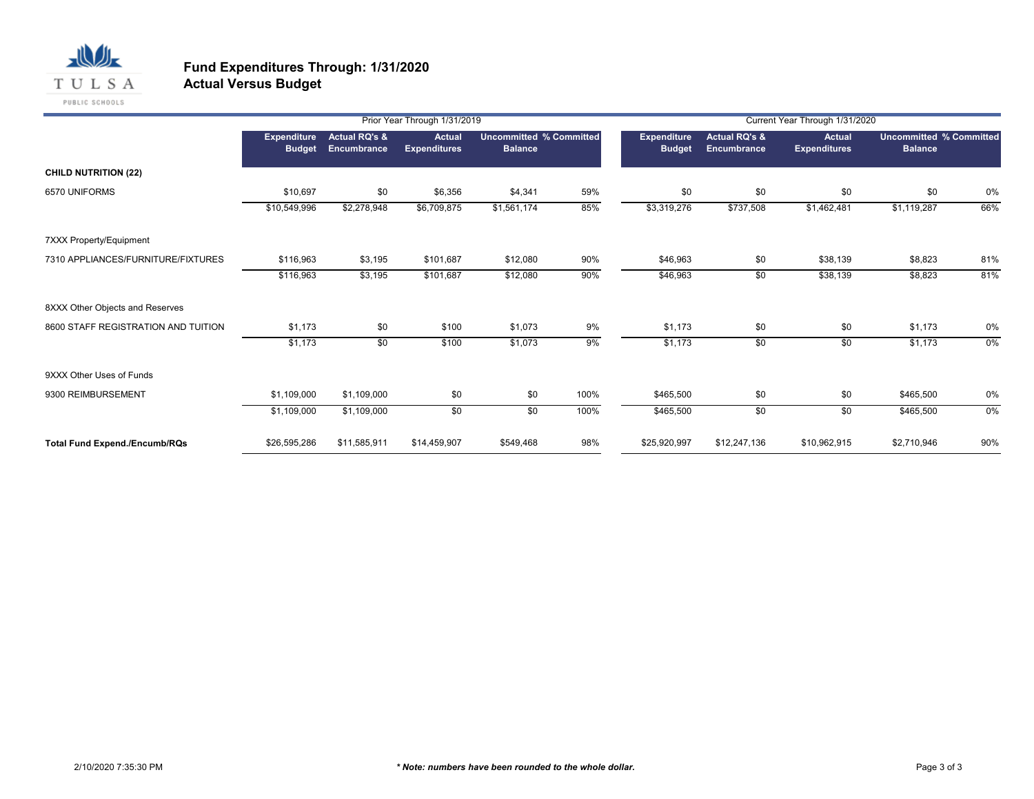

# **Fund Expenditures Through: 1/31/2020**

**Actual Versus Budget**

|                                      |                                     |                                                | Prior Year Through 1/31/2019         |                                                  |      | Current Year Through 1/31/2020      |                                         |                                      |                                                  |       |  |
|--------------------------------------|-------------------------------------|------------------------------------------------|--------------------------------------|--------------------------------------------------|------|-------------------------------------|-----------------------------------------|--------------------------------------|--------------------------------------------------|-------|--|
|                                      | <b>Expenditure</b><br><b>Budget</b> | <b>Actual RQ's &amp;</b><br><b>Encumbrance</b> | <b>Actual</b><br><b>Expenditures</b> | <b>Uncommitted % Committed</b><br><b>Balance</b> |      | <b>Expenditure</b><br><b>Budget</b> | <b>Actual RQ's &amp;</b><br>Encumbrance | <b>Actual</b><br><b>Expenditures</b> | <b>Uncommitted % Committed</b><br><b>Balance</b> |       |  |
| <b>CHILD NUTRITION (22)</b>          |                                     |                                                |                                      |                                                  |      |                                     |                                         |                                      |                                                  |       |  |
| 6570 UNIFORMS                        | \$10,697                            | \$0                                            | \$6,356                              | \$4,341                                          | 59%  | \$0                                 | \$0                                     | \$0                                  | \$0                                              | 0%    |  |
|                                      | \$10,549,996                        | \$2,278,948                                    | \$6,709,875                          | \$1,561,174                                      | 85%  | \$3,319,276                         | \$737,508                               | \$1,462,481                          | \$1,119,287                                      | 66%   |  |
| 7XXX Property/Equipment              |                                     |                                                |                                      |                                                  |      |                                     |                                         |                                      |                                                  |       |  |
| 7310 APPLIANCES/FURNITURE/FIXTURES   | \$116,963                           | \$3,195                                        | \$101,687                            | \$12,080                                         | 90%  | \$46,963                            | \$0                                     | \$38,139                             | \$8,823                                          | 81%   |  |
|                                      | \$116,963                           | \$3,195                                        | \$101,687                            | \$12,080                                         | 90%  | \$46,963                            | \$0                                     | \$38,139                             | \$8,823                                          | 81%   |  |
| 8XXX Other Objects and Reserves      |                                     |                                                |                                      |                                                  |      |                                     |                                         |                                      |                                                  |       |  |
| 8600 STAFF REGISTRATION AND TUITION  | \$1,173                             | \$0                                            | \$100                                | \$1,073                                          | 9%   | \$1,173                             | \$0                                     | \$0                                  | \$1,173                                          | 0%    |  |
|                                      | \$1,173                             | $\overline{50}$                                | \$100                                | \$1,073                                          | 9%   | \$1,173                             | \$0                                     | \$0                                  | \$1,173                                          | $0\%$ |  |
| 9XXX Other Uses of Funds             |                                     |                                                |                                      |                                                  |      |                                     |                                         |                                      |                                                  |       |  |
| 9300 REIMBURSEMENT                   | \$1,109,000                         | \$1,109,000                                    | \$0                                  | \$0                                              | 100% | \$465,500                           | \$0                                     | \$0                                  | \$465,500                                        | 0%    |  |
|                                      | \$1,109,000                         | \$1,109,000                                    | \$0                                  | \$0                                              | 100% | \$465,500                           | \$0                                     | \$0                                  | \$465,500                                        | $0\%$ |  |
| <b>Total Fund Expend./Encumb/RQs</b> | \$26,595,286                        | \$11,585,911                                   | \$14,459,907                         | \$549,468                                        | 98%  | \$25,920,997                        | \$12,247,136                            | \$10,962,915                         | \$2,710,946                                      | 90%   |  |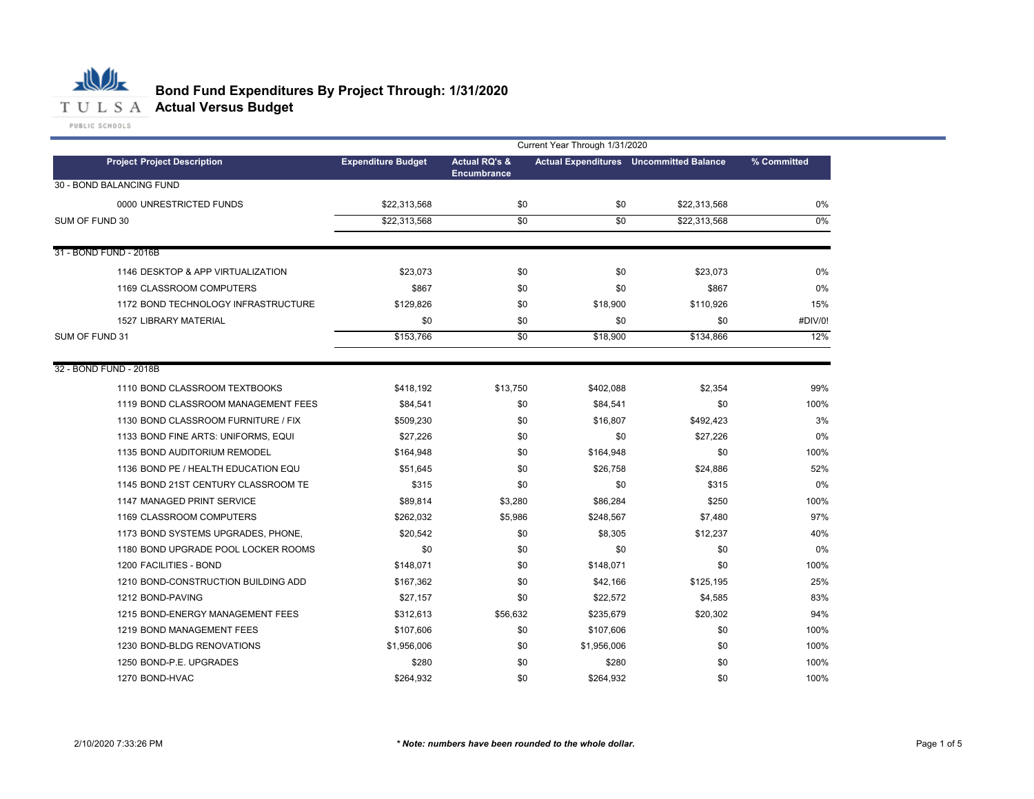

# **Bond Fund Expenditures By Project Through: 1/31/2020**

|                                     | Current Year Through 1/31/2020 |                          |             |                                                |             |  |  |  |  |
|-------------------------------------|--------------------------------|--------------------------|-------------|------------------------------------------------|-------------|--|--|--|--|
| <b>Project Project Description</b>  | <b>Expenditure Budget</b>      | <b>Actual RQ's &amp;</b> |             | <b>Actual Expenditures</b> Uncommitted Balance | % Committed |  |  |  |  |
| 30 - BOND BALANCING FUND            |                                | <b>Encumbrance</b>       |             |                                                |             |  |  |  |  |
| 0000 UNRESTRICTED FUNDS             | \$22,313,568                   | \$0                      | \$0         | \$22,313,568                                   | 0%          |  |  |  |  |
| SUM OF FUND 30                      | \$22,313,568                   | \$0                      | \$0         | \$22,313,568                                   | 0%          |  |  |  |  |
|                                     |                                |                          |             |                                                |             |  |  |  |  |
| 31 - BOND FUND - 2016B              |                                |                          |             |                                                |             |  |  |  |  |
| 1146 DESKTOP & APP VIRTUALIZATION   | \$23,073                       | \$0                      | \$0         | \$23,073                                       | 0%          |  |  |  |  |
| 1169 CLASSROOM COMPUTERS            | \$867                          | \$0                      | \$0         | \$867                                          | 0%          |  |  |  |  |
| 1172 BOND TECHNOLOGY INFRASTRUCTURE | \$129,826                      | \$0                      | \$18,900    | \$110,926                                      | 15%         |  |  |  |  |
| <b>1527 LIBRARY MATERIAL</b>        | \$0                            | \$0                      | \$0         | \$0                                            | #DIV/0!     |  |  |  |  |
| SUM OF FUND 31                      | \$153,766                      | \$0                      | \$18,900    | \$134,866                                      | 12%         |  |  |  |  |
|                                     |                                |                          |             |                                                |             |  |  |  |  |
| 32 - BOND FUND - 2018B              |                                |                          |             |                                                |             |  |  |  |  |
| 1110 BOND CLASSROOM TEXTBOOKS       | \$418,192                      | \$13,750                 | \$402,088   | \$2,354                                        | 99%         |  |  |  |  |
| 1119 BOND CLASSROOM MANAGEMENT FEES | \$84,541                       | \$0                      | \$84,541    | \$0                                            | 100%        |  |  |  |  |
| 1130 BOND CLASSROOM FURNITURE / FIX | \$509,230                      | \$0                      | \$16,807    | \$492,423                                      | 3%          |  |  |  |  |
| 1133 BOND FINE ARTS: UNIFORMS, EQUI | \$27,226                       | \$0                      | \$0         | \$27,226                                       | 0%          |  |  |  |  |
| 1135 BOND AUDITORIUM REMODEL        | \$164,948                      | \$0                      | \$164,948   | \$0                                            | 100%        |  |  |  |  |
| 1136 BOND PE / HEALTH EDUCATION EQU | \$51,645                       | \$0                      | \$26,758    | \$24,886                                       | 52%         |  |  |  |  |
| 1145 BOND 21ST CENTURY CLASSROOM TE | \$315                          | \$0                      | \$0         | \$315                                          | 0%          |  |  |  |  |
| 1147 MANAGED PRINT SERVICE          | \$89,814                       | \$3,280                  | \$86,284    | \$250                                          | 100%        |  |  |  |  |
| 1169 CLASSROOM COMPUTERS            | \$262,032                      | \$5,986                  | \$248,567   | \$7,480                                        | 97%         |  |  |  |  |
| 1173 BOND SYSTEMS UPGRADES, PHONE,  | \$20,542                       | \$0                      | \$8,305     | \$12,237                                       | 40%         |  |  |  |  |
| 1180 BOND UPGRADE POOL LOCKER ROOMS | \$0                            | \$0                      | \$0         | \$0                                            | 0%          |  |  |  |  |
| 1200 FACILITIES - BOND              | \$148,071                      | \$0                      | \$148,071   | \$0                                            | 100%        |  |  |  |  |
| 1210 BOND-CONSTRUCTION BUILDING ADD | \$167,362                      | \$0                      | \$42,166    | \$125,195                                      | 25%         |  |  |  |  |
| 1212 BOND-PAVING                    | \$27,157                       | \$0                      | \$22,572    | \$4,585                                        | 83%         |  |  |  |  |
| 1215 BOND-ENERGY MANAGEMENT FEES    | \$312,613                      | \$56,632                 | \$235,679   | \$20,302                                       | 94%         |  |  |  |  |
| 1219 BOND MANAGEMENT FEES           | \$107,606                      | \$0                      | \$107,606   | \$0                                            | 100%        |  |  |  |  |
| 1230 BOND-BLDG RENOVATIONS          | \$1,956,006                    | \$0                      | \$1,956,006 | \$0                                            | 100%        |  |  |  |  |
| 1250 BOND-P.E. UPGRADES             | \$280                          | \$0                      | \$280       | \$0                                            | 100%        |  |  |  |  |
| 1270 BOND-HVAC                      | \$264,932                      | \$0                      | \$264,932   | \$0                                            | 100%        |  |  |  |  |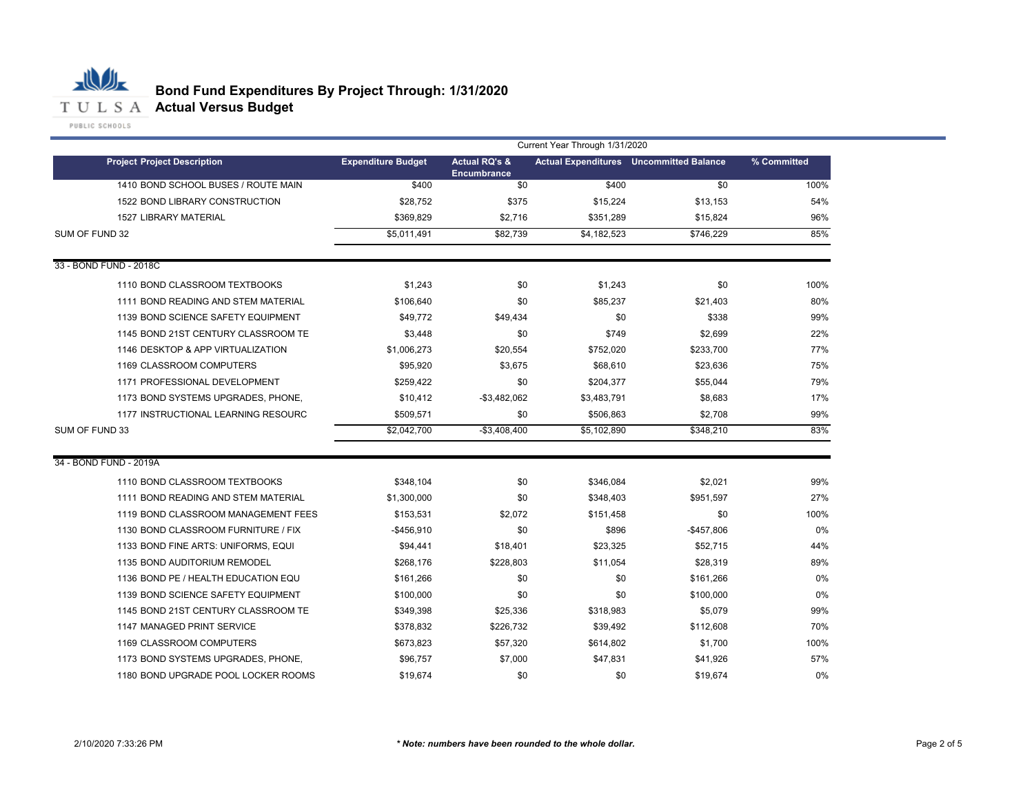

|                                     | Current Year Through 1/31/2020 |                                                |             |                                                |             |  |  |  |  |  |
|-------------------------------------|--------------------------------|------------------------------------------------|-------------|------------------------------------------------|-------------|--|--|--|--|--|
| <b>Project Project Description</b>  | <b>Expenditure Budget</b>      | <b>Actual RQ's &amp;</b><br><b>Encumbrance</b> |             | <b>Actual Expenditures</b> Uncommitted Balance | % Committed |  |  |  |  |  |
| 1410 BOND SCHOOL BUSES / ROUTE MAIN | \$400                          | \$0                                            | \$400       | \$0                                            | 100%        |  |  |  |  |  |
| 1522 BOND LIBRARY CONSTRUCTION      | \$28,752                       | \$375                                          | \$15,224    | \$13,153                                       | 54%         |  |  |  |  |  |
| <b>1527 LIBRARY MATERIAL</b>        | \$369,829                      | \$2,716                                        | \$351,289   | \$15,824                                       | 96%         |  |  |  |  |  |
| SUM OF FUND 32                      | \$5,011,491                    | \$82,739                                       | \$4,182,523 | \$746,229                                      | 85%         |  |  |  |  |  |
| 33 - BOND FUND - 2018C              |                                |                                                |             |                                                |             |  |  |  |  |  |
| 1110 BOND CLASSROOM TEXTBOOKS       | \$1,243                        | \$0                                            | \$1,243     | \$0                                            | 100%        |  |  |  |  |  |
| 1111 BOND READING AND STEM MATERIAL | \$106,640                      | \$0                                            | \$85,237    | \$21,403                                       | 80%         |  |  |  |  |  |
| 1139 BOND SCIENCE SAFETY EQUIPMENT  | \$49,772                       | \$49,434                                       | \$0         | \$338                                          | 99%         |  |  |  |  |  |
| 1145 BOND 21ST CENTURY CLASSROOM TE | \$3,448                        | \$0                                            | \$749       | \$2,699                                        | 22%         |  |  |  |  |  |
| 1146 DESKTOP & APP VIRTUALIZATION   | \$1,006,273                    | \$20,554                                       | \$752,020   | \$233,700                                      | 77%         |  |  |  |  |  |
| 1169 CLASSROOM COMPUTERS            | \$95,920                       | \$3,675                                        | \$68,610    | \$23,636                                       | 75%         |  |  |  |  |  |
| 1171 PROFESSIONAL DEVELOPMENT       | \$259,422                      | \$0                                            | \$204,377   | \$55,044                                       | 79%         |  |  |  |  |  |
| 1173 BOND SYSTEMS UPGRADES, PHONE,  | \$10,412                       | $-$3,482,062$                                  | \$3,483,791 | \$8,683                                        | 17%         |  |  |  |  |  |
| 1177 INSTRUCTIONAL LEARNING RESOURC | \$509,571                      | \$0                                            | \$506,863   | \$2,708                                        | 99%         |  |  |  |  |  |
| SUM OF FUND 33                      | \$2,042,700                    | $-$3,408,400$                                  | \$5.102.890 | \$348.210                                      | 83%         |  |  |  |  |  |
| 34 - BOND FUND - 2019A              |                                |                                                |             |                                                |             |  |  |  |  |  |
| 1110 BOND CLASSROOM TEXTBOOKS       | \$348,104                      | \$0                                            | \$346,084   | \$2,021                                        | 99%         |  |  |  |  |  |
| 1111 BOND READING AND STEM MATERIAL | \$1,300,000                    | \$0                                            | \$348,403   | \$951,597                                      | 27%         |  |  |  |  |  |
| 1119 BOND CLASSROOM MANAGEMENT FEES | \$153,531                      | \$2,072                                        | \$151,458   | \$0                                            | 100%        |  |  |  |  |  |
| 1130 BOND CLASSROOM FURNITURE / FIX | $-$456,910$                    | \$0                                            | \$896       | -\$457,806                                     | 0%          |  |  |  |  |  |
| 1133 BOND FINE ARTS: UNIFORMS, EQUI | \$94,441                       | \$18,401                                       | \$23,325    | \$52,715                                       | 44%         |  |  |  |  |  |
| 1135 BOND AUDITORIUM REMODEL        | \$268,176                      | \$228,803                                      | \$11,054    | \$28,319                                       | 89%         |  |  |  |  |  |
| 1136 BOND PE / HEALTH EDUCATION EQU | \$161,266                      | \$0                                            | \$0         | \$161,266                                      | 0%          |  |  |  |  |  |
| 1139 BOND SCIENCE SAFETY EQUIPMENT  | \$100,000                      | \$0                                            | \$0         | \$100,000                                      | 0%          |  |  |  |  |  |
| 1145 BOND 21ST CENTURY CLASSROOM TE | \$349,398                      | \$25,336                                       | \$318,983   | \$5,079                                        | 99%         |  |  |  |  |  |
| 1147 MANAGED PRINT SERVICE          | \$378,832                      | \$226,732                                      | \$39,492    | \$112,608                                      | 70%         |  |  |  |  |  |
| 1169 CLASSROOM COMPUTERS            | \$673,823                      | \$57,320                                       | \$614,802   | \$1,700                                        | 100%        |  |  |  |  |  |
| 1173 BOND SYSTEMS UPGRADES, PHONE.  | \$96,757                       | \$7,000                                        | \$47,831    | \$41,926                                       | 57%         |  |  |  |  |  |
| 1180 BOND UPGRADE POOL LOCKER ROOMS | \$19,674                       | \$0                                            | \$0         | \$19.674                                       | 0%          |  |  |  |  |  |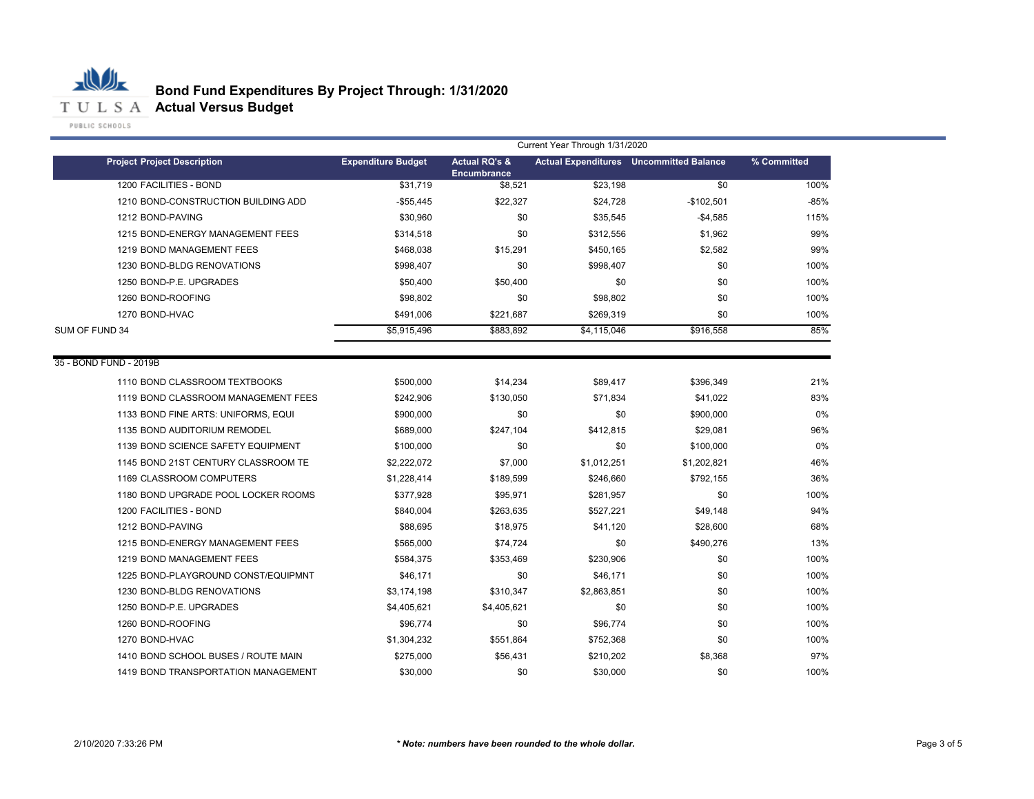

|                                     | Current Year Through 1/31/2020 |                               |             |                                                |             |  |
|-------------------------------------|--------------------------------|-------------------------------|-------------|------------------------------------------------|-------------|--|
| <b>Project Project Description</b>  | <b>Expenditure Budget</b>      | <b>Actual RQ's &amp;</b>      |             | <b>Actual Expenditures</b> Uncommitted Balance | % Committed |  |
| 1200 FACILITIES - BOND              | \$31,719                       | <b>Encumbrance</b><br>\$8,521 | \$23,198    | $\overline{50}$                                | 100%        |  |
| 1210 BOND-CONSTRUCTION BUILDING ADD | $-$ \$55,445                   | \$22,327                      | \$24,728    | $-$102,501$                                    | $-85%$      |  |
| 1212 BOND-PAVING                    | \$30,960                       | \$0                           | \$35,545    | $-$4,585$                                      | 115%        |  |
| 1215 BOND-ENERGY MANAGEMENT FEES    | \$314,518                      | \$0                           | \$312,556   | \$1,962                                        | 99%         |  |
| 1219 BOND MANAGEMENT FEES           | \$468,038                      | \$15,291                      | \$450,165   | \$2,582                                        | 99%         |  |
| 1230 BOND-BLDG RENOVATIONS          | \$998,407                      | \$0                           | \$998,407   | \$0                                            | 100%        |  |
| 1250 BOND-P.E. UPGRADES             | \$50,400                       | \$50,400                      | \$0         | \$0                                            | 100%        |  |
| 1260 BOND-ROOFING                   | \$98,802                       | \$0                           | \$98,802    | \$0                                            | 100%        |  |
| 1270 BOND-HVAC                      | \$491,006                      | \$221,687                     | \$269,319   | \$0                                            | 100%        |  |
| SUM OF FUND 34                      | \$5,915,496                    | \$883,892                     | \$4,115,046 | \$916,558                                      | 85%         |  |
|                                     |                                |                               |             |                                                |             |  |
| 35 - BOND FUND - 2019B              |                                |                               |             |                                                |             |  |
| 1110 BOND CLASSROOM TEXTBOOKS       | \$500,000                      | \$14,234                      | \$89,417    | \$396,349                                      | 21%         |  |
| 1119 BOND CLASSROOM MANAGEMENT FEES | \$242,906                      | \$130,050                     | \$71,834    | \$41,022                                       | 83%         |  |
| 1133 BOND FINE ARTS: UNIFORMS, EQUI | \$900,000                      | \$0                           | \$0         | \$900,000                                      | 0%          |  |
| 1135 BOND AUDITORIUM REMODEL        | \$689,000                      | \$247,104                     | \$412,815   | \$29,081                                       | 96%         |  |
| 1139 BOND SCIENCE SAFETY EQUIPMENT  | \$100,000                      | \$0                           | \$0         | \$100,000                                      | 0%          |  |
| 1145 BOND 21ST CENTURY CLASSROOM TE | \$2,222,072                    | \$7,000                       | \$1,012,251 | \$1,202,821                                    | 46%         |  |
| 1169 CLASSROOM COMPUTERS            | \$1,228,414                    | \$189,599                     | \$246,660   | \$792,155                                      | 36%         |  |
| 1180 BOND UPGRADE POOL LOCKER ROOMS | \$377,928                      | \$95,971                      | \$281,957   | \$0                                            | 100%        |  |
| 1200 FACILITIES - BOND              | \$840,004                      | \$263,635                     | \$527,221   | \$49,148                                       | 94%         |  |
| 1212 BOND-PAVING                    | \$88,695                       | \$18,975                      | \$41,120    | \$28,600                                       | 68%         |  |
| 1215 BOND-ENERGY MANAGEMENT FEES    | \$565,000                      | \$74,724                      | \$0         | \$490,276                                      | 13%         |  |
| 1219 BOND MANAGEMENT FEES           | \$584,375                      | \$353,469                     | \$230,906   | \$0                                            | 100%        |  |
| 1225 BOND-PLAYGROUND CONST/EQUIPMNT | \$46,171                       | \$0                           | \$46,171    | \$0                                            | 100%        |  |
| 1230 BOND-BLDG RENOVATIONS          | \$3,174,198                    | \$310,347                     | \$2,863,851 | \$0                                            | 100%        |  |
| 1250 BOND-P.E. UPGRADES             | \$4,405,621                    | \$4,405,621                   | \$0         | \$0                                            | 100%        |  |
| 1260 BOND-ROOFING                   | \$96,774                       | \$0                           | \$96,774    | \$0                                            | 100%        |  |
| 1270 BOND-HVAC                      | \$1,304,232                    | \$551,864                     | \$752,368   | \$0                                            | 100%        |  |
| 1410 BOND SCHOOL BUSES / ROUTE MAIN | \$275,000                      | \$56,431                      | \$210,202   | \$8,368                                        | 97%         |  |
| 1419 BOND TRANSPORTATION MANAGEMENT | \$30,000                       | \$0                           | \$30,000    | \$0                                            | 100%        |  |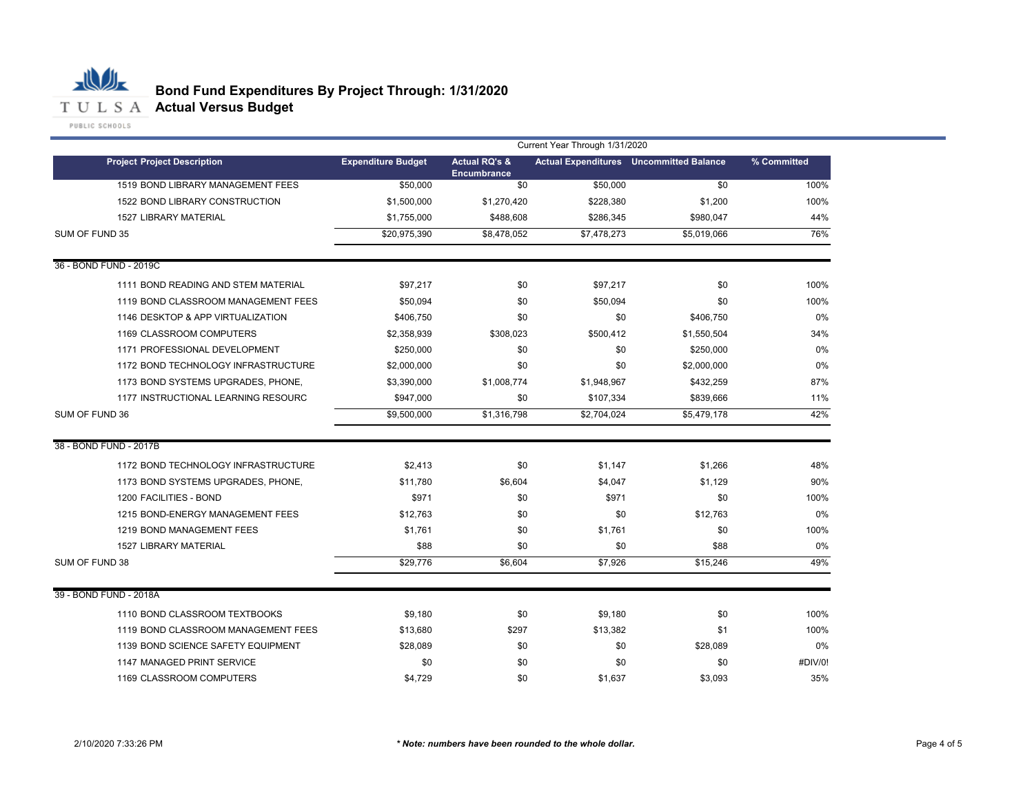

|                                     | Current Year Through 1/31/2020 |                                                |             |                                                |             |  |
|-------------------------------------|--------------------------------|------------------------------------------------|-------------|------------------------------------------------|-------------|--|
| <b>Project Project Description</b>  | <b>Expenditure Budget</b>      | <b>Actual RQ's &amp;</b><br><b>Encumbrance</b> |             | <b>Actual Expenditures</b> Uncommitted Balance | % Committed |  |
| 1519 BOND LIBRARY MANAGEMENT FEES   | \$50,000                       | \$0                                            | \$50,000    | \$0                                            | 100%        |  |
| 1522 BOND LIBRARY CONSTRUCTION      | \$1,500,000                    | \$1,270,420                                    | \$228,380   | \$1,200                                        | 100%        |  |
| 1527 LIBRARY MATERIAL               | \$1,755,000                    | \$488,608                                      | \$286,345   | \$980,047                                      | 44%         |  |
| SUM OF FUND 35                      | \$20,975,390                   | \$8,478,052                                    | \$7,478,273 | \$5,019,066                                    | 76%         |  |
| 36 - BOND FUND - 2019C              |                                |                                                |             |                                                |             |  |
| 1111 BOND READING AND STEM MATERIAL | \$97,217                       | \$0                                            | \$97,217    | \$0                                            | 100%        |  |
| 1119 BOND CLASSROOM MANAGEMENT FEES | \$50.094                       | \$0                                            | \$50.094    | \$0                                            | 100%        |  |
| 1146 DESKTOP & APP VIRTUALIZATION   | \$406.750                      | \$0                                            | \$0         | \$406.750                                      | 0%          |  |
| 1169 CLASSROOM COMPUTERS            | \$2,358,939                    | \$308,023                                      | \$500,412   | \$1,550,504                                    | 34%         |  |
| 1171 PROFESSIONAL DEVELOPMENT       | \$250,000                      | \$0                                            | \$0         | \$250,000                                      | 0%          |  |
| 1172 BOND TECHNOLOGY INFRASTRUCTURE | \$2,000,000                    | \$0                                            | \$0         | \$2,000,000                                    | 0%          |  |
| 1173 BOND SYSTEMS UPGRADES, PHONE,  | \$3,390,000                    | \$1,008,774                                    | \$1,948,967 | \$432,259                                      | 87%         |  |
| 1177 INSTRUCTIONAL LEARNING RESOURC | \$947,000                      | \$0                                            | \$107,334   | \$839,666                                      | 11%         |  |
| SUM OF FUND 36                      | \$9,500,000                    | \$1,316,798                                    | \$2,704,024 | \$5,479,178                                    | 42%         |  |
| 38 - BOND FUND - 2017B              |                                |                                                |             |                                                |             |  |
| 1172 BOND TECHNOLOGY INFRASTRUCTURE | \$2,413                        | \$0                                            | \$1.147     | \$1,266                                        | 48%         |  |
| 1173 BOND SYSTEMS UPGRADES, PHONE,  | \$11.780                       | \$6,604                                        | \$4,047     | \$1,129                                        | 90%         |  |
| 1200 FACILITIES - BOND              | \$971                          | \$0                                            | \$971       | \$0                                            | 100%        |  |
| 1215 BOND-ENERGY MANAGEMENT FEES    | \$12.763                       | \$0                                            | \$0         | \$12.763                                       | 0%          |  |
| 1219 BOND MANAGEMENT FEES           | \$1.761                        | \$0                                            | \$1.761     | \$0                                            | 100%        |  |
| <b>1527 LIBRARY MATERIAL</b>        | \$88                           | \$0                                            | \$0         | \$88                                           | 0%          |  |
| SUM OF FUND 38                      | \$29,776                       | \$6,604                                        | \$7,926     | \$15,246                                       | 49%         |  |
| 39 - BOND FUND - 2018A              |                                |                                                |             |                                                |             |  |
| 1110 BOND CLASSROOM TEXTBOOKS       | \$9,180                        | \$0                                            | \$9,180     | \$0                                            | 100%        |  |
| 1119 BOND CLASSROOM MANAGEMENT FEES | \$13,680                       | \$297                                          | \$13,382    | \$1                                            | 100%        |  |
| 1139 BOND SCIENCE SAFETY EQUIPMENT  | \$28,089                       | \$0                                            | \$0         | \$28,089                                       | 0%          |  |
| 1147 MANAGED PRINT SERVICE          | \$0                            | \$0                                            | \$0         | \$0                                            | #DIV/0!     |  |
| 1169 CLASSROOM COMPUTERS            | \$4,729                        | \$0                                            | \$1,637     | \$3,093                                        | 35%         |  |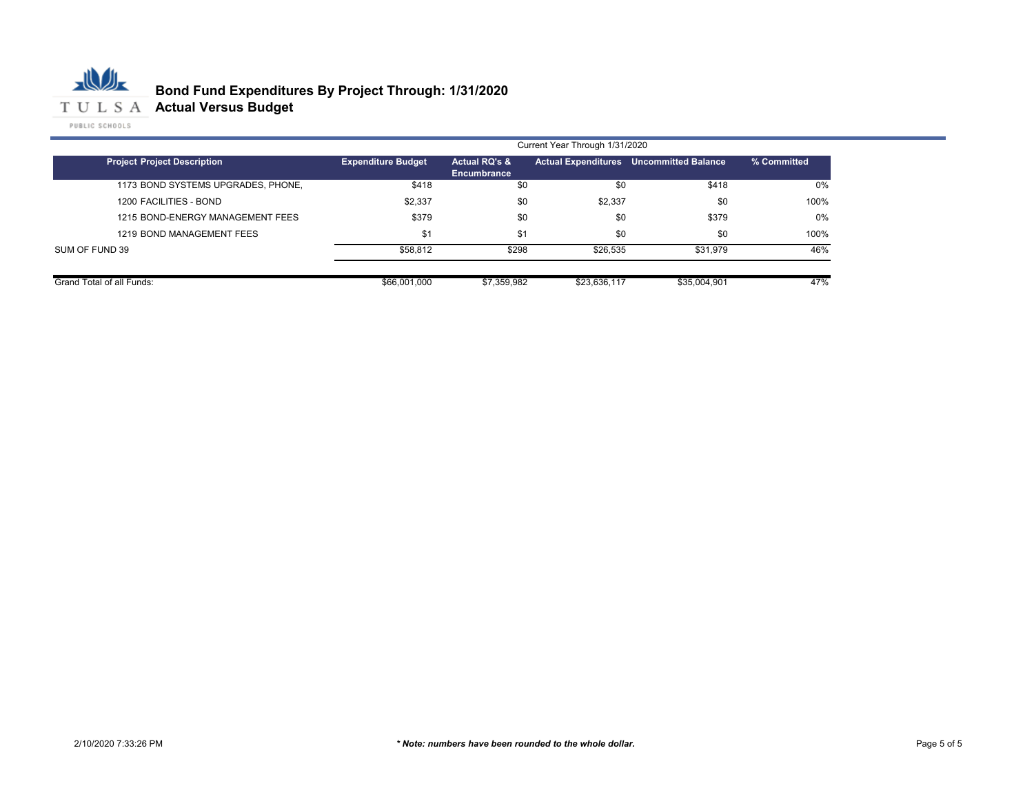

|                                    | Current Year Through 1/31/2020 |                                         |              |                                         |             |
|------------------------------------|--------------------------------|-----------------------------------------|--------------|-----------------------------------------|-------------|
| <b>Project Project Description</b> | <b>Expenditure Budget</b>      | <b>Actual RQ's &amp;</b><br>Encumbrance |              | Actual Expenditures Uncommitted Balance | % Committed |
| 1173 BOND SYSTEMS UPGRADES, PHONE, | \$418                          | \$0                                     | \$0          | \$418                                   | 0%          |
| 1200 FACILITIES - BOND             | \$2,337                        | \$0                                     | \$2,337      | \$0                                     | 100%        |
| 1215 BOND-ENERGY MANAGEMENT FEES   | \$379                          | \$0                                     | \$0          | \$379                                   | 0%          |
| 1219 BOND MANAGEMENT FEES          | \$1                            | $$^1$                                   | \$0          | \$0                                     | 100%        |
| SUM OF FUND 39                     | \$58.812                       | \$298                                   | \$26,535     | \$31.979                                | 46%         |
| Grand Total of all Funds:          | \$66,001,000                   | \$7,359,982                             | \$23,636,117 | \$35,004.901                            | 47%         |